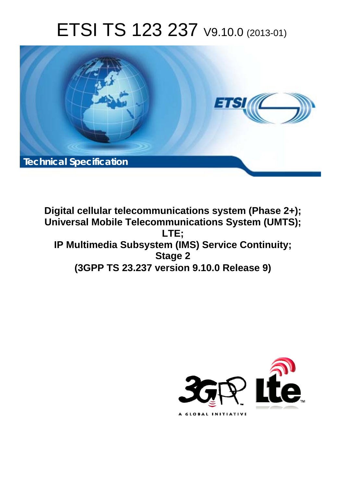# ETSI TS 123 237 V9.10.0 (2013-01)



**Digital cellular telecommunications system (Phase 2+); Universal Mobile Telecommunications System (UMTS); LTE; IP Multimedia Subsystem (IMS) Service Continuity; Stage 2 (3GPP TS 23.237 version 9.10.0 Release 9)** 

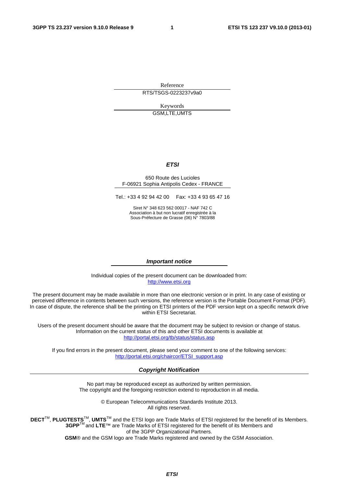Reference RTS/TSGS-0223237v9a0

> Keywords GSM,LTE,UMTS

#### *ETSI*

#### 650 Route des Lucioles F-06921 Sophia Antipolis Cedex - FRANCE

Tel.: +33 4 92 94 42 00 Fax: +33 4 93 65 47 16

Siret N° 348 623 562 00017 - NAF 742 C Association à but non lucratif enregistrée à la Sous-Préfecture de Grasse (06) N° 7803/88

#### *Important notice*

Individual copies of the present document can be downloaded from: [http://www.etsi.org](http://www.etsi.org/)

The present document may be made available in more than one electronic version or in print. In any case of existing or perceived difference in contents between such versions, the reference version is the Portable Document Format (PDF). In case of dispute, the reference shall be the printing on ETSI printers of the PDF version kept on a specific network drive within ETSI Secretariat.

Users of the present document should be aware that the document may be subject to revision or change of status. Information on the current status of this and other ETSI documents is available at <http://portal.etsi.org/tb/status/status.asp>

If you find errors in the present document, please send your comment to one of the following services: [http://portal.etsi.org/chaircor/ETSI\\_support.asp](http://portal.etsi.org/chaircor/ETSI_support.asp)

#### *Copyright Notification*

No part may be reproduced except as authorized by written permission. The copyright and the foregoing restriction extend to reproduction in all media.

> © European Telecommunications Standards Institute 2013. All rights reserved.

DECT<sup>™</sup>, PLUGTESTS<sup>™</sup>, UMTS<sup>™</sup> and the ETSI logo are Trade Marks of ETSI registered for the benefit of its Members. **3GPP**TM and **LTE**™ are Trade Marks of ETSI registered for the benefit of its Members and of the 3GPP Organizational Partners.

**GSM**® and the GSM logo are Trade Marks registered and owned by the GSM Association.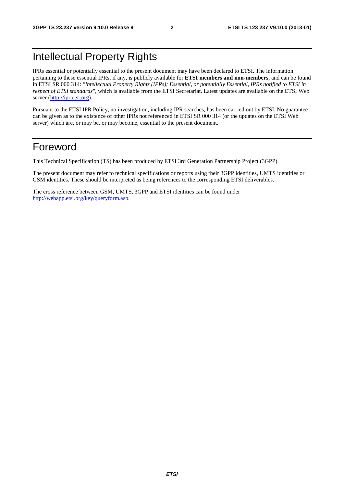# Intellectual Property Rights

IPRs essential or potentially essential to the present document may have been declared to ETSI. The information pertaining to these essential IPRs, if any, is publicly available for **ETSI members and non-members**, and can be found in ETSI SR 000 314: *"Intellectual Property Rights (IPRs); Essential, or potentially Essential, IPRs notified to ETSI in respect of ETSI standards"*, which is available from the ETSI Secretariat. Latest updates are available on the ETSI Web server ([http://ipr.etsi.org\)](http://webapp.etsi.org/IPR/home.asp).

Pursuant to the ETSI IPR Policy, no investigation, including IPR searches, has been carried out by ETSI. No guarantee can be given as to the existence of other IPRs not referenced in ETSI SR 000 314 (or the updates on the ETSI Web server) which are, or may be, or may become, essential to the present document.

# Foreword

This Technical Specification (TS) has been produced by ETSI 3rd Generation Partnership Project (3GPP).

The present document may refer to technical specifications or reports using their 3GPP identities, UMTS identities or GSM identities. These should be interpreted as being references to the corresponding ETSI deliverables.

The cross reference between GSM, UMTS, 3GPP and ETSI identities can be found under [http://webapp.etsi.org/key/queryform.asp.](http://webapp.etsi.org/key/queryform.asp)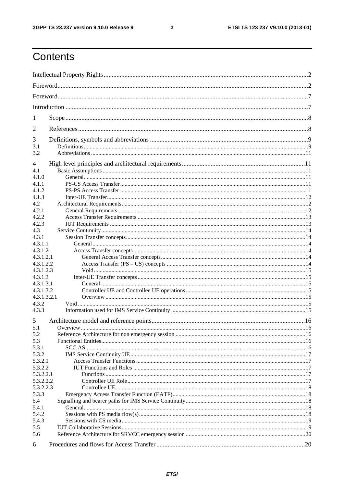#### $\mathbf{3}$

# Contents

| 1            |          |  |  |  |
|--------------|----------|--|--|--|
| 2            |          |  |  |  |
| 3            |          |  |  |  |
| 3.1<br>3.2   |          |  |  |  |
| 4            |          |  |  |  |
| 4.1<br>4.1.0 |          |  |  |  |
| 4.1.1        |          |  |  |  |
| 4.1.2        |          |  |  |  |
| 4.1.3        |          |  |  |  |
| 4.2          |          |  |  |  |
| 4.2.1        |          |  |  |  |
| 4.2.2        |          |  |  |  |
| 4.2.3        |          |  |  |  |
| 4.3          |          |  |  |  |
| 4.3.1        |          |  |  |  |
| 4.3.1.1      |          |  |  |  |
| 4.3.1.2      |          |  |  |  |
| 4.3.1.2.1    |          |  |  |  |
| 4.3.1.2.2    |          |  |  |  |
| 4.3.1.2.3    |          |  |  |  |
| 4.3.1.3      |          |  |  |  |
| 4.3.1.3.1    |          |  |  |  |
| 4.3.1.3.2    |          |  |  |  |
| 4.3.1.3.2.1  |          |  |  |  |
| 4.3.2        |          |  |  |  |
| 4.3.3        |          |  |  |  |
| 5            |          |  |  |  |
| 5.1          | Overview |  |  |  |
| 5.2          |          |  |  |  |
| 5.3          |          |  |  |  |
| 5.3.1        |          |  |  |  |
| 5.3.2        |          |  |  |  |
| 5.3.2.1      |          |  |  |  |
| 5.3.2.2      |          |  |  |  |
| 5.3.2.2.1    |          |  |  |  |
| 5.3.2.2.2    |          |  |  |  |
| 5.3.2.2.3    |          |  |  |  |
| 5.3.3<br>5.4 |          |  |  |  |
| 5.4.1        |          |  |  |  |
| 5.4.2        |          |  |  |  |
| 5.4.3        |          |  |  |  |
| 5.5          |          |  |  |  |
| 5.6          |          |  |  |  |
| 6            |          |  |  |  |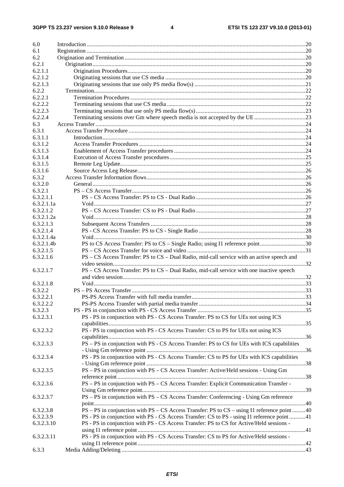$\overline{\mathbf{4}}$ 

| 6.0        |                                                                                             |  |  |  |
|------------|---------------------------------------------------------------------------------------------|--|--|--|
| 6.1        |                                                                                             |  |  |  |
| 6.2        |                                                                                             |  |  |  |
| 6.2.1      |                                                                                             |  |  |  |
| 6.2.1.1    |                                                                                             |  |  |  |
| 6.2.1.2    |                                                                                             |  |  |  |
| 6.2.1.3    |                                                                                             |  |  |  |
| 6.2.2      |                                                                                             |  |  |  |
| 6.2.2.1    |                                                                                             |  |  |  |
| 6.2.2.2    |                                                                                             |  |  |  |
| 6.2.2.3    |                                                                                             |  |  |  |
| 6.2.2.4    | Terminating sessions over Gm where speech media is not accepted by the UE23                 |  |  |  |
| 6.3        |                                                                                             |  |  |  |
| 6.3.1      |                                                                                             |  |  |  |
| 6.3.1.1    |                                                                                             |  |  |  |
| 6.3.1.2    |                                                                                             |  |  |  |
| 6.3.1.3    |                                                                                             |  |  |  |
| 6.3.1.4    |                                                                                             |  |  |  |
| 6.3.1.5    |                                                                                             |  |  |  |
| 6.3.1.6    |                                                                                             |  |  |  |
| 6.3.2      |                                                                                             |  |  |  |
| 6.3.2.0    |                                                                                             |  |  |  |
| 6.3.2.1    |                                                                                             |  |  |  |
| 6.3.2.1.1  |                                                                                             |  |  |  |
| 6.3.2.1.1a |                                                                                             |  |  |  |
| 6.3.2.1.2  |                                                                                             |  |  |  |
| 6.3.2.1.2a |                                                                                             |  |  |  |
| 6.3.2.1.3  |                                                                                             |  |  |  |
| 6.3.2.1.4  |                                                                                             |  |  |  |
| 6.3.2.1.4a |                                                                                             |  |  |  |
| 6.3.2.1.4b | PS to CS Access Transfer: PS to CS – Single Radio; using I1 reference point30               |  |  |  |
| 6.3.2.1.5  |                                                                                             |  |  |  |
| 6.3.2.1.6  | PS – CS Access Transfer: PS to CS – Dual Radio, mid-call service with an active speech and  |  |  |  |
|            |                                                                                             |  |  |  |
| 6.3.2.1.7  | PS – CS Access Transfer: PS to CS – Dual Radio, mid-call service with one inactive speech   |  |  |  |
|            |                                                                                             |  |  |  |
| 6.3.2.1.8  |                                                                                             |  |  |  |
| 6.3.2.2    |                                                                                             |  |  |  |
| 6.3.2.2.1  |                                                                                             |  |  |  |
| 6.3.2.2.2  |                                                                                             |  |  |  |
| 6.3.2.3    |                                                                                             |  |  |  |
| 6.3.2.3.1  | PS - PS in conjunction with PS - CS Access Transfer: PS to CS for UEs not using ICS         |  |  |  |
|            |                                                                                             |  |  |  |
| 6.3.2.3.2  | PS - PS in conjunction with PS - CS Access Transfer: CS to PS for UEs not using ICS         |  |  |  |
|            |                                                                                             |  |  |  |
| 6.3.2.3.3  | PS - PS in conjunction with PS - CS Access Transfer: PS to CS for UEs with ICS capabilities |  |  |  |
|            |                                                                                             |  |  |  |
| 6.3.2.3.4  | PS - PS in conjunction with PS - CS Access Transfer: CS to PS for UEs with ICS capabilities |  |  |  |
|            |                                                                                             |  |  |  |
| 6.3.2.3.5  | PS - PS in conjunction with PS - CS Access Transfer: Active/Held sessions - Using Gm        |  |  |  |
|            |                                                                                             |  |  |  |
| 6.3.2.3.6  | PS - PS in conjunction with PS - CS Access Transfer: Explicit Communication Transfer -      |  |  |  |
|            |                                                                                             |  |  |  |
| 6.3.2.3.7  | PS - PS in conjunction with PS - CS Access Transfer: Conferencing - Using Gm reference      |  |  |  |
|            |                                                                                             |  |  |  |
| 6.3.2.3.8  | PS – PS in conjunction with PS – CS Access Transfer: PS to CS – using I1 reference point40  |  |  |  |
| 6.3.2.3.9  | PS - PS in conjunction with PS - CS Access Transfer: CS to PS - using I1 reference point 41 |  |  |  |
| 6.3.2.3.10 | PS - PS in conjunction with PS - CS Access Transfer: PS to CS for Active/Held sessions -    |  |  |  |
|            |                                                                                             |  |  |  |
| 6.3.2.3.11 | PS - PS in conjunction with PS - CS Access Transfer: CS to PS for Active/Held sessions -    |  |  |  |
|            |                                                                                             |  |  |  |
| 6.3.3      |                                                                                             |  |  |  |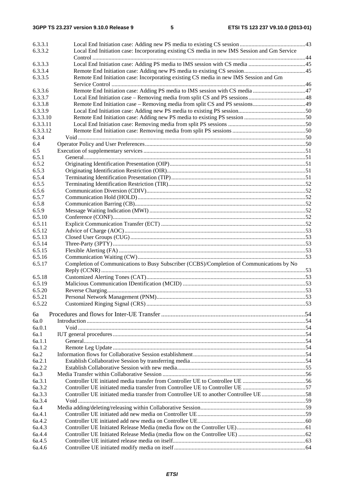| 6.3.3.1        |                                                                                              |  |
|----------------|----------------------------------------------------------------------------------------------|--|
| 6.3.3.2        | Local End Initiation case: Incorporating existing CS media in new IMS Session and Gm Service |  |
|                |                                                                                              |  |
| 6.3.3.3        |                                                                                              |  |
| 6.3.3.4        |                                                                                              |  |
| 6.3.3.5        | Remote End Initiation case: Incorporating existing CS media in new IMS Session and Gm        |  |
|                |                                                                                              |  |
| 6.3.3.6        |                                                                                              |  |
| 6.3.3.7        |                                                                                              |  |
| 6.3.3.8        |                                                                                              |  |
| 6.3.3.9        |                                                                                              |  |
| 6.3.3.10       |                                                                                              |  |
| 6.3.3.11       |                                                                                              |  |
| 6.3.3.12       |                                                                                              |  |
| 6.3.4          |                                                                                              |  |
| 6.4            |                                                                                              |  |
| 6.5            |                                                                                              |  |
| 6.5.1<br>6.5.2 |                                                                                              |  |
| 6.5.3          |                                                                                              |  |
| 6.5.4          |                                                                                              |  |
| 6.5.5          |                                                                                              |  |
| 6.5.6          |                                                                                              |  |
| 6.5.7          |                                                                                              |  |
| 6.5.8          |                                                                                              |  |
|                |                                                                                              |  |
| 6.5.9          |                                                                                              |  |
| 6.5.10         |                                                                                              |  |
| 6.5.11         |                                                                                              |  |
| 6.5.12         |                                                                                              |  |
| 6.5.13         |                                                                                              |  |
| 6.5.14         |                                                                                              |  |
| 6.5.15         |                                                                                              |  |
| 6.5.16         |                                                                                              |  |
| 6.5.17         | Completion of Communications to Busy Subscriber (CCBS)/Completion of Communications by No    |  |
| 6.5.18         |                                                                                              |  |
| 6.5.19         |                                                                                              |  |
| 6.5.20         |                                                                                              |  |
| 6.5.21         |                                                                                              |  |
| 6.5.22         |                                                                                              |  |
|                |                                                                                              |  |
| 6a             |                                                                                              |  |
| 6a.0           |                                                                                              |  |
| 6a.0.1         |                                                                                              |  |
| 6a.1           |                                                                                              |  |
| 6a.1.1         |                                                                                              |  |
| 6a.1.2         |                                                                                              |  |
| 6a.2           |                                                                                              |  |
| 6a.2.1         |                                                                                              |  |
| 6a.2.2         |                                                                                              |  |
| 6a.3           |                                                                                              |  |
| 6a.3.1         |                                                                                              |  |
| 6a.3.2         |                                                                                              |  |
| 6a.3.3         | Controller UE initiated media transfer from Controllee UE to another Controllee UE 58        |  |
| 6a.3.4         |                                                                                              |  |
| 6a.4           |                                                                                              |  |
| 6a.4.1         |                                                                                              |  |
| 6a.4.2         |                                                                                              |  |
| 6a.4.3         |                                                                                              |  |
| 6a.4.4         |                                                                                              |  |
| 6a.4.5         |                                                                                              |  |
| 6a.4.6         |                                                                                              |  |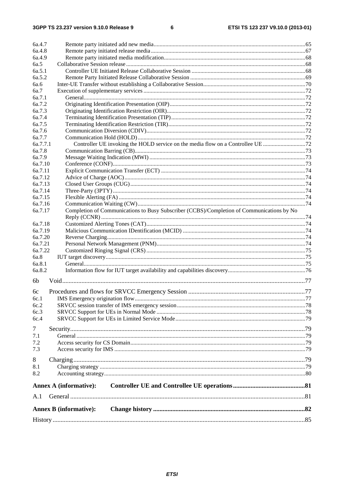$\bf 6$ 

| 6a.4.7   |                                                                                           |  |
|----------|-------------------------------------------------------------------------------------------|--|
| 6a.4.8   |                                                                                           |  |
| 6a.4.9   |                                                                                           |  |
| 6a.5     |                                                                                           |  |
| 6a.5.1   |                                                                                           |  |
| 6a.5.2   |                                                                                           |  |
| 6a.6     |                                                                                           |  |
| 6a.7     |                                                                                           |  |
| 6a.7.1   |                                                                                           |  |
| 6a.7.2   |                                                                                           |  |
| 6a.7.3   |                                                                                           |  |
| 6a.7.4   |                                                                                           |  |
| 6a.7.5   |                                                                                           |  |
| 6a.7.6   |                                                                                           |  |
| 6a.7.7   |                                                                                           |  |
| 6a.7.7.1 |                                                                                           |  |
| 6a.7.8   |                                                                                           |  |
| 6a.7.9   |                                                                                           |  |
| 6a.7.10  |                                                                                           |  |
| 6a.7.11  |                                                                                           |  |
| 6a.7.12  |                                                                                           |  |
| 6a.7.13  |                                                                                           |  |
| 6a.7.14  |                                                                                           |  |
| 6a.7.15  |                                                                                           |  |
| 6a.7.16  |                                                                                           |  |
| 6a.7.17  | Completion of Communications to Busy Subscriber (CCBS)/Completion of Communications by No |  |
|          |                                                                                           |  |
| 6a.7.18  |                                                                                           |  |
| 6a.7.19  |                                                                                           |  |
| 6a.7.20  |                                                                                           |  |
| 6a.7.21  |                                                                                           |  |
| 6a.7.22  |                                                                                           |  |
| 6a.8     |                                                                                           |  |
| 6a.8.1   |                                                                                           |  |
| 6a.8.2   |                                                                                           |  |
| 6b       |                                                                                           |  |
|          |                                                                                           |  |
| 6c       |                                                                                           |  |
| 6c.1     |                                                                                           |  |
| 6c.2     |                                                                                           |  |
| 6c.3     |                                                                                           |  |
| 6c.4     |                                                                                           |  |
| 7        |                                                                                           |  |
| 7.1      |                                                                                           |  |
| 7.2      |                                                                                           |  |
| 7.3      |                                                                                           |  |
|          |                                                                                           |  |
| 8        |                                                                                           |  |
| 8.1      |                                                                                           |  |
| 8.2      |                                                                                           |  |
|          | <b>Annex A (informative):</b>                                                             |  |
| A.1      |                                                                                           |  |
|          | <b>Annex B</b> (informative):                                                             |  |
|          |                                                                                           |  |
|          |                                                                                           |  |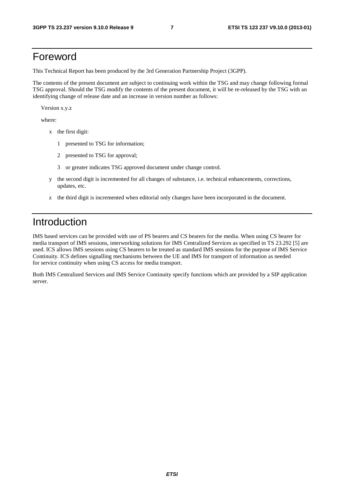# Foreword

This Technical Report has been produced by the 3rd Generation Partnership Project (3GPP).

The contents of the present document are subject to continuing work within the TSG and may change following formal TSG approval. Should the TSG modify the contents of the present document, it will be re-released by the TSG with an identifying change of release date and an increase in version number as follows:

Version x.y.z

where:

- x the first digit:
	- 1 presented to TSG for information;
	- 2 presented to TSG for approval;
	- 3 or greater indicates TSG approved document under change control.
- y the second digit is incremented for all changes of substance, i.e. technical enhancements, corrections, updates, etc.
- z the third digit is incremented when editorial only changes have been incorporated in the document.

# Introduction

IMS based services can be provided with use of PS bearers and CS bearers for the media. When using CS bearer for media transport of IMS sessions, interworking solutions for IMS Centralized Services as specified in TS 23.292 [5] are used. ICS allows IMS sessions using CS bearers to be treated as standard IMS sessions for the purpose of IMS Service Continuity. ICS defines signalling mechanisms between the UE and IMS for transport of information as needed for service continuity when using CS access for media transport.

Both IMS Centralized Services and IMS Service Continuity specify functions which are provided by a SIP application server.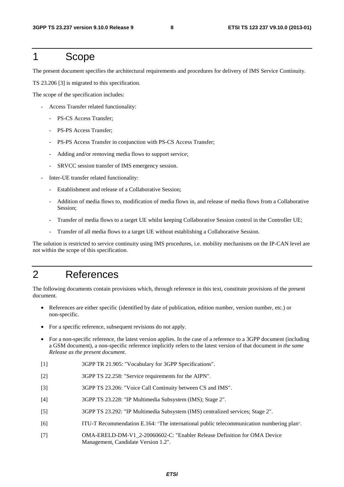# 1 Scope

The present document specifies the architectural requirements and procedures for delivery of IMS Service Continuity.

TS 23.206 [3] is migrated to this specification.

The scope of the specification includes:

- Access Transfer related functionality:
	- PS-CS Access Transfer;
	- PS-PS Access Transfer;
	- PS-PS Access Transfer in conjunction with PS-CS Access Transfer;
	- Adding and/or removing media flows to support service;
	- SRVCC session transfer of IMS emergency session.
- Inter-UE transfer related functionality:
	- Establishment and release of a Collaborative Session;
	- Addition of media flows to, modification of media flows in, and release of media flows from a Collaborative Session;
	- Transfer of media flows to a target UE whilst keeping Collaborative Session control in the Controller UE;
	- Transfer of all media flows to a target UE without establishing a Collaborative Session.

The solution is restricted to service continuity using IMS procedures, i.e. mobility mechanisms on the IP-CAN level are not within the scope of this specification.

# 2 References

The following documents contain provisions which, through reference in this text, constitute provisions of the present document.

- References are either specific (identified by date of publication, edition number, version number, etc.) or non-specific.
- For a specific reference, subsequent revisions do not apply.
- For a non-specific reference, the latest version applies. In the case of a reference to a 3GPP document (including a GSM document), a non-specific reference implicitly refers to the latest version of that document *in the same Release as the present document*.
- [1] 3GPP TR 21.905: "Vocabulary for 3GPP Specifications".
- [2] 3GPP TS 22.258: "Service requirements for the AIPN".
- [3] 3GPP TS 23.206: "Voice Call Continuity between CS and IMS".
- [4] 3GPP TS 23.228: "IP Multimedia Subsystem (IMS); Stage 2".
- [5] 3GPP TS 23.292: "IP Multimedia Subsystem (IMS) centralized services; Stage 2".
- [6] ITU-T Recommendation E.164: "The international public telecommunication numbering plan".
- [7] OMA-ERELD-DM-V1\_2-20060602-C: "Enabler Release Definition for OMA Device Management, Candidate Version 1.2".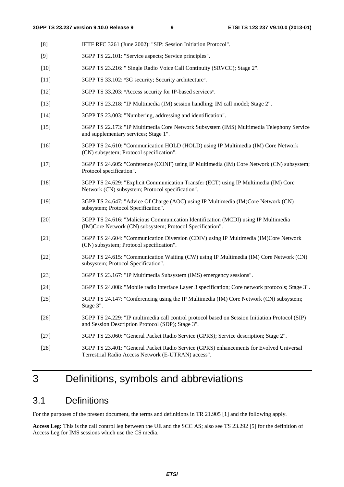- [8] IETF RFC 3261 (June 2002): "SIP: Session Initiation Protocol".
- [9] 3GPP TS 22.101: "Service aspects; Service principles".
- [10] 3GPP TS 23.216: " Single Radio Voice Call Continuity (SRVCC); Stage 2".
- [11] 3GPP TS 33.102: "3G security; Security architecture".
- [12] 3GPP TS 33.203: "Access security for IP-based services".
- [13] 3GPP TS 23.218: "IP Multimedia (IM) session handling; IM call model; Stage 2".
- [14] 3GPP TS 23.003: "Numbering, addressing and identification".
- [15] 3GPP TS 22.173: "IP Multimedia Core Network Subsystem (IMS) Multimedia Telephony Service and supplementary services; Stage 1".
- [16] 3GPP TS 24.610: "Communication HOLD (HOLD) using IP Multimedia (IM) Core Network (CN) subsystem; Protocol specification".
- [17] 3GPP TS 24.605: "Conference (CONF) using IP Multimedia (IM) Core Network (CN) subsystem; Protocol specification".
- [18] 3GPP TS 24.629: "Explicit Communication Transfer (ECT) using IP Multimedia (IM) Core Network (CN) subsystem; Protocol specification".
- [19] 3GPP TS 24.647: "Advice Of Charge (AOC) using IP Multimedia (IM)Core Network (CN) subsystem; Protocol Specification".
- [20] 3GPP TS 24.616: "Malicious Communication Identification (MCDI) using IP Multimedia (IM)Core Network (CN) subsystem; Protocol Specification".
- [21] 3GPP TS 24.604: "Communication Diversion (CDIV) using IP Multimedia (IM)Core Network (CN) subsystem; Protocol specification".
- [22] 3GPP TS 24.615: "Communication Waiting (CW) using IP Multimedia (IM) Core Network (CN) subsystem; Protocol Specification".
- [23] 3GPP TS 23.167: "IP Multimedia Subsystem (IMS) emergency sessions".
- [24] 3GPP TS 24.008: "Mobile radio interface Layer 3 specification; Core network protocols; Stage 3".
- [25] 3GPP TS 24.147: "Conferencing using the IP Multimedia (IM) Core Network (CN) subsystem; Stage 3".
- [26] 3GPP TS 24.229: "IP multimedia call control protocol based on Session Initiation Protocol (SIP) and Session Description Protocol (SDP); Stage 3".
- [27] 3GPP TS 23.060: "General Packet Radio Service (GPRS); Service description; Stage 2".
- [28] 3GPP TS 23.401: "General Packet Radio Service (GPRS) enhancements for Evolved Universal Terrestrial Radio Access Network (E-UTRAN) access".

# 3 Definitions, symbols and abbreviations

# 3.1 Definitions

For the purposes of the present document, the terms and definitions in TR 21.905 [1] and the following apply.

**Access Leg:** This is the call control leg between the UE and the SCC AS; also see TS 23.292 [5] for the definition of Access Leg for IMS sessions which use the CS media.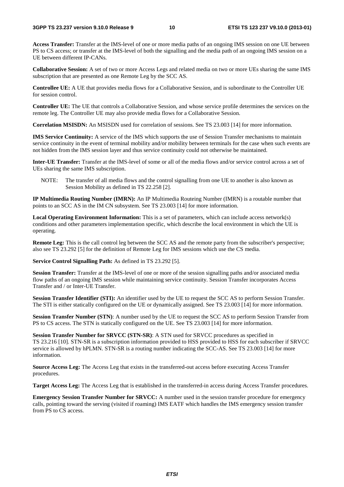**Access Transfer:** Transfer at the IMS-level of one or more media paths of an ongoing IMS session on one UE between PS to CS access; or transfer at the IMS-level of both the signalling and the media path of an ongoing IMS session on a UE between different IP-CANs.

**Collaborative Session:** A set of two or more Access Legs and related media on two or more UEs sharing the same IMS subscription that are presented as one Remote Leg by the SCC AS.

**Controllee UE:** A UE that provides media flows for a Collaborative Session, and is subordinate to the Controller UE for session control.

**Controller UE:** The UE that controls a Collaborative Session, and whose service profile determines the services on the remote leg. The Controller UE may also provide media flows for a Collaborative Session.

**Correlation MSISDN:** An MSISDN used for correlation of sessions. See TS 23.003 [14] for more information.

**IMS Service Continuity:** A service of the IMS which supports the use of Session Transfer mechanisms to maintain service continuity in the event of terminal mobility and/or mobility between terminals for the case when such events are not hidden from the IMS session layer and thus service continuity could not otherwise be maintained.

**Inter-UE Transfer:** Transfer at the IMS-level of some or all of the media flows and/or service control across a set of UEs sharing the same IMS subscription.

NOTE: The transfer of all media flows and the control signalling from one UE to another is also known as Session Mobility as defined in TS 22.258 [2].

**IP Multimedia Routing Number (IMRN):** An IP Multimedia Routeing Number (IMRN) is a routable number that points to an SCC AS in the IM CN subsystem. See TS 23.003 [14] for more information.

**Local Operating Environment Information:** This is a set of parameters, which can include access network(s) conditions and other parameters implementation specific, which describe the local environment in which the UE is operating.

**Remote Leg:** This is the call control leg between the SCC AS and the remote party from the subscriber's perspective; also see TS 23.292 [5] for the definition of Remote Leg for IMS sessions which use the CS media.

**Service Control Signalling Path:** As defined in TS 23.292 [5].

**Session Transfer:** Transfer at the IMS-level of one or more of the session signalling paths and/or associated media flow paths of an ongoing IMS session while maintaining service continuity. Session Transfer incorporates Access Transfer and / or Inter-UE Transfer.

**Session Transfer Identifier (STI):** An identifier used by the UE to request the SCC AS to perform Session Transfer. The STI is either statically configured on the UE or dynamically assigned. See TS 23.003 [14] for more information.

**Session Transfer Number (STN)**: A number used by the UE to request the SCC AS to perform Session Transfer from PS to CS access. The STN is statically configured on the UE. See TS 23.003 [14] for more information.

**Session Transfer Number for SRVCC (STN-SR)**: A STN used for SRVCC procedures as specified in TS 23.216 [10]. STN-SR is a subscription information provided to HSS provided to HSS for each subscriber if SRVCC service is allowed by hPLMN. STN-SR is a routing number indicating the SCC-AS. See TS 23.003 [14] for more information.

**Source Access Leg:** The Access Leg that exists in the transferred-out access before executing Access Transfer procedures.

**Target Access Leg:** The Access Leg that is established in the transferred-in access during Access Transfer procedures.

**Emergency Session Transfer Number for SRVCC:** A number used in the session transfer procedure for emergency calls, pointing toward the serving (visited if roaming) IMS EATF which handles the IMS emergency session transfer from PS to CS access.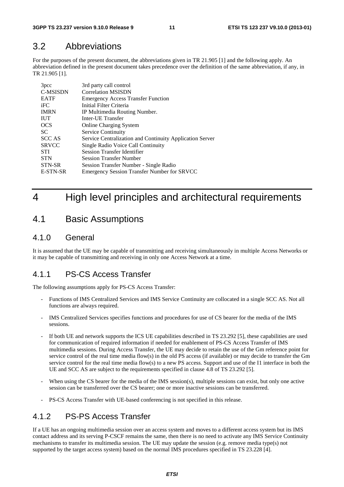# 3.2 Abbreviations

For the purposes of the present document, the abbreviations given in TR 21.905 [1] and the following apply. An abbreviation defined in the present document takes precedence over the definition of the same abbreviation, if any, in TR 21.905 [1].

| 3 <sub>pcc</sub> | 3rd party call control                                   |
|------------------|----------------------------------------------------------|
| <b>C-MSISDN</b>  | <b>Correlation MSISDN</b>                                |
| <b>EATF</b>      | <b>Emergency Access Transfer Function</b>                |
| iFC              | Initial Filter Criteria                                  |
| <b>IMRN</b>      | IP Multimedia Routing Number.                            |
| <b>IUT</b>       | Inter-UE Transfer                                        |
| <b>OCS</b>       | <b>Online Charging System</b>                            |
| SC.              | Service Continuity                                       |
| <b>SCC AS</b>    | Service Centralization and Continuity Application Server |
| <b>SRVCC</b>     | Single Radio Voice Call Continuity                       |
| <b>STI</b>       | <b>Session Transfer Identifier</b>                       |
| <b>STN</b>       | <b>Session Transfer Number</b>                           |
| STN-SR           | Session Transfer Number - Single Radio                   |
| E-STN-SR         | <b>Emergency Session Transfer Number for SRVCC</b>       |

# 4 High level principles and architectural requirements

# 4.1 Basic Assumptions

### 4.1.0 General

It is assumed that the UE may be capable of transmitting and receiving simultaneously in multiple Access Networks or it may be capable of transmitting and receiving in only one Access Network at a time.

### 4.1.1 PS-CS Access Transfer

The following assumptions apply for PS-CS Access Transfer:

- Functions of IMS Centralized Services and IMS Service Continuity are collocated in a single SCC AS. Not all functions are always required.
- IMS Centralized Services specifies functions and procedures for use of CS bearer for the media of the IMS sessions.
- If both UE and network supports the ICS UE capabilities described in TS 23.292 [5], these capabilities are used for communication of required information if needed for enablement of PS-CS Access Transfer of IMS multimedia sessions. During Access Transfer, the UE may decide to retain the use of the Gm reference point for service control of the real time media flow(s) in the old PS access (if available) or may decide to transfer the Gm service control for the real time media flow(s) to a new PS access. Support and use of the I1 interface in both the UE and SCC AS are subject to the requirements specified in clause 4.8 of TS 23.292 [5].
- When using the CS bearer for the media of the IMS session(s), multiple sessions can exist, but only one active session can be transferred over the CS bearer; one or more inactive sessions can be transferred.
- PS-CS Access Transfer with UE-based conferencing is not specified in this release.

# 4.1.2 PS-PS Access Transfer

If a UE has an ongoing multimedia session over an access system and moves to a different access system but its IMS contact address and its serving P-CSCF remains the same, then there is no need to activate any IMS Service Continuity mechanisms to transfer its multimedia session. The UE may update the session (e.g. remove media type(s) not supported by the target access system) based on the normal IMS procedures specified in TS 23.228 [4].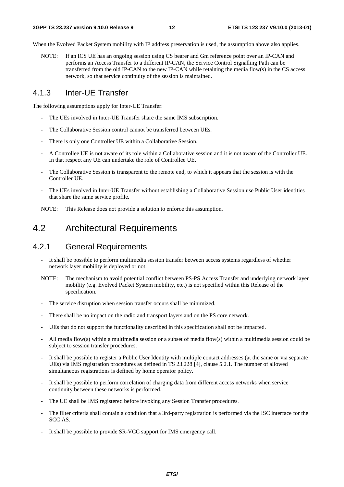When the Evolved Packet System mobility with IP address preservation is used, the assumption above also applies.

NOTE: If an ICS UE has an ongoing session using CS bearer and Gm reference point over an IP-CAN and performs an Access Transfer to a different IP-CAN, the Service Control Signalling Path can be transferred from the old IP-CAN to the new IP-CAN while retaining the media flow(s) in the CS access network, so that service continuity of the session is maintained.

# 4.1.3 Inter-UE Transfer

The following assumptions apply for Inter-UE Transfer:

- The UEs involved in Inter-UE Transfer share the same IMS subscription.
- The Collaborative Session control cannot be transferred between UEs.
- There is only one Controller UE within a Collaborative Session.
- A Controllee UE is not aware of its role within a Collaborative session and it is not aware of the Controller UE. In that respect any UE can undertake the role of Controllee UE.
- The Collaborative Session is transparent to the remote end, to which it appears that the session is with the Controller UE.
- The UEs involved in Inter-UE Transfer without establishing a Collaborative Session use Public User identities that share the same service profile.

NOTE: This Release does not provide a solution to enforce this assumption.

# 4.2 Architectural Requirements

# 4.2.1 General Requirements

- It shall be possible to perform multimedia session transfer between access systems regardless of whether network layer mobility is deployed or not.
- NOTE: The mechanism to avoid potential conflict between PS-PS Access Transfer and underlying network layer mobility (e.g. Evolved Packet System mobility, etc.) is not specified within this Release of the specification.
- The service disruption when session transfer occurs shall be minimized.
- There shall be no impact on the radio and transport layers and on the PS core network.
- UEs that do not support the functionality described in this specification shall not be impacted.
- All media flow(s) within a multimedia session or a subset of media flow(s) within a multimedia session could be subject to session transfer procedures.
- It shall be possible to register a Public User Identity with multiple contact addresses (at the same or via separate UEs) via IMS registration procedures as defined in TS 23.228 [4], clause 5.2.1. The number of allowed simultaneous registrations is defined by home operator policy.
- It shall be possible to perform correlation of charging data from different access networks when service continuity between these networks is performed.
- The UE shall be IMS registered before invoking any Session Transfer procedures.
- The filter criteria shall contain a condition that a 3rd-party registration is performed via the ISC interface for the SCC AS.
- It shall be possible to provide SR-VCC support for IMS emergency call.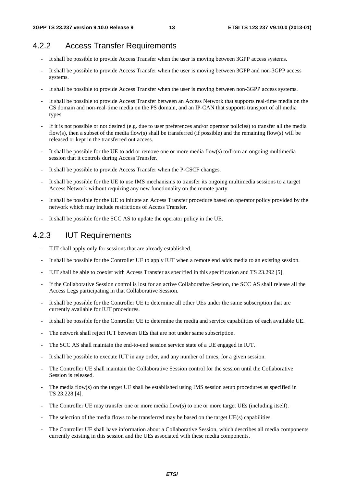# 4.2.2 Access Transfer Requirements

- It shall be possible to provide Access Transfer when the user is moving between 3GPP access systems.
- It shall be possible to provide Access Transfer when the user is moving between 3GPP and non-3GPP access systems.
- It shall be possible to provide Access Transfer when the user is moving between non-3GPP access systems.
- It shall be possible to provide Access Transfer between an Access Network that supports real-time media on the CS domain and non-real-time media on the PS domain, and an IP-CAN that supports transport of all media types.
- If it is not possible or not desired (e.g. due to user preferences and/or operator policies) to transfer all the media flow(s), then a subset of the media flow(s) shall be transferred (if possible) and the remaining flow(s) will be released or kept in the transferred out access.
- It shall be possible for the UE to add or remove one or more media flow(s) to/from an ongoing multimedia session that it controls during Access Transfer.
- It shall be possible to provide Access Transfer when the P-CSCF changes.
- It shall be possible for the UE to use IMS mechanisms to transfer its ongoing multimedia sessions to a target Access Network without requiring any new functionality on the remote party.
- It shall be possible for the UE to initiate an Access Transfer procedure based on operator policy provided by the network which may include restrictions of Access Transfer.
- It shall be possible for the SCC AS to update the operator policy in the UE.

# 4.2.3 IUT Requirements

- IUT shall apply only for sessions that are already established.
- It shall be possible for the Controller UE to apply IUT when a remote end adds media to an existing session.
- IUT shall be able to coexist with Access Transfer as specified in this specification and TS 23.292 [5].
- If the Collaborative Session control is lost for an active Collaborative Session, the SCC AS shall release all the Access Legs participating in that Collaborative Session.
- It shall be possible for the Controller UE to determine all other UEs under the same subscription that are currently available for IUT procedures.
- It shall be possible for the Controller UE to determine the media and service capabilities of each available UE.
- The network shall reject IUT between UEs that are not under same subscription.
- The SCC AS shall maintain the end-to-end session service state of a UE engaged in IUT.
- It shall be possible to execute IUT in any order, and any number of times, for a given session.
- The Controller UE shall maintain the Collaborative Session control for the session until the Collaborative Session is released.
- The media flow(s) on the target UE shall be established using IMS session setup procedures as specified in TS 23.228 [4].
- The Controller UE may transfer one or more media flow(s) to one or more target UEs (including itself).
- The selection of the media flows to be transferred may be based on the target UE(s) capabilities.
- The Controller UE shall have information about a Collaborative Session, which describes all media components currently existing in this session and the UEs associated with these media components.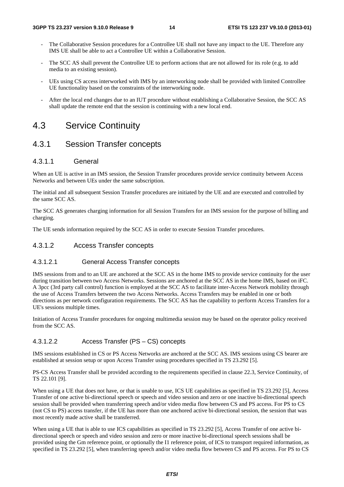- The Collaborative Session procedures for a Controllee UE shall not have any impact to the UE. Therefore any IMS UE shall be able to act a Controllee UE within a Collaborative Session.
- The SCC AS shall prevent the Controllee UE to perform actions that are not allowed for its role (e.g. to add media to an existing session).
- UEs using CS access interworked with IMS by an interworking node shall be provided with limited Controllee UE functionality based on the constraints of the interworking node.
- After the local end changes due to an IUT procedure without establishing a Collaborative Session, the SCC AS shall update the remote end that the session is continuing with a new local end.

# 4.3 Service Continuity

# 4.3.1 Session Transfer concepts

### 4.3.1.1 General

When an UE is active in an IMS session, the Session Transfer procedures provide service continuity between Access Networks and between UEs under the same subscription.

The initial and all subsequent Session Transfer procedures are initiated by the UE and are executed and controlled by the same SCC AS.

The SCC AS generates charging information for all Session Transfers for an IMS session for the purpose of billing and charging.

The UE sends information required by the SCC AS in order to execute Session Transfer procedures.

### 4.3.1.2 Access Transfer concepts

### 4.3.1.2.1 General Access Transfer concepts

IMS sessions from and to an UE are anchored at the SCC AS in the home IMS to provide service continuity for the user during transition between two Access Networks. Sessions are anchored at the SCC AS in the home IMS, based on iFC. A 3pcc (3rd party call control) function is employed at the SCC AS to facilitate inter-Access Network mobility through the use of Access Transfers between the two Access Networks. Access Transfers may be enabled in one or both directions as per network configuration requirements. The SCC AS has the capability to perform Access Transfers for a UE's sessions multiple times.

Initiation of Access Transfer procedures for ongoing multimedia session may be based on the operator policy received from the SCC AS.

### 4.3.1.2.2 Access Transfer (PS – CS) concepts

IMS sessions established in CS or PS Access Networks are anchored at the SCC AS. IMS sessions using CS bearer are established at session setup or upon Access Transfer using procedures specified in TS 23.292 [5].

PS-CS Access Transfer shall be provided according to the requirements specified in clause 22.3, Service Continuity, of TS 22.101 [9].

When using a UE that does not have, or that is unable to use, ICS UE capabilities as specified in TS 23.292 [5], Access Transfer of one active bi-directional speech or speech and video session and zero or one inactive bi-directional speech session shall be provided when transferring speech and/or video media flow between CS and PS access. For PS to CS (not CS to PS) access transfer, if the UE has more than one anchored active bi-directional session, the session that was most recently made active shall be transferred.

When using a UE that is able to use ICS capabilities as specified in TS 23.292 [5], Access Transfer of one active bidirectional speech or speech and video session and zero or more inactive bi-directional speech sessions shall be provided using the Gm reference point, or optionally the I1 reference point, of ICS to transport required information, as specified in TS 23.292 [5], when transferring speech and/or video media flow between CS and PS access. For PS to CS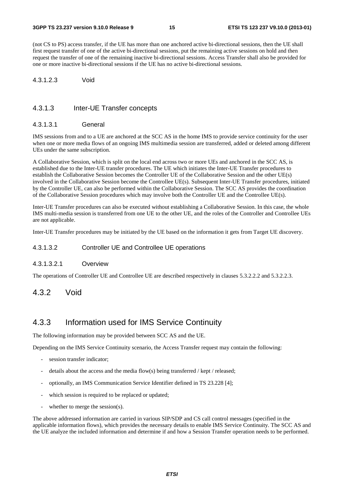(not CS to PS) access transfer, if the UE has more than one anchored active bi-directional sessions, then the UE shall first request transfer of one of the active bi-directional sessions, put the remaining active sessions on hold and then request the transfer of one of the remaining inactive bi-directional sessions. Access Transfer shall also be provided for one or more inactive bi-directional sessions if the UE has no active bi-directional sessions.

#### 4.3.1.2.3 Void

#### 4.3.1.3 Inter-UE Transfer concepts

#### 4.3.1.3.1 General

IMS sessions from and to a UE are anchored at the SCC AS in the home IMS to provide service continuity for the user when one or more media flows of an ongoing IMS multimedia session are transferred, added or deleted among different UEs under the same subscription.

A Collaborative Session, which is split on the local end across two or more UEs and anchored in the SCC AS, is established due to the Inter-UE transfer procedures. The UE which initiates the Inter-UE Transfer procedures to establish the Collaborative Session becomes the Controller UE of the Collaborative Session and the other UE(s) involved in the Collaborative Session become the Controllee UE(s). Subsequent Inter-UE Transfer procedures, initiated by the Controller UE, can also be performed within the Collaborative Session. The SCC AS provides the coordination of the Collaborative Session procedures which may involve both the Controller UE and the Controllee UE(s).

Inter-UE Transfer procedures can also be executed without establishing a Collaborative Session. In this case, the whole IMS multi-media session is transferred from one UE to the other UE, and the roles of the Controller and Controllee UEs are not applicable.

Inter-UE Transfer procedures may be initiated by the UE based on the information it gets from Target UE discovery.

#### 4.3.1.3.2 Controller UE and Controllee UE operations

#### 4.3.1.3.2.1 Overview

The operations of Controller UE and Controllee UE are described respectively in clauses 5.3.2.2.2 and 5.3.2.2.3.

### 4.3.2 Void

### 4.3.3 Information used for IMS Service Continuity

The following information may be provided between SCC AS and the UE.

Depending on the IMS Service Continuity scenario, the Access Transfer request may contain the following:

- session transfer indicator:
- details about the access and the media flow(s) being transferred / kept / released;
- optionally, an IMS Communication Service Identifier defined in TS 23.228 [4];
- which session is required to be replaced or updated;
- whether to merge the session(s).

The above addressed information are carried in various SIP/SDP and CS call control messages (specified in the applicable information flows), which provides the necessary details to enable IMS Service Continuity. The SCC AS and the UE analyze the included information and determine if and how a Session Transfer operation needs to be performed.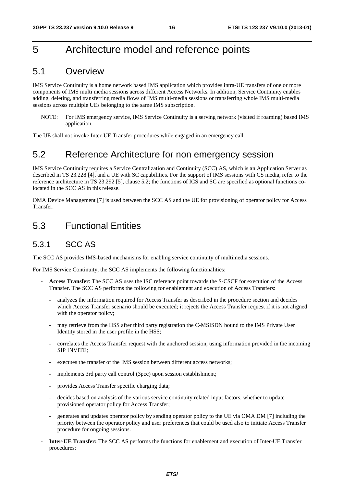# 5 Architecture model and reference points

# 5.1 Overview

IMS Service Continuity is a home network based IMS application which provides intra-UE transfers of one or more components of IMS multi media sessions across different Access Networks. In addition, Service Continuity enables adding, deleting, and transferring media flows of IMS multi-media sessions or transferring whole IMS multi-media sessions across multiple UEs belonging to the same IMS subscription.

NOTE: For IMS emergency service, IMS Service Continuity is a serving network (visited if roaming) based IMS application.

The UE shall not invoke Inter-UE Transfer procedures while engaged in an emergency call.

# 5.2 Reference Architecture for non emergency session

IMS Service Continuity requires a Service Centralization and Continuity (SCC) AS, which is an Application Server as described in TS 23.228 [4], and a UE with SC capabilities. For the support of IMS sessions with CS media, refer to the reference architecture in TS 23.292 [5], clause 5.2; the functions of ICS and SC are specified as optional functions colocated in the SCC AS in this release.

OMA Device Management [7] is used between the SCC AS and the UE for provisioning of operator policy for Access Transfer.

# 5.3 Functional Entities

# 5.3.1 SCC AS

The SCC AS provides IMS-based mechanisms for enabling service continuity of multimedia sessions.

For IMS Service Continuity, the SCC AS implements the following functionalities:

- **Access Transfer**: The SCC AS uses the ISC reference point towards the S-CSCF for execution of the Access Transfer. The SCC AS performs the following for enablement and execution of Access Transfers:
	- analyzes the information required for Access Transfer as described in the procedure section and decides which Access Transfer scenario should be executed; it rejects the Access Transfer request if it is not aligned with the operator policy;
	- may retrieve from the HSS after third party registration the C-MSISDN bound to the IMS Private User Identity stored in the user profile in the HSS;
	- correlates the Access Transfer request with the anchored session, using information provided in the incoming SIP INVITE;
	- executes the transfer of the IMS session between different access networks;
	- implements 3rd party call control (3pcc) upon session establishment;
	- provides Access Transfer specific charging data;
	- decides based on analysis of the various service continuity related input factors, whether to update provisioned operator policy for Access Transfer;
	- generates and updates operator policy by sending operator policy to the UE via OMA DM [7] including the priority between the operator policy and user preferences that could be used also to initiate Access Transfer procedure for ongoing sessions.
- **Inter-UE Transfer:** The SCC AS performs the functions for enablement and execution of Inter-UE Transfer procedures: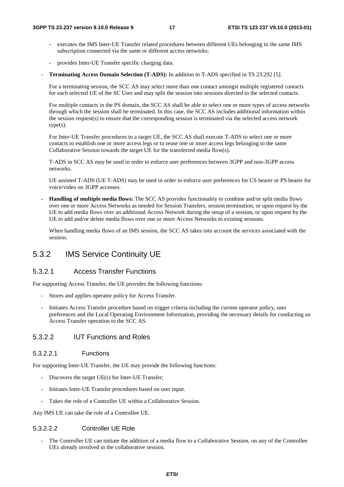- executes the IMS Inter-UE Transfer related procedures between different UEs belonging to the same IMS subscription connected via the same or different access networks;
- provides Inter-UE Transfer specific charging data.
- **Terminating Access Domain Selection (T-ADS):** In addition to T-ADS specified in TS 23.292 [5].

 For a terminating session, the SCC AS may select more than one contact amongst multiple registered contacts for each selected UE of the SC User and may split the session into sessions directed to the selected contacts.

 For multiple contacts in the PS domain, the SCC AS shall be able to select one or more types of access networks through which the session shall be terminated. In this case, the SCC AS includes additional information within the session request(s) to ensure that the corresponding session is terminated via the selected access network  $type(s)$ .

 For Inter-UE Transfer procedures to a target UE, the SCC AS shall execute T-ADS to select one or more contacts to establish one or more access legs or to reuse one or more access legs belonging to the same Collaborative Session towards the target UE for the transferred media flow(s).

 T-ADS in SCC AS may be used in order to enforce user preferences between 3GPP and non-3GPP access networks.

 UE assisted T-ADS (UE T-ADS) may be used in order to enforce user preferences for CS bearer or PS bearer for voice/video on 3GPP accesses.

- **Handling of multiple media flows:** The SCC AS provides functionality to combine and/or split media flows over one or more Access Networks as needed for Session Transfers, session termination, or upon request by the UE to add media flows over an additional Access Network during the setup of a session, or upon request by the UE to add and/or delete media flows over one or more Access Networks to existing sessions.

 When handling media flows of an IMS session, the SCC AS takes into account the services associated with the session.

### 5.3.2 IMS Service Continuity UE

#### 5.3.2.1 Access Transfer Functions

For supporting Access Transfer, the UE provides the following functions:

- Stores and applies operator policy for Access Transfer.
- Initiates Access Transfer procedure based on trigger criteria including the current operator policy, user preferences and the Local Operating Environment Information, providing the necessary details for conducting an Access Transfer operation to the SCC AS.

### 5.3.2.2 IUT Functions and Roles

#### 5.3.2.2.1 Functions

For supporting Inter-UE Transfer, the UE may provide the following functions:

- Discovers the target UE(s) for Inter-UE Transfer;
- Initiates Inter-UE Transfer procedures based on user input.
- Takes the role of a Controller UE within a Collaborative Session.

Any IMS UE can take the role of a Controllee UE.

#### 5.3.2.2.2 Controller UE Role

The Controller UE can initiate the addition of a media flow to a Collaborative Session, on any of the Controllee UEs already involved in the collaborative session.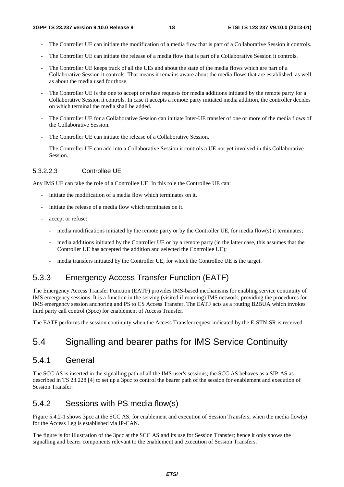- The Controller UE can initiate the modification of a media flow that is part of a Collaborative Session it controls.
- The Controller UE can initiate the release of a media flow that is part of a Collaborative Session it controls.
- The Controller UE keeps track of all the UEs and about the state of the media flows which are part of a Collaborative Session it controls. That means it remains aware about the media flows that are established, as well as about the media used for those.
- The Controller UE is the one to accept or refuse requests for media additions initiated by the remote party for a Collaborative Session it controls. In case it accepts a remote party initiated media addition, the controller decides on which terminal the media shall be added.
- The Controller UE for a Collaborative Session can initiate Inter-UE transfer of one or more of the media flows of the Collaborative Session.
- The Controller UE can initiate the release of a Collaborative Session.
- The Controller UE can add into a Collaborative Session it controls a UE not yet involved in this Collaborative Session.

### 5.3.2.2.3 Controllee UE

Any IMS UE can take the role of a Controllee UE. In this role the Controllee UE can:

- initiate the modification of a media flow which terminates on it.
- initiate the release of a media flow which terminates on it.
- accept or refuse:
	- media modifications initiated by the remote party or by the Controller UE, for media flow(s) it terminates;
	- media additions initiated by the Controller UE or by a remote party (in the latter case, this assumes that the Controller UE has accepted the addition and selected the Controllee UE);
	- media transfers initiated by the Controller UE, for which the Controllee UE is the target.

# 5.3.3 Emergency Access Transfer Function (EATF)

The Emergency Access Transfer Function (EATF) provides IMS-based mechanisms for enabling service continuity of IMS emergency sessions. It is a function in the serving (visited if roaming) IMS network, providing the procedures for IMS emergency session anchoring and PS to CS Access Transfer. The EATF acts as a routing B2BUA which invokes third party call control (3pcc) for enablement of Access Transfer.

The EATF performs the session continuity when the Access Transfer request indicated by the E-STN-SR is received.

# 5.4 Signalling and bearer paths for IMS Service Continuity

### 5.4.1 General

The SCC AS is inserted in the signalling path of all the IMS user's sessions; the SCC AS behaves as a SIP-AS as described in TS 23.228 [4] to set up a 3pcc to control the bearer path of the session for enablement and execution of Session Transfer.

### 5.4.2 Sessions with PS media flow(s)

Figure 5.4.2-1 shows 3pcc at the SCC AS, for enablement and execution of Session Transfers, when the media flow(s) for the Access Leg is established via IP-CAN.

The figure is for illustration of the 3pcc at the SCC AS and its use for Session Transfer; hence it only shows the signalling and bearer components relevant to the enablement and execution of Session Transfers.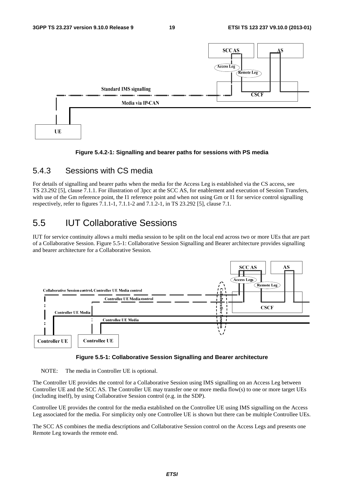

**Figure 5.4.2-1: Signalling and bearer paths for sessions with PS media** 

### 5.4.3 Sessions with CS media

For details of signalling and bearer paths when the media for the Access Leg is established via the CS access, see TS 23.292 [5], clause 7.1.1. For illustration of 3pcc at the SCC AS, for enablement and execution of Session Transfers, with use of the Gm reference point, the I1 reference point and when not using Gm or I1 for service control signalling respectively, refer to figures 7.1.1-1, 7.1.1-2 and 7.1.2-1, in TS 23.292 [5], clause 7.1.

# 5.5 IUT Collaborative Sessions

IUT for service continuity allows a multi media session to be split on the local end across two or more UEs that are part of a Collaborative Session. Figure 5.5-1: Collaborative Session Signalling and Bearer architecture provides signalling and bearer architecture for a Collaborative Session.





NOTE: The media in Controller UE is optional.

The Controller UE provides the control for a Collaborative Session using IMS signalling on an Access Leg between Controller UE and the SCC AS. The Controller UE may transfer one or more media flow(s) to one or more target UEs (including itself), by using Collaborative Session control (e.g. in the SDP).

Controllee UE provides the control for the media established on the Controllee UE using IMS signalling on the Access Leg associated for the media. For simplicity only one Controllee UE is shown but there can be multiple Controllee UEs.

The SCC AS combines the media descriptions and Collaborative Session control on the Access Legs and presents one Remote Leg towards the remote end.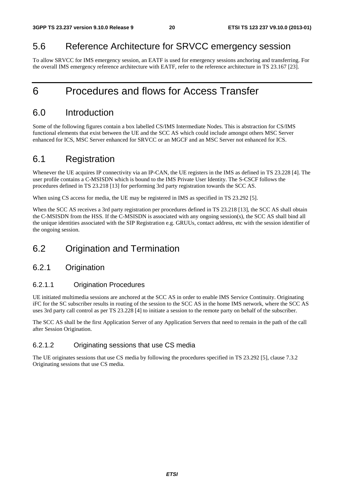# 5.6 Reference Architecture for SRVCC emergency session

To allow SRVCC for IMS emergency session, an EATF is used for emergency sessions anchoring and transferring. For the overall IMS emergency reference architecture with EATF, refer to the reference architecture in TS 23.167 [23].

# 6 Procedures and flows for Access Transfer

# 6.0 Introduction

Some of the following figures contain a box labelled CS/IMS Intermediate Nodes. This is abstraction for CS/IMS functional elements that exist between the UE and the SCC AS which could include amongst others MSC Server enhanced for ICS, MSC Server enhanced for SRVCC or an MGCF and an MSC Server not enhanced for ICS.

# 6.1 Registration

Whenever the UE acquires IP connectivity via an IP-CAN, the UE registers in the IMS as defined in TS 23.228 [4]. The user profile contains a C-MSISDN which is bound to the IMS Private User Identity. The S-CSCF follows the procedures defined in TS 23.218 [13] for performing 3rd party registration towards the SCC AS.

When using CS access for media, the UE may be registered in IMS as specified in TS 23.292 [5].

When the SCC AS receives a 3rd party registration per procedures defined in TS 23.218 [13], the SCC AS shall obtain the C-MSISDN from the HSS. If the C-MSISDN is associated with any ongoing session(s), the SCC AS shall bind all the unique identities associated with the SIP Registration e.g. GRUUs, contact address, etc with the session identifier of the ongoing session.

# 6.2 Origination and Termination

### 6.2.1 Origination

### 6.2.1.1 Origination Procedures

UE initiated multimedia sessions are anchored at the SCC AS in order to enable IMS Service Continuity. Originating iFC for the SC subscriber results in routing of the session to the SCC AS in the home IMS network, where the SCC AS uses 3rd party call control as per TS 23.228 [4] to initiate a session to the remote party on behalf of the subscriber.

The SCC AS shall be the first Application Server of any Application Servers that need to remain in the path of the call after Session Origination.

### 6.2.1.2 Originating sessions that use CS media

The UE originates sessions that use CS media by following the procedures specified in TS 23.292 [5], clause 7.3.2 Originating sessions that use CS media.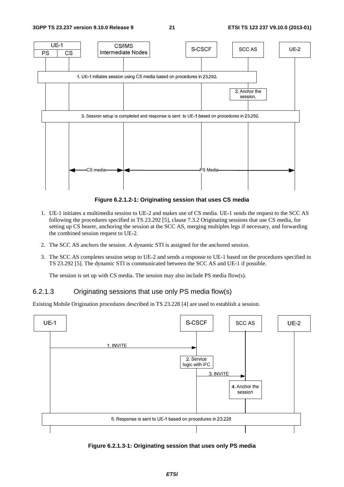

**Figure 6.2.1.2-1: Originating session that uses CS media** 

- 1. UE-1 initiates a multimedia session to UE-2 and makes use of CS media. UE-1 sends the request to the SCC AS following the procedures specified in TS 23.292 [5], clause 7.3.2 Originating sessions that use CS media, for setting up CS bearer, anchoring the session at the SCC AS, merging multiples legs if necessary, and forwarding the combined session request to UE-2.
- 2. The SCC AS anchors the session. A dynamic STI is assigned for the anchored session.
- 3. The SCC AS completes session setup to UE-2 and sends a response to UE-1 based on the procedures specified in TS 23.292 [5]. The dynamic STI is communicated between the SCC AS and UE-1 if possible.

The session is set up with CS media. The session may also include PS media flow(s).

### 6.2.1.3 Originating sessions that use only PS media flow(s)

Existing Mobile Origination procedures described in TS 23.228 [4] are used to establish a session.



**Figure 6.2.1.3-1: Originating session that uses only PS media**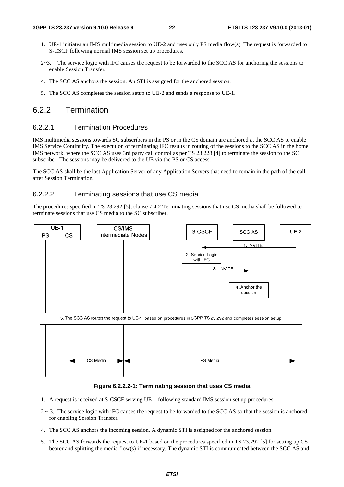- 1. UE-1 initiates an IMS multimedia session to UE-2 and uses only PS media flow(s). The request is forwarded to S-CSCF following normal IMS session set up procedures.
- 2~3. The service logic with iFC causes the request to be forwarded to the SCC AS for anchoring the sessions to enable Session Transfer.
- 4. The SCC AS anchors the session. An STI is assigned for the anchored session.
- 5. The SCC AS completes the session setup to UE-2 and sends a response to UE-1.

### 6.2.2 Termination

#### 6.2.2.1 Termination Procedures

IMS multimedia sessions towards SC subscribers in the PS or in the CS domain are anchored at the SCC AS to enable IMS Service Continuity. The execution of terminating iFC results in routing of the sessions to the SCC AS in the home IMS network, where the SCC AS uses 3rd party call control as per TS 23.228 [4] to terminate the session to the SC subscriber. The sessions may be delivered to the UE via the PS or CS access.

The SCC AS shall be the last Application Server of any Application Servers that need to remain in the path of the call after Session Termination.

### 6.2.2.2 Terminating sessions that use CS media

The procedures specified in TS 23.292 [5], clause 7.4.2 Terminating sessions that use CS media shall be followed to terminate sessions that use CS media to the SC subscriber.



**Figure 6.2.2.2-1: Terminating session that uses CS media** 

- 1. A request is received at S-CSCF serving UE-1 following standard IMS session set up procedures.
- $2 \sim 3$ . The service logic with iFC causes the request to be forwarded to the SCC AS so that the session is anchored for enabling Session Transfer.
- 4. The SCC AS anchors the incoming session. A dynamic STI is assigned for the anchored session.
- 5. The SCC AS forwards the request to UE-1 based on the procedures specified in TS 23.292 [5] for setting up CS bearer and splitting the media flow(s) if necessary. The dynamic STI is communicated between the SCC AS and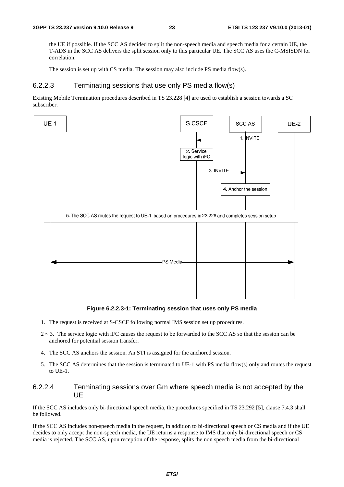the UE if possible. If the SCC AS decided to split the non-speech media and speech media for a certain UE, the T-ADS in the SCC AS delivers the split session only to this particular UE. The SCC AS uses the C-MSISDN for correlation.

The session is set up with CS media. The session may also include PS media flow(s).

#### 6.2.2.3 Terminating sessions that use only PS media flow(s)

Existing Mobile Termination procedures described in TS 23.228 [4] are used to establish a session towards a SC subscriber.



#### **Figure 6.2.2.3-1: Terminating session that uses only PS media**

- 1. The request is received at S-CSCF following normal IMS session set up procedures.
- $2 \sim 3$ . The service logic with iFC causes the request to be forwarded to the SCC AS so that the session can be anchored for potential session transfer.
- 4. The SCC AS anchors the session. An STI is assigned for the anchored session.
- 5. The SCC AS determines that the session is terminated to UE-1 with PS media flow(s) only and routes the request to UE-1.

#### 6.2.2.4 Terminating sessions over Gm where speech media is not accepted by the UE

If the SCC AS includes only bi-directional speech media, the procedures specified in TS 23.292 [5], clause 7.4.3 shall be followed.

If the SCC AS includes non-speech media in the request, in addition to bi-directional speech or CS media and if the UE decides to only accept the non-speech media, the UE returns a response to IMS that only bi-directional speech or CS media is rejected. The SCC AS, upon reception of the response, splits the non speech media from the bi-directional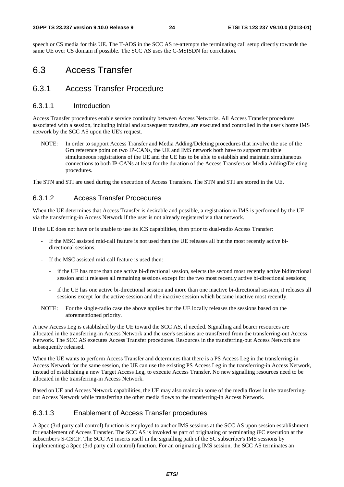speech or CS media for this UE. The T-ADS in the SCC AS re-attempts the terminating call setup directly towards the same UE over CS domain if possible. The SCC AS uses the C-MSISDN for correlation.

# 6.3 Access Transfer

### 6.3.1 Access Transfer Procedure

#### 6.3.1.1 Introduction

Access Transfer procedures enable service continuity between Access Networks. All Access Transfer procedures associated with a session, including initial and subsequent transfers, are executed and controlled in the user's home IMS network by the SCC AS upon the UE's request.

NOTE: In order to support Access Transfer and Media Adding/Deleting procedures that involve the use of the Gm reference point on two IP-CANs, the UE and IMS network both have to support multiple simultaneous registrations of the UE and the UE has to be able to establish and maintain simultaneous connections to both IP-CANs at least for the duration of the Access Transfers or Media Adding/Deleting procedures.

The STN and STI are used during the execution of Access Transfers. The STN and STI are stored in the UE.

### 6.3.1.2 Access Transfer Procedures

When the UE determines that Access Transfer is desirable and possible, a registration in IMS is performed by the UE via the transferring-in Access Network if the user is not already registered via that network.

If the UE does not have or is unable to use its ICS capabilities, then prior to dual-radio Access Transfer:

- If the MSC assisted mid-call feature is not used then the UE releases all but the most recently active bidirectional sessions.
- If the MSC assisted mid-call feature is used then:
	- if the UE has more than one active bi-directional session, selects the second most recently active bidirectional session and it releases all remaining sessions except for the two most recently active bi-directional sessions;
	- if the UE has one active bi-directional session and more than one inactive bi-directional session, it releases all sessions except for the active session and the inactive session which became inactive most recently.
- NOTE: For the single-radio case the above applies but the UE locally releases the sessions based on the aforementioned priority.

A new Access Leg is established by the UE toward the SCC AS, if needed. Signalling and bearer resources are allocated in the transferring-in Access Network and the user's sessions are transferred from the transferring-out Access Network. The SCC AS executes Access Transfer procedures. Resources in the transferring-out Access Network are subsequently released.

When the UE wants to perform Access Transfer and determines that there is a PS Access Leg in the transferring-in Access Network for the same session, the UE can use the existing PS Access Leg in the transferring-in Access Network, instead of establishing a new Target Access Leg, to execute Access Transfer. No new signalling resources need to be allocated in the transferring-in Access Network.

Based on UE and Access Network capabilities, the UE may also maintain some of the media flows in the transferringout Access Network while transferring the other media flows to the transferring-in Access Network.

### 6.3.1.3 Enablement of Access Transfer procedures

A 3pcc (3rd party call control) function is employed to anchor IMS sessions at the SCC AS upon session establishment for enablement of Access Transfer. The SCC AS is invoked as part of originating or terminating iFC execution at the subscriber's S-CSCF. The SCC AS inserts itself in the signalling path of the SC subscriber's IMS sessions by implementing a 3pcc (3rd party call control) function. For an originating IMS session, the SCC AS terminates an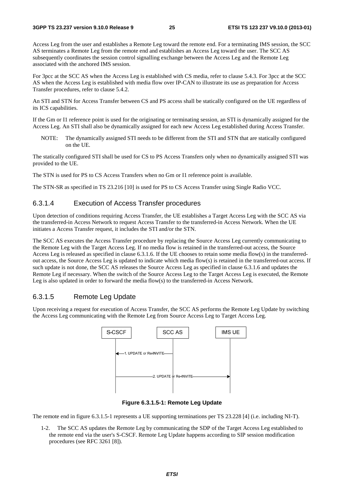Access Leg from the user and establishes a Remote Leg toward the remote end. For a terminating IMS session, the SCC AS terminates a Remote Leg from the remote end and establishes an Access Leg toward the user. The SCC AS subsequently coordinates the session control signalling exchange between the Access Leg and the Remote Leg associated with the anchored IMS session.

For 3pcc at the SCC AS when the Access Leg is established with CS media, refer to clause 5.4.3. For 3pcc at the SCC AS when the Access Leg is established with media flow over IP-CAN to illustrate its use as preparation for Access Transfer procedures, refer to clause 5.4.2.

An STI and STN for Access Transfer between CS and PS access shall be statically configured on the UE regardless of its ICS capabilities.

If the Gm or I1 reference point is used for the originating or terminating session, an STI is dynamically assigned for the Access Leg. An STI shall also be dynamically assigned for each new Access Leg established during Access Transfer.

NOTE: The dynamically assigned STI needs to be different from the STI and STN that are statically configured on the UE.

The statically configured STI shall be used for CS to PS Access Transfers only when no dynamically assigned STI was provided to the UE.

The STN is used for PS to CS Access Transfers when no Gm or I1 reference point is available.

The STN-SR as specified in TS 23.216 [10] is used for PS to CS Access Transfer using Single Radio VCC.

#### 6.3.1.4 Execution of Access Transfer procedures

Upon detection of conditions requiring Access Transfer, the UE establishes a Target Access Leg with the SCC AS via the transferred-in Access Network to request Access Transfer to the transferred-in Access Network. When the UE initiates a Access Transfer request, it includes the STI and/or the STN.

The SCC AS executes the Access Transfer procedure by replacing the Source Access Leg currently communicating to the Remote Leg with the Target Access Leg. If no media flow is retained in the transferred-out access, the Source Access Leg is released as specified in clause 6.3.1.6. If the UE chooses to retain some media flow(s) in the transferredout access, the Source Access Leg is updated to indicate which media flow(s) is retained in the transferred-out access. If such update is not done, the SCC AS releases the Source Access Leg as specified in clause 6.3.1.6 and updates the Remote Leg if necessary. When the switch of the Source Access Leg to the Target Access Leg is executed, the Remote Leg is also updated in order to forward the media flow(s) to the transferred-in Access Network.

### 6.3.1.5 Remote Leg Update

Upon receiving a request for execution of Access Transfer, the SCC AS performs the Remote Leg Update by switching the Access Leg communicating with the Remote Leg from Source Access Leg to Target Access Leg.



**Figure 6.3.1.5-1: Remote Leg Update** 

The remote end in figure 6.3.1.5-1 represents a UE supporting terminations per TS 23.228 [4] (i.e. including NI-T).

1-2. The SCC AS updates the Remote Leg by communicating the SDP of the Target Access Leg established to the remote end via the user's S-CSCF. Remote Leg Update happens according to SIP session modification procedures (see RFC 3261 [8]).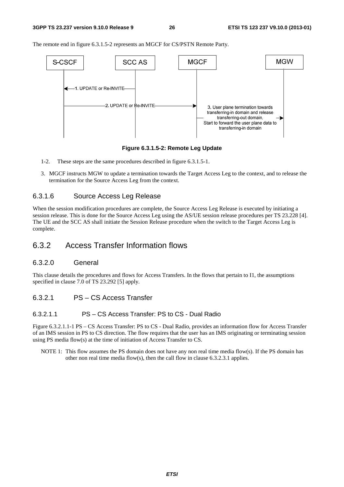The remote end in figure 6.3.1.5-2 represents an MGCF for CS/PSTN Remote Party.



**Figure 6.3.1.5-2: Remote Leg Update**

- 1-2. These steps are the same procedures described in figure 6.3.1.5-1.
- 3. MGCF instructs MGW to update a termination towards the Target Access Leg to the context, and to release the termination for the Source Access Leg from the context.

#### 6.3.1.6 Source Access Leg Release

When the session modification procedures are complete, the Source Access Leg Release is executed by initiating a session release. This is done for the Source Access Leg using the AS/UE session release procedures per TS 23.228 [4]. The UE and the SCC AS shall initiate the Session Release procedure when the switch to the Target Access Leg is complete.

### 6.3.2 Access Transfer Information flows

### 6.3.2.0 General

This clause details the procedures and flows for Access Transfers. In the flows that pertain to I1, the assumptions specified in clause 7.0 of TS 23.292 [5] apply.

6.3.2.1 PS – CS Access Transfer

#### 6.3.2.1.1 PS – CS Access Transfer: PS to CS - Dual Radio

Figure 6.3.2.1.1-1 PS – CS Access Transfer: PS to CS - Dual Radio, provides an information flow for Access Transfer of an IMS session in PS to CS direction. The flow requires that the user has an IMS originating or terminating session using PS media flow(s) at the time of initiation of Access Transfer to CS.

NOTE 1: This flow assumes the PS domain does not have any non real time media flow(s). If the PS domain has other non real time media flow(s), then the call flow in clause 6.3.2.3.1 applies.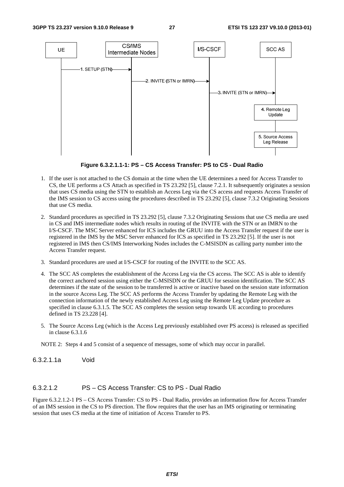

**Figure 6.3.2.1.1-1: PS – CS Access Transfer: PS to CS - Dual Radio** 

- 1. If the user is not attached to the CS domain at the time when the UE determines a need for Access Transfer to CS, the UE performs a CS Attach as specified in TS 23.292 [5], clause 7.2.1. It subsequently originates a session that uses CS media using the STN to establish an Access Leg via the CS access and requests Access Transfer of the IMS session to CS access using the procedures described in TS 23.292 [5], clause 7.3.2 Originating Sessions that use CS media.
- 2. Standard procedures as specified in TS 23.292 [5], clause 7.3.2 Originating Sessions that use CS media are used in CS and IMS intermediate nodes which results in routing of the INVITE with the STN or an IMRN to the I/S-CSCF. The MSC Server enhanced for ICS includes the GRUU into the Access Transfer request if the user is registered in the IMS by the MSC Server enhanced for ICS as specified in TS 23.292 [5]. If the user is not registered in IMS then CS/IMS Interworking Nodes includes the C-MSISDN as calling party number into the Access Transfer request.
- 3. Standard procedures are used at I/S-CSCF for routing of the INVITE to the SCC AS.
- 4. The SCC AS completes the establishment of the Access Leg via the CS access. The SCC AS is able to identify the correct anchored session using either the C-MSISDN or the GRUU for session identification. The SCC AS determines if the state of the session to be transferred is active or inactive based on the session state information in the source Access Leg. The SCC AS performs the Access Transfer by updating the Remote Leg with the connection information of the newly established Access Leg using the Remote Leg Update procedure as specified in clause 6.3.1.5. The SCC AS completes the session setup towards UE according to procedures defined in TS 23.228 [4].
- 5. The Source Access Leg (which is the Access Leg previously established over PS access) is released as specified in clause 6.3.1.6

NOTE 2: Steps 4 and 5 consist of a sequence of messages, some of which may occur in parallel.

6.3.2.1.1a Void

#### 6.3.2.1.2 PS – CS Access Transfer: CS to PS - Dual Radio

Figure 6.3.2.1.2-1 PS – CS Access Transfer: CS to PS - Dual Radio, provides an information flow for Access Transfer of an IMS session in the CS to PS direction. The flow requires that the user has an IMS originating or terminating session that uses CS media at the time of initiation of Access Transfer to PS.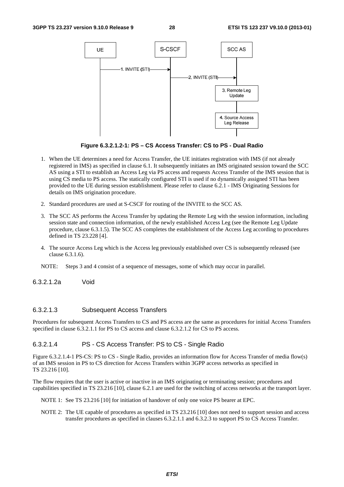

**Figure 6.3.2.1.2-1: PS – CS Access Transfer: CS to PS - Dual Radio** 

- 1. When the UE determines a need for Access Transfer, the UE initiates registration with IMS (if not already registered in IMS) as specified in clause 6.1. It subsequently initiates an IMS originated session toward the SCC AS using a STI to establish an Access Leg via PS access and requests Access Transfer of the IMS session that is using CS media to PS access. The statically configured STI is used if no dynamically assigned STI has been provided to the UE during session establishment. Please refer to clause 6.2.1 - IMS Originating Sessions for details on IMS origination procedure.
- 2. Standard procedures are used at S-CSCF for routing of the INVITE to the SCC AS.
- 3. The SCC AS performs the Access Transfer by updating the Remote Leg with the session information, including session state and connection information, of the newly established Access Leg (see the Remote Leg Update procedure, clause 6.3.1.5). The SCC AS completes the establishment of the Access Leg according to procedures defined in TS 23.228 [4].
- 4. The source Access Leg which is the Access leg previously established over CS is subsequently released (see clause 6.3.1.6).
- NOTE: Steps 3 and 4 consist of a sequence of messages, some of which may occur in parallel.

6.3.2.1.2a Void

#### 6.3.2.1.3 Subsequent Access Transfers

Procedures for subsequent Access Transfers to CS and PS access are the same as procedures for initial Access Transfers specified in clause 6.3.2.1.1 for PS to CS access and clause 6.3.2.1.2 for CS to PS access.

#### 6.3.2.1.4 PS - CS Access Transfer: PS to CS - Single Radio

Figure 6.3.2.1.4-1 PS-CS: PS to CS - Single Radio, provides an information flow for Access Transfer of media flow(s) of an IMS session in PS to CS direction for Access Transfers within 3GPP access networks as specified in TS 23.216 [10].

The flow requires that the user is active or inactive in an IMS originating or terminating session; procedures and capabilities specified in TS 23.216 [10], clause 6.2.1 are used for the switching of access networks at the transport layer.

NOTE 1: See TS 23.216 [10] for initiation of handover of only one voice PS bearer at EPC.

NOTE 2: The UE capable of procedures as specified in TS 23.216 [10] does not need to support session and access transfer procedures as specified in clauses 6.3.2.1.1 and 6.3.2.3 to support PS to CS Access Transfer.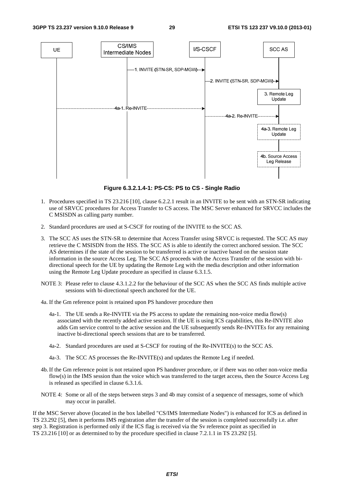

**Figure 6.3.2.1.4-1: PS-CS: PS to CS - Single Radio** 

- 1. Procedures specified in TS 23.216 [10], clause 6.2.2.1 result in an INVITE to be sent with an STN-SR indicating use of SRVCC procedures for Access Transfer to CS access. The MSC Server enhanced for SRVCC includes the C MSISDN as calling party number.
- 2. Standard procedures are used at S-CSCF for routing of the INVITE to the SCC AS.
- 3. The SCC AS uses the STN-SR to determine that Access Transfer using SRVCC is requested. The SCC AS may retrieve the C MSISDN from the HSS. The SCC AS is able to identify the correct anchored session. The SCC AS determines if the state of the session to be transferred is active or inactive based on the session state information in the source Access Leg. The SCC AS proceeds with the Access Transfer of the session with bidirectional speech for the UE by updating the Remote Leg with the media description and other information using the Remote Leg Update procedure as specified in clause 6.3.1.5.
- NOTE 3: Please refer to clause 4.3.1.2.2 for the behaviour of the SCC AS when the SCC AS finds multiple active sessions with bi-directional speech anchored for the UE.
- 4a. If the Gm reference point is retained upon PS handover procedure then
	- 4a-1. The UE sends a Re-INVITE via the PS access to update the remaining non-voice media flow(s) associated with the recently added active session. If the UE is using ICS capabilities, this Re-INVITE also adds Gm service control to the active session and the UE subsequently sends Re-INVITEs for any remaining inactive bi-directional speech sessions that are to be transferred.
	- 4a-2. Standard procedures are used at S-CSCF for routing of the Re-INVITE(s) to the SCC AS.
	- 4a-3. The SCC AS processes the Re-INVITE(s) and updates the Remote Leg if needed.
- 4b. If the Gm reference point is not retained upon PS handover procedure, or if there was no other non-voice media flow(s) in the IMS session than the voice which was transferred to the target access, then the Source Access Leg is released as specified in clause 6.3.1.6.
- NOTE 4: Some or all of the steps between steps 3 and 4b may consist of a sequence of messages, some of which may occur in parallel.

If the MSC Server above (located in the box labelled "CS/IMS Intermediate Nodes") is enhanced for ICS as defined in TS 23.292 [5], then it performs IMS registration after the transfer of the session is completed successfully i.e. after step 3. Registration is performed only if the ICS flag is received via the Sv reference point as specified in TS 23.216 [10] or as determined to by the procedure specified in clause 7.2.1.1 in TS 23.292 [5].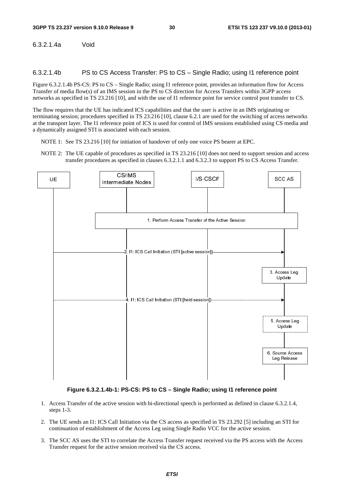6.3.2.1.4a Void

6.3.2.1.4b PS to CS Access Transfer: PS to CS – Single Radio; using I1 reference point

Figure 6.3.2.1.4b PS-CS: PS to CS – Single Radio; using I1 reference point, provides an information flow for Access Transfer of media flow(s) of an IMS session in the PS to CS direction for Access Transfers within 3GPP access networks as specified in TS 23.216 [10], and with the use of I1 reference point for service control post transfer to CS.

The flow requires that the UE has indicated ICS capabilities and that the user is active in an IMS originating or terminating session; procedures specified in TS 23.216 [10], clause 6.2.1 are used for the switching of access networks at the transport layer. The I1 reference point of ICS is used for control of IMS sessions established using CS media and a dynamically assigned STI is associated with each session.

NOTE 1: See TS 23.216 [10] for initiation of handover of only one voice PS bearer at EPC.

NOTE 2: The UE capable of procedures as specified in TS 23.216 [10] does not need to support session and access transfer procedures as specified in clauses 6.3.2.1.1 and 6.3.2.3 to support PS to CS Access Transfer.



#### **Figure 6.3.2.1.4b-1: PS-CS: PS to CS – Single Radio; using I1 reference point**

- 1. Access Transfer of the active session with bi-directional speech is performed as defined in clause 6.3.2.1.4, steps 1-3.
- 2. The UE sends an I1: ICS Call Initiation via the CS access as specified in TS 23.292 [5] including an STI for continuation of establishment of the Access Leg using Single Radio VCC for the active session.
- 3. The SCC AS uses the STI to correlate the Access Transfer request received via the PS access with the Access Transfer request for the active session received via the CS access.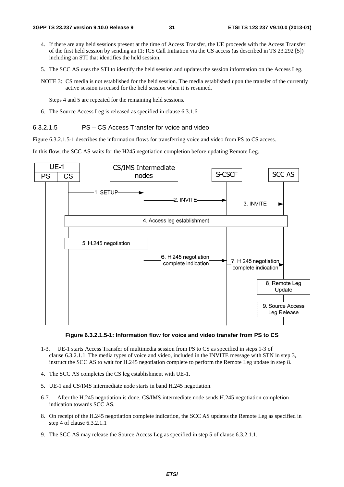- 4. If there are any held sessions present at the time of Access Transfer, the UE proceeds with the Access Transfer of the first held session by sending an I1: ICS Call Initiation via the CS access (as described in TS 23.292 [5]) including an STI that identifies the held session.
- 5. The SCC AS uses the STI to identify the held session and updates the session information on the Access Leg.
- NOTE 3: CS media is not established for the held session. The media established upon the transfer of the currently active session is reused for the held session when it is resumed.

Steps 4 and 5 are repeated for the remaining held sessions.

6. The Source Access Leg is released as specified in clause 6.3.1.6.

#### 6.3.2.1.5 PS – CS Access Transfer for voice and video

Figure 6.3.2.1.5-1 describes the information flows for transferring voice and video from PS to CS access.

In this flow, the SCC AS waits for the H245 negotiation completion before updating Remote Leg.



**Figure 6.3.2.1.5-1: Information flow for voice and video transfer from PS to CS** 

- 1-3. UE-1 starts Access Transfer of multimedia session from PS to CS as specified in steps 1-3 of clause 6.3.2.1.1. The media types of voice and video, included in the INVITE message with STN in step 3, instruct the SCC AS to wait for H.245 negotiation complete to perform the Remote Leg update in step 8.
- 4. The SCC AS completes the CS leg establishment with UE-1.
- 5. UE-1 and CS/IMS intermediate node starts in band H.245 negotiation.
- 6-7. After the H.245 negotiation is done, CS/IMS intermediate node sends H.245 negotiation completion indication towards SCC AS.
- 8. On receipt of the H.245 negotiation complete indication, the SCC AS updates the Remote Leg as specified in step 4 of clause 6.3.2.1.1
- 9. The SCC AS may release the Source Access Leg as specified in step 5 of clause 6.3.2.1.1.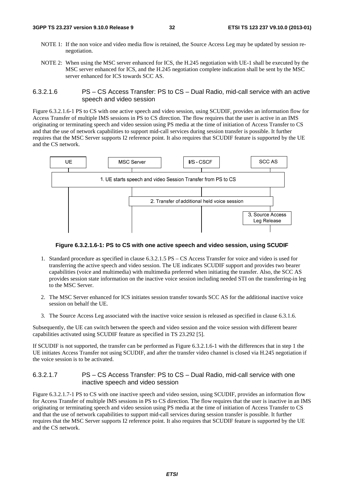#### **3GPP TS 23.237 version 9.10.0 Release 9 32 ETSI TS 123 237 V9.10.0 (2013-01)**

- NOTE 1: If the non voice and video media flow is retained, the Source Access Leg may be updated by session renegotiation.
- NOTE 2: When using the MSC server enhanced for ICS, the H.245 negotiation with UE-1 shall be executed by the MSC server enhanced for ICS, and the H.245 negotiation complete indication shall be sent by the MSC server enhanced for ICS towards SCC AS.

6.3.2.1.6 PS – CS Access Transfer: PS to CS – Dual Radio, mid-call service with an active speech and video session

Figure 6.3.2.1.6-1 PS to CS with one active speech and video session, using SCUDIF, provides an information flow for Access Transfer of multiple IMS sessions in PS to CS direction. The flow requires that the user is active in an IMS originating or terminating speech and video session using PS media at the time of initiation of Access Transfer to CS and that the use of network capabilities to support mid-call services during session transfer is possible. It further requires that the MSC Server supports I2 reference point. It also requires that SCUDIF feature is supported by the UE and the CS network.



#### **Figure 6.3.2.1.6-1: PS to CS with one active speech and video session, using SCUDIF**

- 1. Standard procedure as specified in clause 6.3.2.1.5 PS CS Access Transfer for voice and video is used for transferring the active speech and video session. The UE indicates SCUDIF support and provides two bearer capabilities (voice and multimedia) with multimedia preferred when initiating the transfer. Also, the SCC AS provides session state information on the inactive voice session including needed STI on the transferring-in leg to the MSC Server.
- 2. The MSC Server enhanced for ICS initiates session transfer towards SCC AS for the additional inactive voice session on behalf the UE.
- 3. The Source Access Leg associated with the inactive voice session is released as specified in clause 6.3.1.6.

Subsequently, the UE can switch between the speech and video session and the voice session with different bearer capabilities activated using SCUDIF feature as specified in TS 23.292 [5].

If SCUDIF is not supported, the transfer can be performed as Figure 6.3.2.1.6-1 with the differences that in step 1 the UE initiates Access Transfer not using SCUDIF, and after the transfer video channel is closed via H.245 negotiation if the voice session is to be activated.

#### 6.3.2.1.7 PS – CS Access Transfer: PS to CS – Dual Radio, mid-call service with one inactive speech and video session

Figure 6.3.2.1.7-1 PS to CS with one inactive speech and video session, using SCUDIF, provides an information flow for Access Transfer of multiple IMS sessions in PS to CS direction. The flow requires that the user is inactive in an IMS originating or terminating speech and video session using PS media at the time of initiation of Access Transfer to CS and that the use of network capabilities to support mid-call services during session transfer is possible. It further requires that the MSC Server supports I2 reference point. It also requires that SCUDIF feature is supported by the UE and the CS network.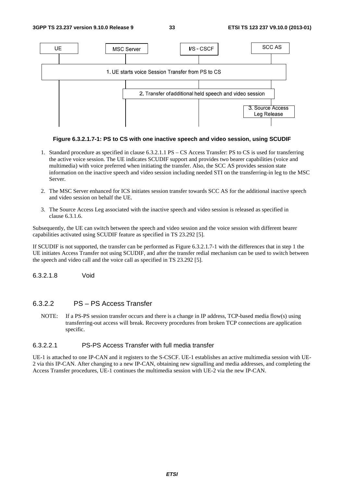

#### **Figure 6.3.2.1.7-1: PS to CS with one inactive speech and video session, using SCUDIF**

- 1. Standard procedure as specified in clause 6.3.2.1.1 PS CS Access Transfer: PS to CS is used for transferring the active voice session. The UE indicates SCUDIF support and provides two bearer capabilities (voice and multimedia) with voice preferred when initiating the transfer. Also, the SCC AS provides session state information on the inactive speech and video session including needed STI on the transferring-in leg to the MSC Server.
- 2. The MSC Server enhanced for ICS initiates session transfer towards SCC AS for the additional inactive speech and video session on behalf the UE.
- 3. The Source Access Leg associated with the inactive speech and video session is released as specified in clause 6.3.1.6.

Subsequently, the UE can switch between the speech and video session and the voice session with different bearer capabilities activated using SCUDIF feature as specified in TS 23.292 [5].

If SCUDIF is not supported, the transfer can be performed as Figure 6.3.2.1.7-1 with the differences that in step 1 the UE initiates Access Transfer not using SCUDIF, and after the transfer redial mechanism can be used to switch between the speech and video call and the voice call as specified in TS 23.292 [5].

6.3.2.1.8 Void

### 6.3.2.2 PS – PS Access Transfer

NOTE: If a PS-PS session transfer occurs and there is a change in IP address, TCP-based media flow(s) using transferring-out access will break. Recovery procedures from broken TCP connections are application specific.

#### 6.3.2.2.1 PS-PS Access Transfer with full media transfer

UE-1 is attached to one IP-CAN and it registers to the S-CSCF. UE-1 establishes an active multimedia session with UE-2 via this IP-CAN. After changing to a new IP-CAN, obtaining new signalling and media addresses, and completing the Access Transfer procedures, UE-1 continues the multimedia session with UE-2 via the new IP-CAN.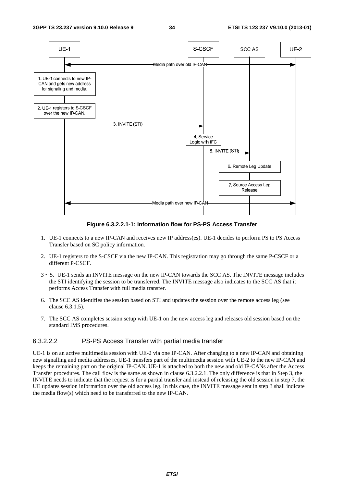

**Figure 6.3.2.2.1-1: Information flow for PS-PS Access Transfer** 

- 1. UE-1 connects to a new IP-CAN and receives new IP address(es). UE-1 decides to perform PS to PS Access Transfer based on SC policy information.
- 2. UE-1 registers to the S-CSCF via the new IP-CAN. This registration may go through the same P-CSCF or a different P-CSCF.
- 3 ~ 5. UE-1 sends an INVITE message on the new IP-CAN towards the SCC AS. The INVITE message includes the STI identifying the session to be transferred. The INVITE message also indicates to the SCC AS that it performs Access Transfer with full media transfer.
- 6. The SCC AS identifies the session based on STI and updates the session over the remote access leg (see clause 6.3.1.5).
- 7. The SCC AS completes session setup with UE-1 on the new access leg and releases old session based on the standard IMS procedures.

#### 6.3.2.2.2 PS-PS Access Transfer with partial media transfer

UE-1 is on an active multimedia session with UE-2 via one IP-CAN. After changing to a new IP-CAN and obtaining new signalling and media addresses, UE-1 transfers part of the multimedia session with UE-2 to the new IP-CAN and keeps the remaining part on the original IP-CAN. UE-1 is attached to both the new and old IP-CANs after the Access Transfer procedures. The call flow is the same as shown in clause 6.3.2.2.1. The only difference is that in Step 3, the INVITE needs to indicate that the request is for a partial transfer and instead of releasing the old session in step 7, the UE updates session information over the old access leg. In this case, the INVITE message sent in step 3 shall indicate the media flow(s) which need to be transferred to the new IP-CAN.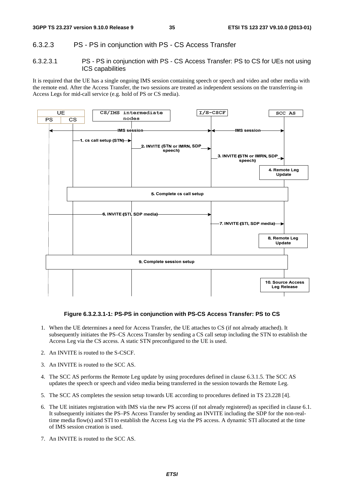### 6.3.2.3 PS - PS in conjunction with PS - CS Access Transfer

6.3.2.3.1 PS - PS in conjunction with PS - CS Access Transfer: PS to CS for UEs not using ICS capabilities

It is required that the UE has a single ongoing IMS session containing speech or speech and video and other media with the remote end. After the Access Transfer, the two sessions are treated as independent sessions on the transferring-in Access Legs for mid-call service (e.g. hold of PS or CS media).



#### **Figure 6.3.2.3.1-1: PS-PS in conjunction with PS-CS Access Transfer: PS to CS**

- 1. When the UE determines a need for Access Transfer, the UE attaches to CS (if not already attached). It subsequently initiates the PS–CS Access Transfer by sending a CS call setup including the STN to establish the Access Leg via the CS access. A static STN preconfigured to the UE is used.
- 2. An INVITE is routed to the S-CSCF.
- 3. An INVITE is routed to the SCC AS.
- 4. The SCC AS performs the Remote Leg update by using procedures defined in clause 6.3.1.5. The SCC AS updates the speech or speech and video media being transferred in the session towards the Remote Leg.
- 5. The SCC AS completes the session setup towards UE according to procedures defined in TS 23.228 [4].
- 6. The UE initiates registration with IMS via the new PS access (if not already registered) as specified in clause 6.1. It subsequently initiates the PS–PS Access Transfer by sending an INVITE including the SDP for the non-realtime media flow(s) and STI to establish the Access Leg via the PS access. A dynamic STI allocated at the time of IMS session creation is used.
- 7. An INVITE is routed to the SCC AS.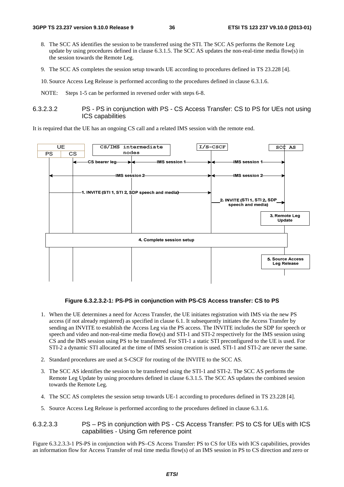- 8. The SCC AS identifies the session to be transferred using the STI. The SCC AS performs the Remote Leg update by using procedures defined in clause 6.3.1.5. The SCC AS updates the non-real-time media flow(s) in the session towards the Remote Leg.
- 9. The SCC AS completes the session setup towards UE according to procedures defined in TS 23.228 [4].

10. Source Access Leg Release is performed according to the procedures defined in clause 6.3.1.6.

NOTE: Steps 1-5 can be performed in reversed order with steps 6-8.

#### 6.3.2.3.2 PS - PS in conjunction with PS - CS Access Transfer: CS to PS for UEs not using ICS capabilities

It is required that the UE has an ongoing CS call and a related IMS session with the remote end.



#### **Figure 6.3.2.3.2-1: PS-PS in conjunction with PS-CS Access transfer: CS to PS**

- 1. When the UE determines a need for Access Transfer, the UE initiates registration with IMS via the new PS access (if not already registered) as specified in clause 6.1. It subsequently initiates the Access Transfer by sending an INVITE to establish the Access Leg via the PS access. The INVITE includes the SDP for speech or speech and video and non-real-time media flow(s) and STI-1 and STI-2 respectively for the IMS session using CS and the IMS session using PS to be transferred. For STI-1 a static STI preconfigured to the UE is used. For STI-2 a dynamic STI allocated at the time of IMS session creation is used. STI-1 and STI-2 are never the same.
- 2. Standard procedures are used at S-CSCF for routing of the INVITE to the SCC AS.
- 3. The SCC AS identifies the session to be transferred using the STI-1 and STI-2. The SCC AS performs the Remote Leg Update by using procedures defined in clause 6.3.1.5. The SCC AS updates the combined session towards the Remote Leg.
- 4. The SCC AS completes the session setup towards UE-1 according to procedures defined in TS 23.228 [4].
- 5. Source Access Leg Release is performed according to the procedures defined in clause 6.3.1.6.

#### 6.3.2.3.3 PS – PS in conjunction with PS - CS Access Transfer: PS to CS for UEs with ICS capabilities - Using Gm reference point

Figure 6.3.2.3.3-1 PS-PS in conjunction with PS–CS Access Transfer: PS to CS for UEs with ICS capabilities, provides an information flow for Access Transfer of real time media flow(s) of an IMS session in PS to CS direction and zero or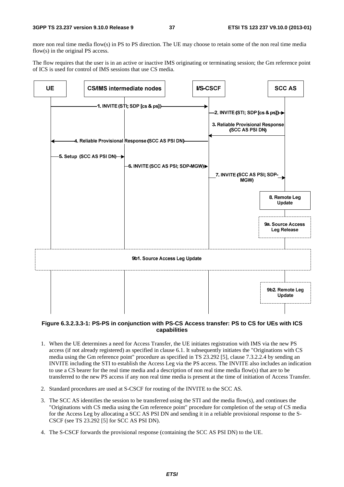more non real time media flow(s) in PS to PS direction. The UE may choose to retain some of the non real time media flow(s) in the original PS access.

The flow requires that the user is in an active or inactive IMS originating or terminating session; the Gm reference point of ICS is used for control of IMS sessions that use CS media.



#### **Figure 6.3.2.3.3-1: PS-PS in conjunction with PS-CS Access transfer: PS to CS for UEs with ICS capabilities**

- 1. When the UE determines a need for Access Transfer, the UE initiates registration with IMS via the new PS access (if not already registered) as specified in clause 6.1. It subsequently initiates the "Originations with CS media using the Gm reference point" procedure as specified in TS 23.292 [5], clause 7.3.2.2.4 by sending an INVITE including the STI to establish the Access Leg via the PS access. The INVITE also includes an indication to use a CS bearer for the real time media and a description of non real time media flow(s) that are to be transferred to the new PS access if any non real time media is present at the time of initiation of Access Transfer.
- 2. Standard procedures are used at S-CSCF for routing of the INVITE to the SCC AS.
- 3. The SCC AS identifies the session to be transferred using the STI and the media flow(s), and continues the "Originations with CS media using the Gm reference point" procedure for completion of the setup of CS media for the Access Leg by allocating a SCC AS PSI DN and sending it in a reliable provisional response to the S-CSCF (see TS 23.292 [5] for SCC AS PSI DN).
- 4. The S-CSCF forwards the provisional response (containing the SCC AS PSI DN) to the UE.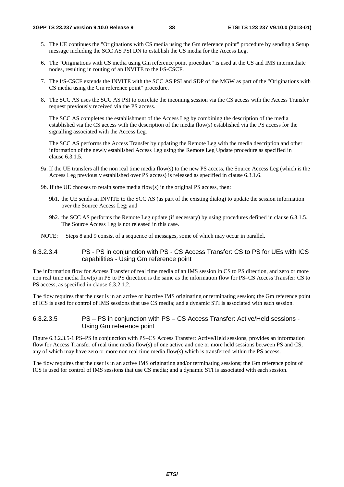- 5. The UE continues the "Originations with CS media using the Gm reference point" procedure by sending a Setup message including the SCC AS PSI DN to establish the CS media for the Access Leg.
- 6. The "Originations with CS media using Gm reference point procedure" is used at the CS and IMS intermediate nodes, resulting in routing of an INVITE to the I/S-CSCF.
- 7. The I/S-CSCF extends the INVITE with the SCC AS PSI and SDP of the MGW as part of the "Originations with CS media using the Gm reference point" procedure.
- 8. The SCC AS uses the SCC AS PSI to correlate the incoming session via the CS access with the Access Transfer request previously received via the PS access.

 The SCC AS completes the establishment of the Access Leg by combining the description of the media established via the CS access with the description of the media flow(s) established via the PS access for the signalling associated with the Access Leg.

 The SCC AS performs the Access Transfer by updating the Remote Leg with the media description and other information of the newly established Access Leg using the Remote Leg Update procedure as specified in clause 6.3.1.5.

- 9a. If the UE transfers all the non real time media flow(s) to the new PS access, the Source Access Leg (which is the Access Leg previously established over PS access) is released as specified in clause 6.3.1.6.
- 9b. If the UE chooses to retain some media flow(s) in the original PS access, then:
	- 9b1. the UE sends an INVITE to the SCC AS (as part of the existing dialog) to update the session information over the Source Access Leg; and
	- 9b2. the SCC AS performs the Remote Leg update (if necessary) by using procedures defined in clause 6.3.1.5. The Source Access Leg is not released in this case.
- NOTE: Steps 8 and 9 consist of a sequence of messages, some of which may occur in parallel.

### 6.3.2.3.4 PS - PS in conjunction with PS - CS Access Transfer: CS to PS for UEs with ICS capabilities - Using Gm reference point

The information flow for Access Transfer of real time media of an IMS session in CS to PS direction, and zero or more non real time media flow(s) in PS to PS direction is the same as the information flow for PS–CS Access Transfer: CS to PS access, as specified in clause 6.3.2.1.2.

The flow requires that the user is in an active or inactive IMS originating or terminating session; the Gm reference point of ICS is used for control of IMS sessions that use CS media; and a dynamic STI is associated with each session.

### 6.3.2.3.5 PS – PS in conjunction with PS – CS Access Transfer: Active/Held sessions - Using Gm reference point

Figure 6.3.2.3.5-1 PS–PS in conjunction with PS–CS Access Transfer: Active/Held sessions, provides an information flow for Access Transfer of real time media flow(s) of one active and one or more held sessions between PS and CS, any of which may have zero or more non real time media flow(s) which is transferred within the PS access.

The flow requires that the user is in an active IMS originating and/or terminating sessions; the Gm reference point of ICS is used for control of IMS sessions that use CS media; and a dynamic STI is associated with each session.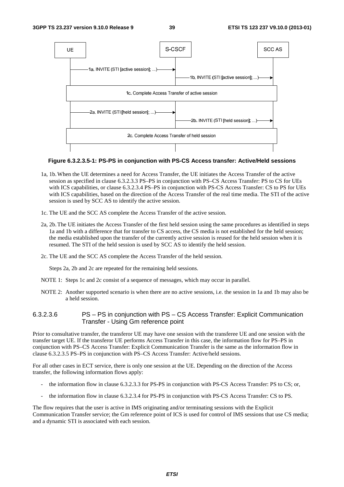

#### **Figure 6.3.2.3.5-1: PS-PS in conjunction with PS-CS Access transfer: Active/Held sessions**

- 1a, 1b. When the UE determines a need for Access Transfer, the UE initiates the Access Transfer of the active session as specified in clause 6.3.2.3.3 PS–PS in conjunction with PS–CS Access Transfer: PS to CS for UEs with ICS capabilities, or clause 6.3.2.3.4 PS–PS in conjunction with PS-CS Access Transfer: CS to PS for UEs with ICS capabilities, based on the direction of the Access Transfer of the real time media. The STI of the active session is used by SCC AS to identify the active session.
- 1c. The UE and the SCC AS complete the Access Transfer of the active session.
- 2a, 2b. The UE initiates the Access Transfer of the first held session using the same procedures as identified in steps 1a and 1b with a difference that for transfer to CS access, the CS media is not established for the held session; the media established upon the transfer of the currently active session is reused for the held session when it is resumed. The STI of the held session is used by SCC AS to identify the held session.
- 2c. The UE and the SCC AS complete the Access Transfer of the held session.

Steps 2a, 2b and 2c are repeated for the remaining held sessions.

- NOTE 1: Steps 1c and 2c consist of a sequence of messages, which may occur in parallel.
- NOTE 2: Another supported scenario is when there are no active sessions, i.e. the session in 1a and 1b may also be a held session.

### 6.3.2.3.6 PS – PS in conjunction with PS – CS Access Transfer: Explicit Communication Transfer - Using Gm reference point

Prior to consultative transfer, the transferor UE may have one session with the transferee UE and one session with the transfer target UE. If the transferor UE performs Access Transfer in this case, the information flow for PS–PS in conjunction with PS–CS Access Transfer: Explicit Communication Transfer is the same as the information flow in clause 6.3.2.3.5 PS–PS in conjunction with PS–CS Access Transfer: Active/held sessions.

For all other cases in ECT service, there is only one session at the UE. Depending on the direction of the Access transfer, the following information flows apply:

- the information flow in clause 6.3.2.3.3 for PS-PS in conjunction with PS-CS Access Transfer: PS to CS; or,
- the information flow in clause 6.3.2.3.4 for PS-PS in conjunction with PS-CS Access Transfer: CS to PS.

The flow requires that the user is active in IMS originating and/or terminating sessions with the Explicit Communication Transfer service; the Gm reference point of ICS is used for control of IMS sessions that use CS media; and a dynamic STI is associated with each session.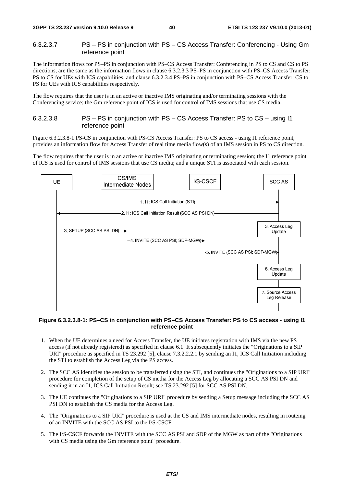### 6.3.2.3.7 PS – PS in conjunction with PS – CS Access Transfer: Conferencing - Using Gm reference point

The information flows for PS–PS in conjunction with PS–CS Access Transfer: Conferencing in PS to CS and CS to PS directions, are the same as the information flows in clause 6.3.2.3.3 PS–PS in conjunction with PS–CS Access Transfer: PS to CS for UEs with ICS capabilities, and clause 6.3.2.3.4 PS–PS in conjunction with PS–CS Access Transfer: CS to PS for UEs with ICS capabilities respectively.

The flow requires that the user is in an active or inactive IMS originating and/or terminating sessions with the Conferencing service; the Gm reference point of ICS is used for control of IMS sessions that use CS media.

### 6.3.2.3.8 PS – PS in conjunction with PS – CS Access Transfer: PS to CS – using I1 reference point

Figure 6.3.2.3.8-1 PS-CS in conjunction with PS-CS Access Transfer: PS to CS access - using I1 reference point, provides an information flow for Access Transfer of real time media flow(s) of an IMS session in PS to CS direction.

The flow requires that the user is in an active or inactive IMS originating or terminating session; the I1 reference point of ICS is used for control of IMS sessions that use CS media; and a unique STI is associated with each session.



#### **Figure 6.3.2.3.8-1: PS–CS in conjunction with PS–CS Access Transfer: PS to CS access - using I1 reference point**

- 1. When the UE determines a need for Access Transfer, the UE initiates registration with IMS via the new PS access (if not already registered) as specified in clause 6.1. It subsequently initiates the "Originations to a SIP URI" procedure as specified in TS 23.292 [5], clause 7.3.2.2.2.1 by sending an I1, ICS Call Initiation including the STI to establish the Access Leg via the PS access.
- 2. The SCC AS identifies the session to be transferred using the STI, and continues the "Originations to a SIP URI" procedure for completion of the setup of CS media for the Access Leg by allocating a SCC AS PSI DN and sending it in an I1, ICS Call Initiation Result; see TS 23.292 [5] for SCC AS PSI DN.
- 3. The UE continues the "Originations to a SIP URI" procedure by sending a Setup message including the SCC AS PSI DN to establish the CS media for the Access Leg.
- 4. The "Originations to a SIP URI" procedure is used at the CS and IMS intermediate nodes, resulting in routeing of an INVITE with the SCC AS PSI to the I/S-CSCF.
- 5. The I/S-CSCF forwards the INVITE with the SCC AS PSI and SDP of the MGW as part of the "Originations with CS media using the Gm reference point" procedure.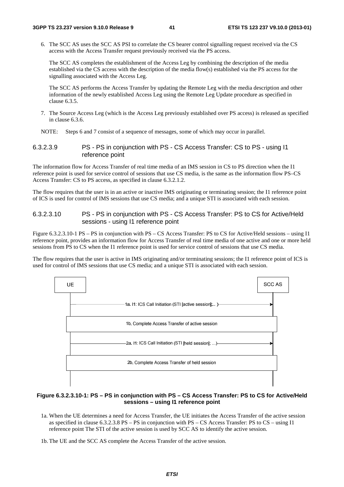6. The SCC AS uses the SCC AS PSI to correlate the CS bearer control signalling request received via the CS access with the Access Transfer request previously received via the PS access.

 The SCC AS completes the establishment of the Access Leg by combining the description of the media established via the CS access with the description of the media flow(s) established via the PS access for the signalling associated with the Access Leg.

 The SCC AS performs the Access Transfer by updating the Remote Leg with the media description and other information of the newly established Access Leg using the Remote Leg Update procedure as specified in clause 6.3.5.

7. The Source Access Leg (which is the Access Leg previously established over PS access) is released as specified in clause 6.3.6.

NOTE: Steps 6 and 7 consist of a sequence of messages, some of which may occur in parallel.

### 6.3.2.3.9 PS - PS in conjunction with PS - CS Access Transfer: CS to PS - using I1 reference point

The information flow for Access Transfer of real time media of an IMS session in CS to PS direction when the I1 reference point is used for service control of sessions that use CS media, is the same as the information flow PS–CS Access Transfer: CS to PS access, as specified in clause 6.3.2.1.2.

The flow requires that the user is in an active or inactive IMS originating or terminating session; the I1 reference point of ICS is used for control of IMS sessions that use CS media; and a unique STI is associated with each session.

### 6.3.2.3.10 PS - PS in conjunction with PS - CS Access Transfer: PS to CS for Active/Held sessions - using I1 reference point

Figure 6.3.2.3.10-1 PS – PS in conjunction with PS – CS Access Transfer: PS to CS for Active/Held sessions – using I1 reference point, provides an information flow for Access Transfer of real time media of one active and one or more held sessions from PS to CS when the I1 reference point is used for service control of sessions that use CS media.

The flow requires that the user is active in IMS originating and/or terminating sessions; the I1 reference point of ICS is used for control of IMS sessions that use CS media; and a unique STI is associated with each session.



#### **Figure 6.3.2.3.10-1: PS – PS in conjunction with PS – CS Access Transfer: PS to CS for Active/Held sessions – using I1 reference point**

- 1a. When the UE determines a need for Access Transfer, the UE initiates the Access Transfer of the active session as specified in clause 6.3.2.3.8 PS – PS in conjunction with PS – CS Access Transfer: PS to CS – using I1 reference point The STI of the active session is used by SCC AS to identify the active session.
- 1b. The UE and the SCC AS complete the Access Transfer of the active session.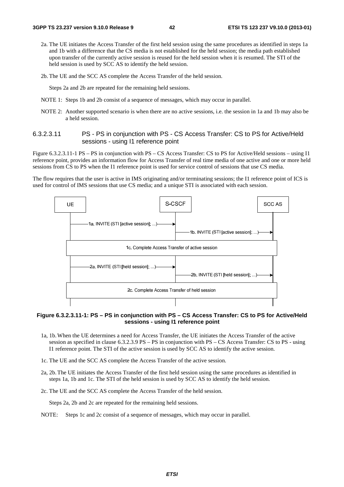- 2a. The UE initiates the Access Transfer of the first held session using the same procedures as identified in steps 1a and 1b with a difference that the CS media is not established for the held session; the media path established upon transfer of the currently active session is reused for the held session when it is resumed. The STI of the held session is used by SCC AS to identify the held session.
- 2b. The UE and the SCC AS complete the Access Transfer of the held session.

Steps 2a and 2b are repeated for the remaining held sessions.

- NOTE 1: Steps 1b and 2b consist of a sequence of messages, which may occur in parallel.
- NOTE 2: Another supported scenario is when there are no active sessions, i.e. the session in 1a and 1b may also be a held session.

#### 6.3.2.3.11 PS - PS in conjunction with PS - CS Access Transfer: CS to PS for Active/Held sessions - using I1 reference point

Figure 6.3.2.3.11-1 PS – PS in conjunction with PS – CS Access Transfer: CS to PS for Active/Held sessions – using I1 reference point, provides an information flow for Access Transfer of real time media of one active and one or more held sessions from CS to PS when the I1 reference point is used for service control of sessions that use CS media.

The flow requires that the user is active in IMS originating and/or terminating sessions; the I1 reference point of ICS is used for control of IMS sessions that use CS media; and a unique STI is associated with each session.



**Figure 6.3.2.3.11-1: PS – PS in conjunction with PS – CS Access Transfer: CS to PS for Active/Held sessions - using I1 reference point** 

- 1a, 1b. When the UE determines a need for Access Transfer, the UE initiates the Access Transfer of the active session as specified in clause 6.3.2.3.9 PS – PS in conjunction with PS – CS Access Transfer: CS to PS - using I1 reference point. The STI of the active session is used by SCC AS to identify the active session.
- 1c. The UE and the SCC AS complete the Access Transfer of the active session.
- 2a, 2b. The UE initiates the Access Transfer of the first held session using the same procedures as identified in steps 1a, 1b and 1c. The STI of the held session is used by SCC AS to identify the held session.
- 2c. The UE and the SCC AS complete the Access Transfer of the held session.

Steps 2a, 2b and 2c are repeated for the remaining held sessions.

NOTE: Steps 1c and 2c consist of a sequence of messages, which may occur in parallel.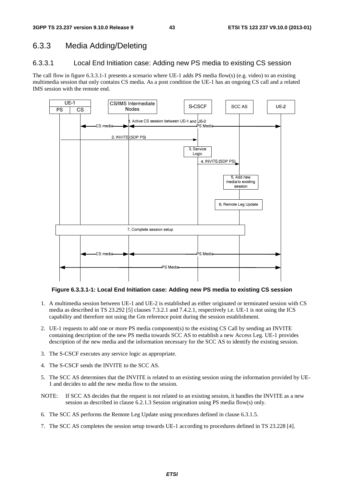### 6.3.3 Media Adding/Deleting

### 6.3.3.1 Local End Initiation case: Adding new PS media to existing CS session

The call flow in figure 6.3.3.1-1 presents a scenario where UE-1 adds PS media flow(s) (e.g. video) to an existing multimedia session that only contains CS media. As a post condition the UE-1 has an ongoing CS call and a related IMS session with the remote end.



### **Figure 6.3.3.1-1: Local End Initiation case: Adding new PS media to existing CS session**

- 1. A multimedia session between UE-1 and UE-2 is established as either originated or terminated session with CS media as described in TS 23.292 [5] clauses 7.3.2.1 and 7.4.2.1, respectively i.e. UE-1 is not using the ICS capability and therefore not using the Gm reference point during the session establishment.
- 2. UE-1 requests to add one or more PS media component(s) to the existing CS Call by sending an INVITE containing description of the new PS media towards SCC AS to establish a new Access Leg. UE-1 provides description of the new media and the information necessary for the SCC AS to identify the existing session.
- 3. The S-CSCF executes any service logic as appropriate.
- 4. The S-CSCF sends the INVITE to the SCC AS.
- 5. The SCC AS determines that the INVITE is related to an existing session using the information provided by UE-1 and decides to add the new media flow to the session.
- NOTE: If SCC AS decides that the request is not related to an existing session, it handles the INVITE as a new session as described in clause 6.2.1.3 Session origination using PS media flow(s) only.
- 6. The SCC AS performs the Remote Leg Update using procedures defined in clause 6.3.1.5.
- 7. The SCC AS completes the session setup towards UE-1 according to procedures defined in TS 23.228 [4].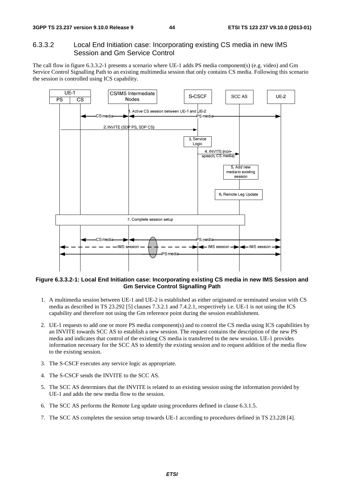### 6.3.3.2 Local End Initiation case: Incorporating existing CS media in new IMS Session and Gm Service Control

The call flow in figure 6.3.3.2-1 presents a scenario where UE-1 adds PS media component(s) (e.g. video) and Gm Service Control Signalling Path to an existing multimedia session that only contains CS media. Following this scenario the session is controlled using ICS capability.



#### **Figure 6.3.3.2-1: Local End Initiation case: Incorporating existing CS media in new IMS Session and Gm Service Control Signalling Path**

- 1. A multimedia session between UE-1 and UE-2 is established as either originated or terminated session with CS media as described in TS 23.292 [5] clauses 7.3.2.1 and 7.4.2.1, respectively i.e. UE-1 is not using the ICS capability and therefore not using the Gm reference point during the session establishment.
- 2. UE-1 requests to add one or more PS media component(s) and to control the CS media using ICS capabilities by an INVITE towards SCC AS to establish a new session. The request contains the description of the new PS media and indicates that control of the existing CS media is transferred to the new session. UE-1 provides information necessary for the SCC AS to identify the existing session and to request addition of the media flow to the existing session.
- 3. The S-CSCF executes any service logic as appropriate.
- 4. The S-CSCF sends the INVITE to the SCC AS.
- 5. The SCC AS determines that the INVITE is related to an existing session using the information provided by UE-1 and adds the new media flow to the session.
- 6. The SCC AS performs the Remote Leg update using procedures defined in clause 6.3.1.5.
- 7. The SCC AS completes the session setup towards UE-1 according to procedures defined in TS 23.228 [4].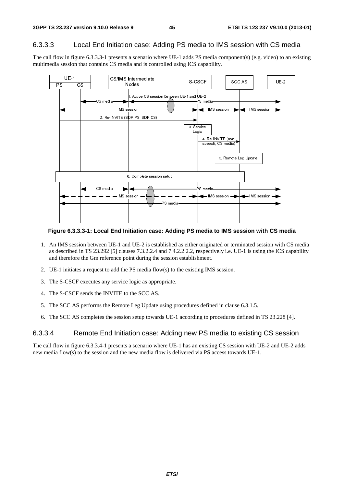### 6.3.3.3 Local End Initiation case: Adding PS media to IMS session with CS media

The call flow in figure 6.3.3.3-1 presents a scenario where UE-1 adds PS media component(s) (e.g. video) to an existing multimedia session that contains CS media and is controlled using ICS capability.



**Figure 6.3.3.3-1: Local End Initiation case: Adding PS media to IMS session with CS media** 

- 1. An IMS session between UE-1 and UE-2 is established as either originated or terminated session with CS media as described in TS 23.292 [5] clauses 7.3.2.2.4 and 7.4.2.2.2.2, respectively i.e. UE-1 is using the ICS capability and therefore the Gm reference point during the session establishment.
- 2. UE-1 initiates a request to add the PS media flow(s) to the existing IMS session.
- 3. The S-CSCF executes any service logic as appropriate.
- 4. The S-CSCF sends the INVITE to the SCC AS.
- 5. The SCC AS performs the Remote Leg Update using procedures defined in clause 6.3.1.5.
- 6. The SCC AS completes the session setup towards UE-1 according to procedures defined in TS 23.228 [4].

### 6.3.3.4 Remote End Initiation case: Adding new PS media to existing CS session

The call flow in figure 6.3.3.4-1 presents a scenario where UE-1 has an existing CS session with UE-2 and UE-2 adds new media flow(s) to the session and the new media flow is delivered via PS access towards UE-1.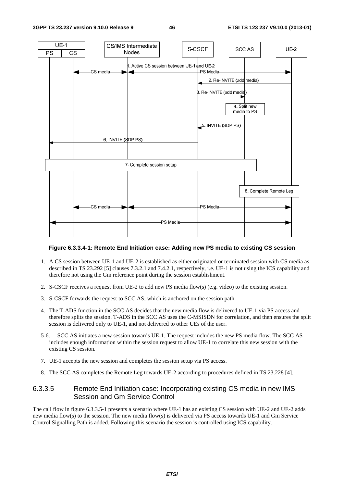

#### **Figure 6.3.3.4-1: Remote End Initiation case: Adding new PS media to existing CS session**

- 1. A CS session between UE-1 and UE-2 is established as either originated or terminated session with CS media as described in TS 23.292 [5] clauses 7.3.2.1 and 7.4.2.1, respectively, i.e. UE-1 is not using the ICS capability and therefore not using the Gm reference point during the session establishment.
- 2. S-CSCF receives a request from UE-2 to add new PS media flow(s) (e.g. video) to the existing session.
- 3. S-CSCF forwards the request to SCC AS, which is anchored on the session path.
- 4. The T-ADS function in the SCC AS decides that the new media flow is delivered to UE-1 via PS access and therefore splits the session. T-ADS in the SCC AS uses the C-MSISDN for correlation, and then ensures the split session is delivered only to UE-1, and not delivered to other UEs of the user.
- 5-6. SCC AS initiates a new session towards UE-1. The request includes the new PS media flow. The SCC AS includes enough information within the session request to allow UE-1 to correlate this new session with the existing CS session.
- 7. UE-1 accepts the new session and completes the session setup via PS access.
- 8. The SCC AS completes the Remote Leg towards UE-2 according to procedures defined in TS 23.228 [4].

### 6.3.3.5 Remote End Initiation case: Incorporating existing CS media in new IMS Session and Gm Service Control

The call flow in figure 6.3.3.5-1 presents a scenario where UE-1 has an existing CS session with UE-2 and UE-2 adds new media flow(s) to the session. The new media flow(s) is delivered via PS access towards UE-1 and Gm Service Control Signalling Path is added. Following this scenario the session is controlled using ICS capability.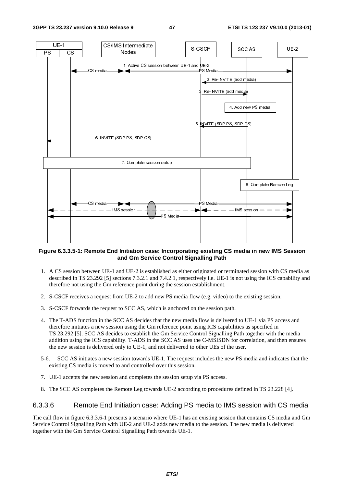

#### **Figure 6.3.3.5-1: Remote End Initiation case: Incorporating existing CS media in new IMS Session and Gm Service Control Signalling Path**

- 1. A CS session between UE-1 and UE-2 is established as either originated or terminated session with CS media as described in TS 23.292 [5] sections 7.3.2.1 and 7.4.2.1, respectively i.e. UE-1 is not using the ICS capability and therefore not using the Gm reference point during the session establishment.
- 2. S-CSCF receives a request from UE-2 to add new PS media flow (e.g. video) to the existing session.
- 3. S-CSCF forwards the request to SCC AS, which is anchored on the session path.
- 4. The T-ADS function in the SCC AS decides that the new media flow is delivered to UE-1 via PS access and therefore initiates a new session using the Gm reference point using ICS capabilities as specified in TS 23.292 [5]. SCC AS decides to establish the Gm Service Control Signalling Path together with the media addition using the ICS capability. T-ADS in the SCC AS uses the C-MSISDN for correlation, and then ensures the new session is delivered only to UE-1, and not delivered to other UEs of the user.
- 5-6. SCC AS initiates a new session towards UE-1. The request includes the new PS media and indicates that the existing CS media is moved to and controlled over this session.
- 7. UE-1 accepts the new session and completes the session setup via PS access.
- 8. The SCC AS completes the Remote Leg towards UE-2 according to procedures defined in TS 23.228 [4].

### 6.3.3.6 Remote End Initiation case: Adding PS media to IMS session with CS media

The call flow in figure 6.3.3.6-1 presents a scenario where UE-1 has an existing session that contains CS media and Gm Service Control Signalling Path with UE-2 and UE-2 adds new media to the session. The new media is delivered together with the Gm Service Control Signalling Path towards UE-1.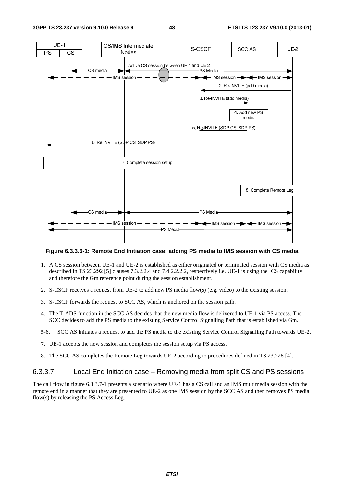

#### **Figure 6.3.3.6-1: Remote End Initiation case: adding PS media to IMS session with CS media**

- 1. A CS session between UE-1 and UE-2 is established as either originated or terminated session with CS media as described in TS 23.292 [5] clauses 7.3.2.2.4 and 7.4.2.2.2.2, respectively i.e. UE-1 is using the ICS capability and therefore the Gm reference point during the session establishment.
- 2. S-CSCF receives a request from UE-2 to add new PS media flow(s) (e.g. video) to the existing session.
- 3. S-CSCF forwards the request to SCC AS, which is anchored on the session path.
- 4. The T-ADS function in the SCC AS decides that the new media flow is delivered to UE-1 via PS access. The SCC decides to add the PS media to the existing Service Control Signalling Path that is established via Gm.
- 5-6. SCC AS initiates a request to add the PS media to the existing Service Control Signalling Path towards UE-2.
- 7. UE-1 accepts the new session and completes the session setup via PS access.
- 8. The SCC AS completes the Remote Leg towards UE-2 according to procedures defined in TS 23.228 [4].

### 6.3.3.7 Local End Initiation case – Removing media from split CS and PS sessions

The call flow in figure 6.3.3.7-1 presents a scenario where UE-1 has a CS call and an IMS multimedia session with the remote end in a manner that they are presented to UE-2 as one IMS session by the SCC AS and then removes PS media flow(s) by releasing the PS Access Leg.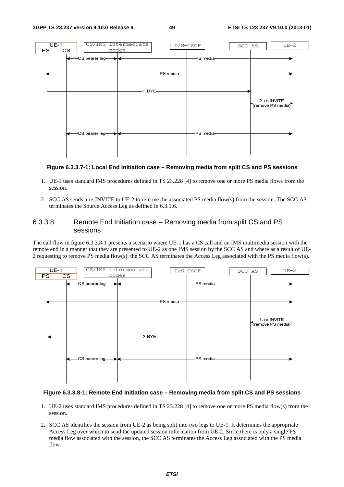

#### **Figure 6.3.3.7-1: Local End Initiation case – Removing media from split CS and PS sessions**

- 1. UE-1 uses standard IMS procedures defined in TS 23.228 [4] to remove one or more PS media flows from the session.
- 2. SCC AS sends a re-INVITE to UE-2 to remove the associated PS media flow(s) from the session. The SCC AS terminates the Source Access Leg as defined in 6.3.1.6.

### 6.3.3.8 Remote End Initiation case – Removing media from split CS and PS sessions

The call flow in figure 6.3.3.8-1 presents a scenario where UE-1 has a CS call and an IMS multimedia session with the remote end in a manner that they are presented to UE-2 as one IMS session by the SCC AS and where as a result of UE-2 requesting to remove PS media flow(s), the SCC AS terminates the Access Leg associated with the PS media flow(s).



#### **Figure 6.3.3.8-1: Remote End Initiation case – Removing media from split CS and PS sessions**

- 1. UE-2 uses standard IMS procedures defined in TS 23.228 [4] to remove one or more PS media flow(s) from the session.
- 2. SCC AS identifies the session from UE-2 as being split into two legs to UE-1. It determines the appropriate Access Leg over which to send the updated session information from UE-2. Since there is only a single PS media flow associated with the session, the SCC AS terminates the Access Leg associated with the PS media flow.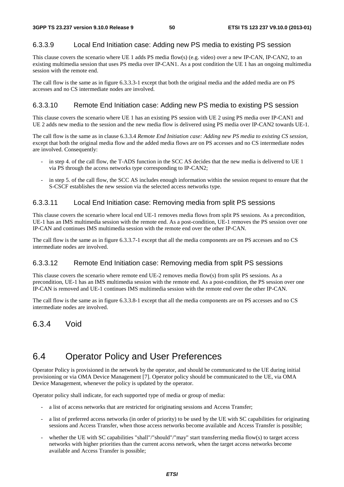### 6.3.3.9 Local End Initiation case: Adding new PS media to existing PS session

This clause covers the scenario where UE 1 adds PS media flow(s) (e.g. video) over a new IP-CAN, IP-CAN2, to an existing multimedia session that uses PS media over IP-CAN1. As a post condition the UE 1 has an ongoing multimedia session with the remote end.

The call flow is the same as in figure 6.3.3.3-1 except that both the original media and the added media are on PS accesses and no CS intermediate nodes are involved.

### 6.3.3.10 Remote End Initiation case: Adding new PS media to existing PS session

This clause covers the scenario where UE 1 has an existing PS session with UE 2 using PS media over IP-CAN1 and UE 2 adds new media to the session and the new media flow is delivered using PS media over IP-CAN2 towards UE-1.

The call flow is the same as in clause 6.3.3.4 *Remote End Initiation case: Adding new PS media to existing CS session*, except that both the original media flow and the added media flows are on PS accesses and no CS intermediate nodes are involved. Consequently:

- in step 4. of the call flow, the T-ADS function in the SCC AS decides that the new media is delivered to UE 1 via PS through the access networks type corresponding to IP-CAN2;
- in step 5. of the call flow, the SCC AS includes enough information within the session request to ensure that the S-CSCF establishes the new session via the selected access networks type.

### 6.3.3.11 Local End Initiation case: Removing media from split PS sessions

This clause covers the scenario where local end UE-1 removes media flows from split PS sessions. As a precondition, UE-1 has an IMS multimedia session with the remote end. As a post-condition, UE-1 removes the PS session over one IP-CAN and continues IMS multimedia session with the remote end over the other IP-CAN.

The call flow is the same as in figure 6.3.3.7-1 except that all the media components are on PS accesses and no CS intermediate nodes are involved.

### 6.3.3.12 Remote End Initiation case: Removing media from split PS sessions

This clause covers the scenario where remote end UE-2 removes media flow(s) from split PS sessions. As a precondition, UE-1 has an IMS multimedia session with the remote end. As a post-condition, the PS session over one IP-CAN is removed and UE-1 continues IMS multimedia session with the remote end over the other IP-CAN.

The call flow is the same as in figure 6.3.3.8-1 except that all the media components are on PS accesses and no CS intermediate nodes are involved.

### 6.3.4 Void

## 6.4 Operator Policy and User Preferences

Operator Policy is provisioned in the network by the operator, and should be communicated to the UE during initial provisioning or via OMA Device Management [7]. Operator policy should be communicated to the UE, via OMA Device Management, whenever the policy is updated by the operator.

Operator policy shall indicate, for each supported type of media or group of media:

- a list of access networks that are restricted for originating sessions and Access Transfer;
- a list of preferred access networks (in order of priority) to be used by the UE with SC capabilities for originating sessions and Access Transfer, when those access networks become available and Access Transfer is possible;
- whether the UE with SC capabilities "shall"/"should"/"may" start transferring media flow(s) to target access networks with higher priorities than the current access network, when the target access networks become available and Access Transfer is possible;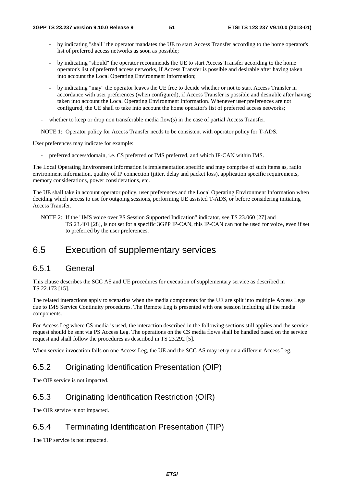- by indicating "shall" the operator mandates the UE to start Access Transfer according to the home operator's list of preferred access networks as soon as possible;
- by indicating "should" the operator recommends the UE to start Access Transfer according to the home operator's list of preferred access networks, if Access Transfer is possible and desirable after having taken into account the Local Operating Environment Information;
- by indicating "may" the operator leaves the UE free to decide whether or not to start Access Transfer in accordance with user preferences (when configured), if Access Transfer is possible and desirable after having taken into account the Local Operating Environment Information. Whenever user preferences are not configured, the UE shall to take into account the home operator's list of preferred access networks;
- whether to keep or drop non transferable media flow(s) in the case of partial Access Transfer.
- NOTE 1: Operator policy for Access Transfer needs to be consistent with operator policy for T-ADS.

User preferences may indicate for example:

preferred access/domain, i.e. CS preferred or IMS preferred, and which IP-CAN within IMS.

The Local Operating Environment Information is implementation specific and may comprise of such items as, radio environment information, quality of IP connection (jitter, delay and packet loss), application specific requirements, memory considerations, power considerations, etc.

The UE shall take in account operator policy, user preferences and the Local Operating Environment Information when deciding which access to use for outgoing sessions, performing UE assisted T-ADS, or before considering initiating Access Transfer.

NOTE 2: If the "IMS voice over PS Session Supported Indication" indicator, see TS 23.060 [27] and TS 23.401 [28], is not set for a specific 3GPP IP-CAN, this IP-CAN can not be used for voice, even if set to preferred by the user preferences.

## 6.5 Execution of supplementary services

### 6.5.1 General

This clause describes the SCC AS and UE procedures for execution of supplementary service as described in TS 22.173 [15].

The related interactions apply to scenarios when the media components for the UE are split into multiple Access Legs due to IMS Service Continuity procedures. The Remote Leg is presented with one session including all the media components.

For Access Leg where CS media is used, the interaction described in the following sections still applies and the service request should be sent via PS Access Leg. The operations on the CS media flows shall be handled based on the service request and shall follow the procedures as described in TS 23.292 [5].

When service invocation fails on one Access Leg, the UE and the SCC AS may retry on a different Access Leg.

## 6.5.2 Originating Identification Presentation (OIP)

The OIP service is not impacted.

## 6.5.3 Originating Identification Restriction (OIR)

The OIR service is not impacted.

### 6.5.4 Terminating Identification Presentation (TIP)

The TIP service is not impacted.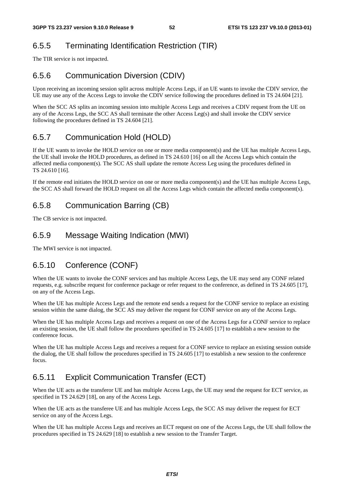## 6.5.5 Terminating Identification Restriction (TIR)

The TIR service is not impacted.

## 6.5.6 Communication Diversion (CDIV)

Upon receiving an incoming session split across multiple Access Legs, if an UE wants to invoke the CDIV service, the UE may use any of the Access Legs to invoke the CDIV service following the procedures defined in TS 24.604 [21].

When the SCC AS splits an incoming session into multiple Access Legs and receives a CDIV request from the UE on any of the Access Legs, the SCC AS shall terminate the other Access Leg(s) and shall invoke the CDIV service following the procedures defined in TS 24.604 [21].

## 6.5.7 Communication Hold (HOLD)

If the UE wants to invoke the HOLD service on one or more media component(s) and the UE has multiple Access Legs, the UE shall invoke the HOLD procedures, as defined in TS 24.610 [16] on all the Access Legs which contain the affected media component(s). The SCC AS shall update the remote Access Leg using the procedures defined in TS 24.610 [16].

If the remote end initiates the HOLD service on one or more media component(s) and the UE has multiple Access Legs, the SCC AS shall forward the HOLD request on all the Access Legs which contain the affected media component(s).

## 6.5.8 Communication Barring (CB)

The CB service is not impacted.

## 6.5.9 Message Waiting Indication (MWI)

The MWI service is not impacted.

## 6.5.10 Conference (CONF)

When the UE wants to invoke the CONF services and has multiple Access Legs, the UE may send any CONF related requests, e.g. subscribe request for conference package or refer request to the conference, as defined in TS 24.605 [17], on any of the Access Legs.

When the UE has multiple Access Legs and the remote end sends a request for the CONF service to replace an existing session within the same dialog, the SCC AS may deliver the request for CONF service on any of the Access Legs.

When the UE has multiple Access Legs and receives a request on one of the Access Legs for a CONF service to replace an existing session, the UE shall follow the procedures specified in TS 24.605 [17] to establish a new session to the conference focus.

When the UE has multiple Access Legs and receives a request for a CONF service to replace an existing session outside the dialog, the UE shall follow the procedures specified in TS 24.605 [17] to establish a new session to the conference focus.

## 6.5.11 Explicit Communication Transfer (ECT)

When the UE acts as the transferor UE and has multiple Access Legs, the UE may send the request for ECT service, as specified in TS 24.629 [18], on any of the Access Legs.

When the UE acts as the transferee UE and has multiple Access Legs, the SCC AS may deliver the request for ECT service on any of the Access Legs.

When the UE has multiple Access Legs and receives an ECT request on one of the Access Legs, the UE shall follow the procedures specified in TS 24.629 [18] to establish a new session to the Transfer Target.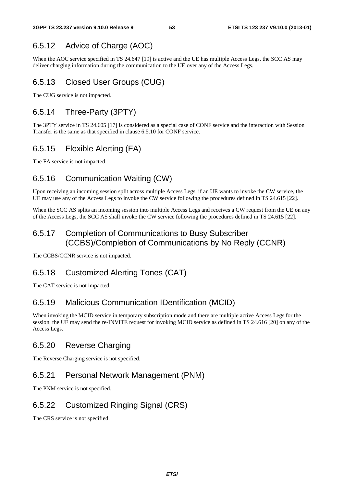## 6.5.12 Advice of Charge (AOC)

When the AOC service specified in TS 24.647 [19] is active and the UE has multiple Access Legs, the SCC AS may deliver charging information during the communication to the UE over any of the Access Legs.

## 6.5.13 Closed User Groups (CUG)

The CUG service is not impacted.

## 6.5.14 Three-Party (3PTY)

The 3PTY service in TS 24.605 [17] is considered as a special case of CONF service and the interaction with Session Transfer is the same as that specified in clause 6.5.10 for CONF service.

## 6.5.15 Flexible Alerting (FA)

The FA service is not impacted.

## 6.5.16 Communication Waiting (CW)

Upon receiving an incoming session split across multiple Access Legs, if an UE wants to invoke the CW service, the UE may use any of the Access Legs to invoke the CW service following the procedures defined in TS 24.615 [22].

When the SCC AS splits an incoming session into multiple Access Legs and receives a CW request from the UE on any of the Access Legs, the SCC AS shall invoke the CW service following the procedures defined in TS 24.615 [22].

### 6.5.17 Completion of Communications to Busy Subscriber (CCBS)/Completion of Communications by No Reply (CCNR)

The CCBS/CCNR service is not impacted.

## 6.5.18 Customized Alerting Tones (CAT)

The CAT service is not impacted.

## 6.5.19 Malicious Communication IDentification (MCID)

When invoking the MCID service in temporary subscription mode and there are multiple active Access Legs for the session, the UE may send the re-INVITE request for invoking MCID service as defined in TS 24.616 [20] on any of the Access Legs.

## 6.5.20 Reverse Charging

The Reverse Charging service is not specified.

## 6.5.21 Personal Network Management (PNM)

The PNM service is not specified.

## 6.5.22 Customized Ringing Signal (CRS)

The CRS service is not specified.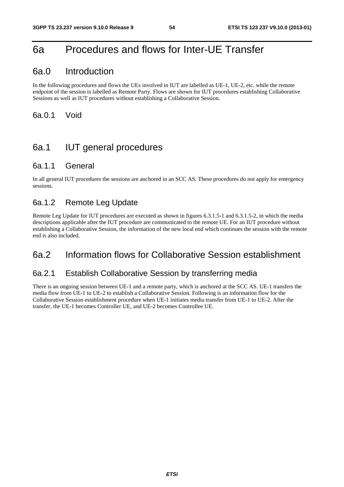# 6a Procedures and flows for Inter-UE Transfer

### 6a.0 Introduction

In the following procedures and flows the UEs involved in IUT are labelled as UE-1, UE-2, etc. while the remote endpoint of the session is labelled as Remote Party. Flows are shown for IUT procedures establishing Collaborative Sessions as well as IUT procedures without establishing a Collaborative Session.

6a.0.1 Void

# 6a.1 IUT general procedures

### 6a.1.1 General

In all general IUT procedures the sessions are anchored in an SCC AS. These procedures do not apply for emergency sessions.

### 6a.1.2 Remote Leg Update

Remote Leg Update for IUT procedures are executed as shown in figures 6.3.1.5-1 and 6.3.1.5-2, in which the media descriptions applicable after the IUT procedure are communicated to the remote UE. For an IUT procedure without establishing a Collaborative Session, the information of the new local end which continues the session with the remote end is also included.

## 6a.2 Information flows for Collaborative Session establishment

### 6a.2.1 Establish Collaborative Session by transferring media

There is an ongoing session between UE-1 and a remote party, which is anchored at the SCC AS. UE-1 transfers the media flow from UE-1 to UE-2 to establish a Collaborative Session. Following is an information flow for the Collaborative Session establishment procedure when UE-1 initiates media transfer from UE-1 to UE-2. After the transfer, the UE-1 becomes Controller UE, and UE-2 becomes Controllee UE.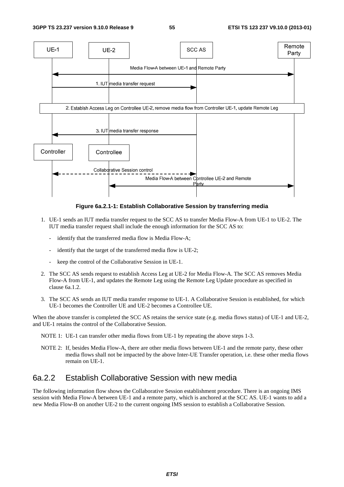

**Figure 6a.2.1-1: Establish Collaborative Session by transferring media** 

- 1. UE-1 sends an IUT media transfer request to the SCC AS to transfer Media Flow-A from UE-1 to UE-2. The IUT media transfer request shall include the enough information for the SCC AS to:
	- identify that the transferred media flow is Media Flow-A;
	- identify that the target of the transferred media flow is UE-2;
	- keep the control of the Collaborative Session in UE-1.
- 2. The SCC AS sends request to establish Access Leg at UE-2 for Media Flow-A. The SCC AS removes Media Flow-A from UE-1, and updates the Remote Leg using the Remote Leg Update procedure as specified in clause 6a.1.2.
- 3. The SCC AS sends an IUT media transfer response to UE-1. A Collaborative Session is established, for which UE-1 becomes the Controller UE and UE-2 becomes a Controllee UE.

When the above transfer is completed the SCC AS retains the service state (e.g. media flows status) of UE-1 and UE-2, and UE-1 retains the control of the Collaborative Session.

- NOTE 1: UE-1 can transfer other media flows from UE-1 by repeating the above steps 1-3.
- NOTE 2: If, besides Media Flow-A, there are other media flows between UE-1 and the remote party, these other media flows shall not be impacted by the above Inter-UE Transfer operation, i.e. these other media flows remain on UE-1.

### 6a.2.2 Establish Collaborative Session with new media

The following information flow shows the Collaborative Session establishment procedure. There is an ongoing IMS session with Media Flow-A between UE-1 and a remote party, which is anchored at the SCC AS. UE-1 wants to add a new Media Flow-B on another UE-2 to the current ongoing IMS session to establish a Collaborative Session.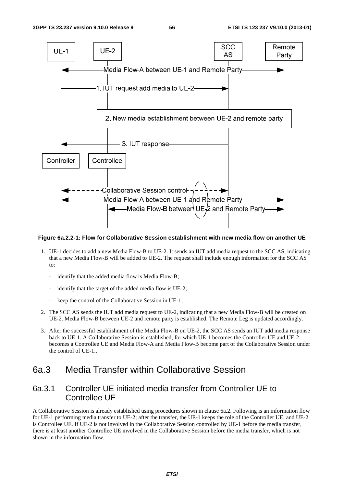

#### **Figure 6a.2.2-1: Flow for Collaborative Session establishment with new media flow on another UE**

- 1. UE-1 decides to add a new Media Flow-B to UE-2. It sends an IUT add media request to the SCC AS, indicating that a new Media Flow-B will be added to UE-2. The request shall include enough information for the SCC AS to:
	- identify that the added media flow is Media Flow-B;
	- identify that the target of the added media flow is UE-2;
	- keep the control of the Collaborative Session in UE-1;
- 2. The SCC AS sends the IUT add media request to UE-2, indicating that a new Media Flow-B will be created on UE-2. Media Flow-B between UE-2 and remote party is established. The Remote Leg is updated accordingly.
- 3. After the successful establishment of the Media Flow-B on UE-2, the SCC AS sends an IUT add media response back to UE-1. A Collaborative Session is established, for which UE-1 becomes the Controller UE and UE-2 becomes a Controllee UE and Media Flow-A and Media Flow-B become part of the Collaborative Session under the control of UE-1..

## 6a.3 Media Transfer within Collaborative Session

### 6a.3.1 Controller UE initiated media transfer from Controller UE to Controllee UE

A Collaborative Session is already established using procedures shown in clause 6a.2. Following is an information flow for UE-1 performing media transfer to UE-2; after the transfer, the UE-1 keeps the role of the Controller UE, and UE-2 is Controllee UE. If UE-2 is not involved in the Collaborative Session controlled by UE-1 before the media transfer, there is at least another Controllee UE involved in the Collaborative Session before the media transfer, which is not shown in the information flow.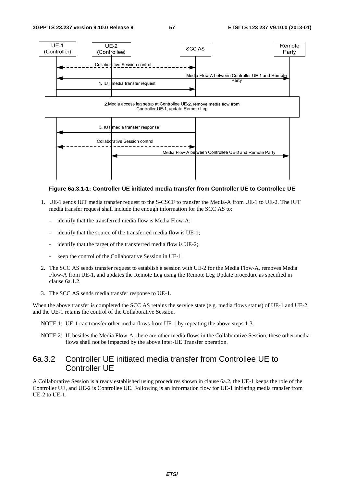

#### **Figure 6a.3.1-1: Controller UE initiated media transfer from Controller UE to Controllee UE**

- 1. UE-1 sends IUT media transfer request to the S-CSCF to transfer the Media-A from UE-1 to UE-2. The IUT media transfer request shall include the enough information for the SCC AS to:
	- identify that the transferred media flow is Media Flow-A;
	- identify that the source of the transferred media flow is UE-1;
	- identify that the target of the transferred media flow is UE-2;
	- keep the control of the Collaborative Session in UE-1.
- 2. The SCC AS sends transfer request to establish a session with UE-2 for the Media Flow-A, removes Media Flow-A from UE-1, and updates the Remote Leg using the Remote Leg Update procedure as specified in clause 6a.1.2.
- 3. The SCC AS sends media transfer response to UE-1.

When the above transfer is completed the SCC AS retains the service state (e.g. media flows status) of UE-1 and UE-2, and the UE-1 retains the control of the Collaborative Session.

NOTE 1: UE-1 can transfer other media flows from UE-1 by repeating the above steps 1-3.

NOTE 2: If, besides the Media Flow-A, there are other media flows in the Collaborative Session, these other media flows shall not be impacted by the above Inter-UE Transfer operation.

## 6a.3.2 Controller UE initiated media transfer from Controllee UE to Controller UE

A Collaborative Session is already established using procedures shown in clause 6a.2, the UE-1 keeps the role of the Controller UE, and UE-2 is Controllee UE. Following is an information flow for UE-1 initiating media transfer from UE-2 to UE-1.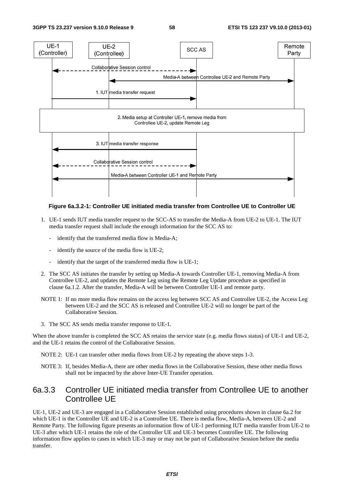

#### **Figure 6a.3.2-1: Controller UE initiated media transfer from Controllee UE to Controller UE**

- 1. UE-1 sends IUT media transfer request to the SCC-AS to transfer the Media-A from UE-2 to UE-1. The IUT media transfer request shall include the enough information for the SCC AS to:
	- identify that the transferred media flow is Media-A;
	- identify the source of the media flow is UE-2;
	- identify that the target of the transferred media flow is UE-1;
- 2. The SCC AS initiates the transfer by setting up Media-A towards Controller UE-1, removing Media-A from Controllee UE-2, and updates the Remote Leg using the Remote Leg Update procedure as specified in clause 6a.1.2. After the transfer, Media-A will be between Controller UE-1 and remote party.
- NOTE 1: If no more media flow remains on the access leg between SCC AS and Controllee UE-2, the Access Leg between UE-2 and the SCC AS is released and Controllee UE-2 will no longer be part of the Collaborative Session.
- 3. The SCC AS sends media transfer response to UE-1.

When the above transfer is completed the SCC AS retains the service state (e.g. media flows status) of UE-1 and UE-2, and the UE-1 retains the control of the Collaborative Session.

- NOTE 2: UE-1 can transfer other media flows from UE-2 by repeating the above steps 1-3.
- NOTE 3: If, besides Media-A, there are other media flows in the Collaborative Session, these other media flows shall not be impacted by the above Inter-UE Transfer operation.

### 6a.3.3 Controller UE initiated media transfer from Controllee UE to another Controllee UE

UE-1, UE-2 and UE-3 are engaged in a Collaborative Session established using procedures shown in clause 6a.2 for which UE-1 is the Controller UE and UE-2 is a Controllee UE. There is media flow, Media-A, between UE-2 and Remote Party. The following figure presents an information flow of UE-1 performing IUT media transfer from UE-2 to UE-3 after which UE-1 retains the role of the Controller UE and UE-3 becomes Controllee UE. The following information flow applies to cases in which UE-3 may or may not be part of Collaborative Session before the media transfer.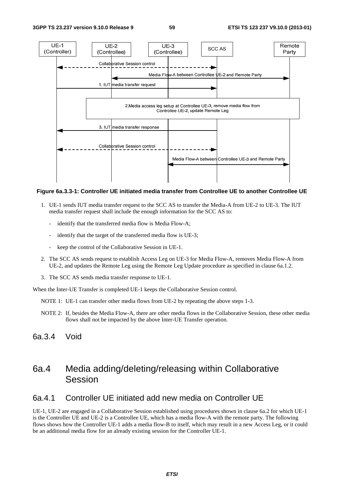

#### **Figure 6a.3.3-1: Controller UE initiated media transfer from Controllee UE to another Controllee UE**

- 1. UE-1 sends IUT media transfer request to the SCC AS to transfer the Media-A from UE-2 to UE-3. The IUT media transfer request shall include the enough information for the SCC AS to:
	- identify that the transferred media flow is Media Flow-A;
	- identify that the target of the transferred media flow is UE-3;
	- keep the control of the Collaborative Session in UE-1.
- 2. The SCC AS sends request to establish Access Leg on UE-3 for Media Flow-A, removes Media Flow-A from UE-2, and updates the Remote Leg using the Remote Leg Update procedure as specified in clause 6a.1.2.
- 3. The SCC AS sends media transfer response to UE-1.

When the Inter-UE Transfer is completed UE-1 keeps the Collaborative Session control.

- NOTE 1: UE-1 can transfer other media flows from UE-2 by repeating the above steps 1-3.
- NOTE 2: If, besides the Media Flow-A, there are other media flows in the Collaborative Session, these other media flows shall not be impacted by the above Inter-UE Transfer operation.
- 6a.3.4 Void

## 6a.4 Media adding/deleting/releasing within Collaborative Session

### 6a.4.1 Controller UE initiated add new media on Controller UE

UE-1, UE-2 are engaged in a Collaborative Session established using procedures shown in clause 6a.2 for which UE-1 is the Controller UE and UE-2 is a Controllee UE, which has a media flow-A with the remote party. The following flows shows how the Controller UE-1 adds a media flow-B to itself, which may result in a new Access Leg, or it could be an additional media flow for an already existing session for the Controller UE-1.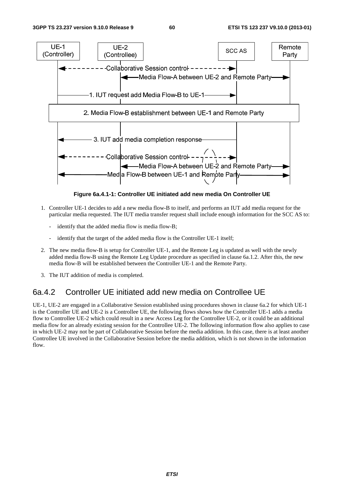

**Figure 6a.4.1-1: Controller UE initiated add new media On Controller UE** 

- 1. Controller UE-1 decides to add a new media flow-B to itself, and performs an IUT add media request for the particular media requested. The IUT media transfer request shall include enough information for the SCC AS to:
	- identify that the added media flow is media flow-B;
	- identify that the target of the added media flow is the Controller UE-1 itself;
- 2. The new media flow-B is setup for Controller UE-1, and the Remote Leg is updated as well with the newly added media flow-B using the Remote Leg Update procedure as specified in clause 6a.1.2. After this, the new media flow-B will be established between the Controller UE-1 and the Remote Party.
- 3. The IUT addition of media is completed.

### 6a.4.2 Controller UE initiated add new media on Controllee UE

UE-1, UE-2 are engaged in a Collaborative Session established using procedures shown in clause 6a.2 for which UE-1 is the Controller UE and UE-2 is a Controllee UE, the following flows shows how the Controller UE-1 adds a media flow to Controllee UE-2 which could result in a new Access Leg for the Controllee UE-2, or it could be an additional media flow for an already existing session for the Controllee UE-2. The following information flow also applies to case in which UE-2 may not be part of Collaborative Session before the media addition. In this case, there is at least another Controllee UE involved in the Collaborative Session before the media addition, which is not shown in the information flow.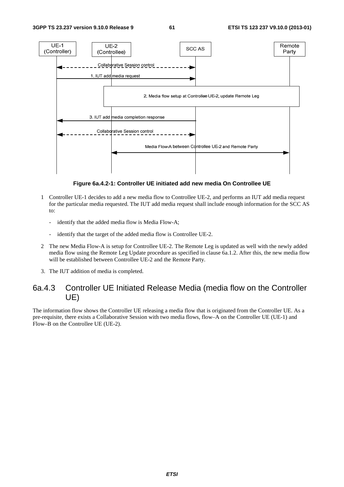

**Figure 6a.4.2-1: Controller UE initiated add new media On Controllee UE** 

- 1 Controller UE-1 decides to add a new media flow to Controllee UE-2, and performs an IUT add media request for the particular media requested. The IUT add media request shall include enough information for the SCC AS to:
	- identify that the added media flow is Media Flow-A;
	- identify that the target of the added media flow is Controllee UE-2.
- 2 The new Media Flow-A is setup for Controllee UE-2. The Remote Leg is updated as well with the newly added media flow using the Remote Leg Update procedure as specified in clause 6a.1.2. After this, the new media flow will be established between Controllee UE-2 and the Remote Party.
- 3. The IUT addition of media is completed.

### 6a.4.3 Controller UE Initiated Release Media (media flow on the Controller UE)

The information flow shows the Controller UE releasing a media flow that is originated from the Controller UE. As a pre-requisite, there exists a Collaborative Session with two media flows, flow–A on the Controller UE (UE-1) and Flow–B on the Controllee UE (UE-2).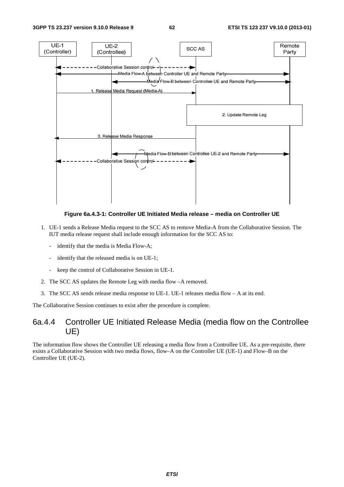

**Figure 6a.4.3-1: Controller UE Initiated Media release – media on Controller UE** 

- 1. UE-1 sends a Release Media request to the SCC AS to remove Media-A from the Collaborative Session. The IUT media release request shall include enough information for the SCC AS to:
	- identify that the media is Media Flow-A;
	- identify that the released media is on UE-1;
	- keep the control of Collaborative Session in UE-1.
- 2. The SCC AS updates the Remote Leg with media flow –A removed.
- 3. The SCC AS sends release media response to UE-1. UE-1 releases media flow A at its end.

The Collaborative Session continues to exist after the procedure is complete.

### 6a.4.4 Controller UE Initiated Release Media (media flow on the Controllee UE)

The information flow shows the Controller UE releasing a media flow from a Controllee UE. As a pre-requisite, there exists a Collaborative Session with two media flows, flow–A on the Controller UE (UE-1) and Flow–B on the Controllee UE (UE-2).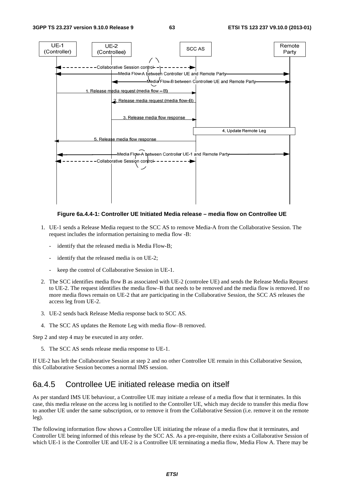

**Figure 6a.4.4-1: Controller UE Initiated Media release – media flow on Controllee UE** 

- 1. UE-1 sends a Release Media request to the SCC AS to remove Media-A from the Collaborative Session. The request includes the information pertaining to media flow -B:
	- identify that the released media is Media Flow-B;
	- identify that the released media is on UE-2:
	- keep the control of Collaborative Session in UE-1.
- 2. The SCC identifies media flow B as associated with UE-2 (controlee UE) and sends the Release Media Request to UE-2. The request identifies the media flow–B that needs to be removed and the media flow is removed. If no more media flows remain on UE-2 that are participating in the Collaborative Session, the SCC AS releases the access leg from UE-2.
- 3. UE-2 sends back Release Media response back to SCC AS.
- 4. The SCC AS updates the Remote Leg with media flow–B removed.

Step 2 and step 4 may be executed in any order.

5. The SCC AS sends release media response to UE-1.

If UE-2 has left the Collaborative Session at step 2 and no other Controllee UE remain in this Collaborative Session, this Collaborative Session becomes a normal IMS session.

### 6a.4.5 Controllee UE initiated release media on itself

As per standard IMS UE behaviour, a Controllee UE may initiate a release of a media flow that it terminates. In this case, this media release on the access leg is notified to the Controller UE, which may decide to transfer this media flow to another UE under the same subscription, or to remove it from the Collaborative Session (i.e. remove it on the remote leg).

The following information flow shows a Controllee UE initiating the release of a media flow that it terminates, and Controller UE being informed of this release by the SCC AS. As a pre-requisite, there exists a Collaborative Session of which UE-1 is the Controller UE and UE-2 is a Controllee UE terminating a media flow, Media Flow A. There may be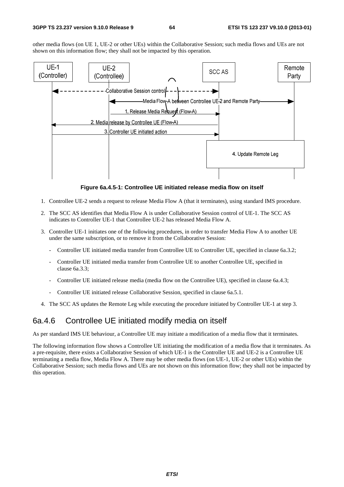other media flows (on UE 1, UE-2 or other UEs) within the Collaborative Session; such media flows and UEs are not shown on this information flow; they shall not be impacted by this operation.



**Figure 6a.4.5-1: Controllee UE initiated release media flow on itself** 

- 1. Controllee UE-2 sends a request to release Media Flow A (that it terminates), using standard IMS procedure.
- 2. The SCC AS identifies that Media Flow A is under Collaborative Session control of UE-1. The SCC AS indicates to Controller UE-1 that Controllee UE-2 has released Media Flow A.
- 3. Controller UE-1 initiates one of the following procedures, in order to transfer Media Flow A to another UE under the same subscription, or to remove it from the Collaborative Session:
	- Controller UE initiated media transfer from Controllee UE to Controller UE, specified in clause 6a.3.2;
	- Controller UE initiated media transfer from Controllee UE to another Controllee UE, specified in clause 6a.3.3;
	- Controller UE initiated release media (media flow on the Controllee UE), specified in clause 6a.4.3;
	- Controller UE initiated release Collaborative Session, specified in clause 6a.5.1.
- 4. The SCC AS updates the Remote Leg while executing the procedure initiated by Controller UE-1 at step 3.

## 6a.4.6 Controllee UE initiated modify media on itself

As per standard IMS UE behaviour, a Controllee UE may initiate a modification of a media flow that it terminates.

The following information flow shows a Controllee UE initiating the modification of a media flow that it terminates. As a pre-requisite, there exists a Collaborative Session of which UE-1 is the Controller UE and UE-2 is a Controllee UE terminating a media flow, Media Flow A. There may be other media flows (on UE-1, UE-2 or other UEs) within the Collaborative Session; such media flows and UEs are not shown on this information flow; they shall not be impacted by this operation.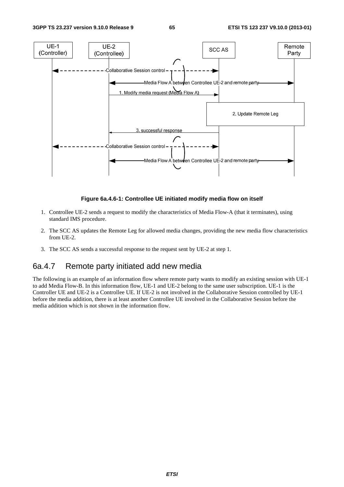

**Figure 6a.4.6-1: Controllee UE initiated modify media flow on itself** 

- 1. Controllee UE-2 sends a request to modify the characteristics of Media Flow-A (that it terminates), using standard IMS procedure.
- 2. The SCC AS updates the Remote Leg for allowed media changes, providing the new media flow characteristics from UE-2.
- 3. The SCC AS sends a successful response to the request sent by UE-2 at step 1.

## 6a.4.7 Remote party initiated add new media

The following is an example of an information flow where remote party wants to modify an existing session with UE-1 to add Media Flow-B. In this information flow, UE-1 and UE-2 belong to the same user subscription. UE-1 is the Controller UE and UE-2 is a Controllee UE. If UE-2 is not involved in the Collaborative Session controlled by UE-1 before the media addition, there is at least another Controllee UE involved in the Collaborative Session before the media addition which is not shown in the information flow.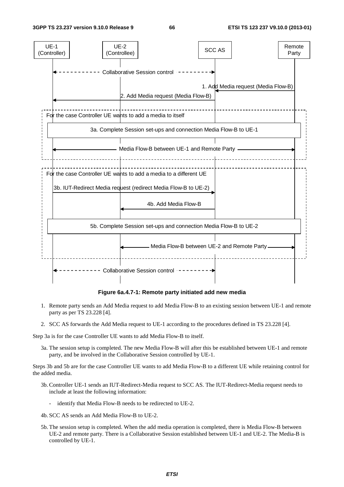

**Figure 6a.4.7-1: Remote party initiated add new media** 

- 1. Remote party sends an Add Media request to add Media Flow-B to an existing session between UE-1 and remote party as per TS 23.228 [4].
- 2. SCC AS forwards the Add Media request to UE-1 according to the procedures defined in TS 23.228 [4].

Step 3a is for the case Controller UE wants to add Media Flow-B to itself.

3a. The session setup is completed. The new Media Flow-B will after this be established between UE-1 and remote party, and be involved in the Collaborative Session controlled by UE-1.

Steps 3b and 5b are for the case Controller UE wants to add Media Flow-B to a different UE while retaining control for the added media.

- 3b. Controller UE-1 sends an IUT-Redirect-Media request to SCC AS. The IUT-Redirect-Media request needs to include at least the following information:
	- identify that Media Flow-B needs to be redirected to UE-2.
- 4b. SCC AS sends an Add Media Flow-B to UE-2.
- 5b. The session setup is completed. When the add media operation is completed, there is Media Flow-B between UE-2 and remote party. There is a Collaborative Session established between UE-1 and UE-2. The Media-B is controlled by UE-1.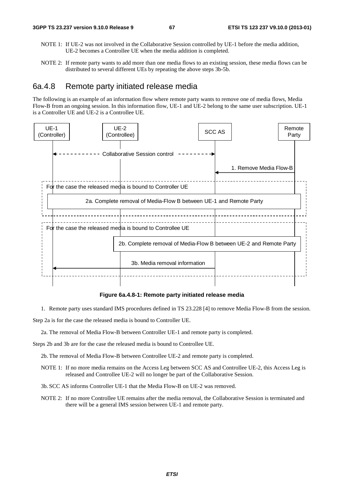- NOTE 1: If UE-2 was not involved in the Collaborative Session controlled by UE-1 before the media addition, UE-2 becomes a Controllee UE when the media addition is completed.
- NOTE 2: If remote party wants to add more than one media flows to an existing session, these media flows can be distributed to several different UEs by repeating the above steps 3b-5b.

### 6a.4.8 Remote party initiated release media

The following is an example of an information flow where remote party wants to remove one of media flows, Media Flow-B from an ongoing session. In this information flow, UE-1 and UE-2 belong to the same user subscription. UE-1 is a Controller UE and UE-2 is a Controllee UE.



**Figure 6a.4.8-1: Remote party initiated release media** 

1. Remote party uses standard IMS procedures defined in TS 23.228 [4] to remove Media Flow-B from the session.

Step 2a is for the case the released media is bound to Controller UE.

2a. The removal of Media Flow-B between Controller UE-1 and remote party is completed.

Steps 2b and 3b are for the case the released media is bound to Controllee UE.

- 2b. The removal of Media Flow-B between Controllee UE-2 and remote party is completed.
- NOTE 1: If no more media remains on the Access Leg between SCC AS and Controllee UE-2, this Access Leg is released and Controllee UE-2 will no longer be part of the Collaborative Session.
- 3b. SCC AS informs Controller UE-1 that the Media Flow-B on UE-2 was removed.
- NOTE 2: If no more Controllee UE remains after the media removal, the Collaborative Session is terminated and there will be a general IMS session between UE-1 and remote party.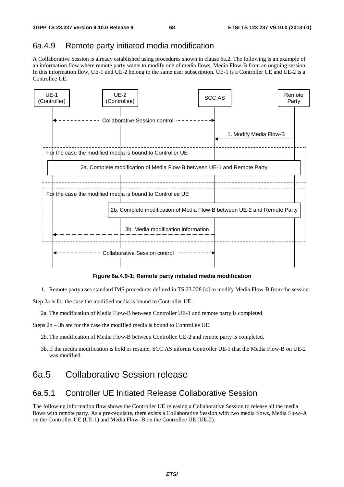## 6a.4.9 Remote party initiated media modification

A Collaborative Session is already established using procedures shown in clause 6a.2. The following is an example of an information flow where remote party wants to modify one of media flows, Media Flow-B from an ongoing session. In this information flow, UE-1 and UE-2 belong to the same user subscription. UE-1 is a Controller UE and UE-2 is a Controllee UE.



**Figure 6a.4.9-1: Remote party initiated media modification** 

1. Remote party uses standard IMS procedures defined in TS 23.228 [4] to modify Media Flow-B from the session.

Step 2a is for the case the modified media is bound to Controller UE.

2a. The modification of Media Flow-B between Controller UE-1 and remote party is completed.

Steps 2b – 3b are for the case the modified media is bound to Controllee UE.

2b. The modification of Media Flow-B between Controllee UE-2 and remote party is completed.

3b. If the media modification is hold or resume, SCC AS informs Controller UE-1 that the Media Flow-B on UE-2 was modified.

# 6a.5 Collaborative Session release

## 6a.5.1 Controller UE Initiated Release Collaborative Session

The following information flow shows the Controller UE releasing a Collaborative Session to release all the media flows with remote party. As a pre-requisite, there exists a Collaborative Session with two media flows, Media Flow–A on the Controller UE (UE-1) and Media Flow–B on the Controllee UE (UE-2).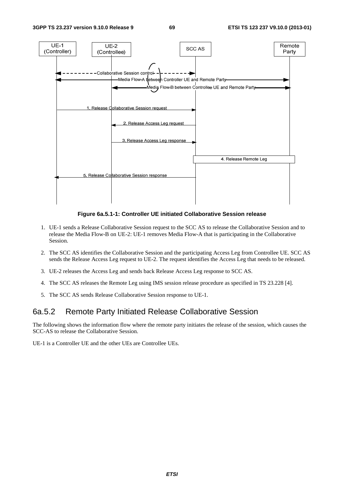

**Figure 6a.5.1-1: Controller UE initiated Collaborative Session release** 

- 1. UE-1 sends a Release Collaborative Session request to the SCC AS to release the Collaborative Session and to release the Media Flow-B on UE-2: UE-1 removes Media Flow-A that is participating in the Collaborative Session.
- 2. The SCC AS identifies the Collaborative Session and the participating Access Leg from Controllee UE. SCC AS sends the Release Access Leg request to UE-2. The request identifies the Access Leg that needs to be released.
- 3. UE-2 releases the Access Leg and sends back Release Access Leg response to SCC AS.
- 4. The SCC AS releases the Remote Leg using IMS session release procedure as specified in TS 23.228 [4].
- 5. The SCC AS sends Release Collaborative Session response to UE-1.

### 6a.5.2 Remote Party Initiated Release Collaborative Session

The following shows the information flow where the remote party initiates the release of the session, which causes the SCC-AS to release the Collaborative Session.

UE-1 is a Controller UE and the other UEs are Controllee UEs.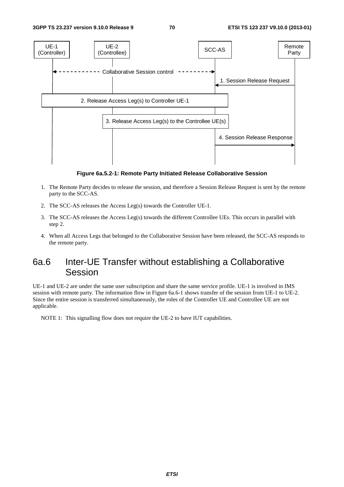

**Figure 6a.5.2-1: Remote Party Initiated Release Collaborative Session** 

- 1. The Remote Party decides to release the session, and therefore a Session Release Request is sent by the remote party to the SCC-AS.
- 2. The SCC-AS releases the Access Leg(s) towards the Controller UE-1.
- 3. The SCC-AS releases the Access Leg(s) towards the different Controllee UEs. This occurs in parallel with step 2.
- 4. When all Access Legs that belonged to the Collaborative Session have been released, the SCC-AS responds to the remote party.

## 6a.6 Inter-UE Transfer without establishing a Collaborative Session

UE-1 and UE-2 are under the same user subscription and share the same service profile. UE-1 is involved in IMS session with remote party. The information flow in Figure 6a.6-1 shows transfer of the session from UE-1 to UE-2. Since the entire session is transferred simultaneously, the roles of the Controller UE and Controllee UE are not applicable.

NOTE 1: This signalling flow does not require the UE-2 to have IUT capabilities.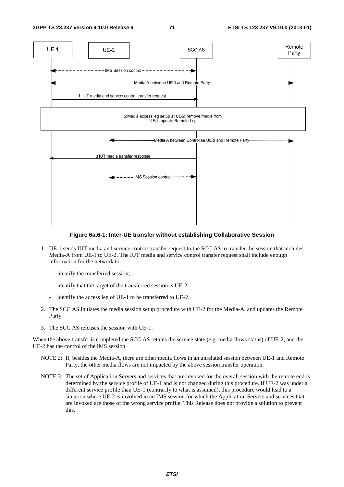

#### **Figure 6a.6-1: Inter-UE transfer without establishing Collaborative Session**

- 1. UE-1 sends IUT media and service control transfer request to the SCC AS to transfer the session that includes Media-A from UE-1 to UE-2. The IUT media and service control transfer request shall include enough information for the network to:
	- identify the transferred session;
	- identify that the target of the transferred session is UE-2;
	- identify the access leg of UE-1 to be transferred to UE-2.
- 2. The SCC AS initiates the media session setup procedure with UE-2 for the Media-A, and updates the Remote Party.
- 3. The SCC AS releases the session with UE-1.

When the above transfer is completed the SCC AS retains the service state (e.g. media flows status) of UE-2, and the UE-2 has the control of the IMS session.

- NOTE 2: If, besides the Media-A, there are other media flows in an unrelated session between UE-1 and Remote Party, the other media flows are not impacted by the above session transfer operation.
- NOTE 3: The set of Application Servers and services that are invoked for the overall session with the remote end is determined by the service profile of UE-1 and is not changed during this procedure. If UE-2 was under a different service profile than UE-1 (contrarily to what is assumed), this procedure would lead to a situation where UE-2 is involved in an IMS session for which the Application Servers and services that are invoked are those of the wrong service profile. This Release does not provide a solution to prevent this.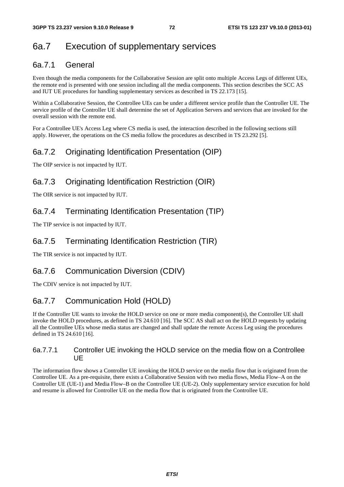## 6a.7 Execution of supplementary services

### 6a.7.1 General

Even though the media components for the Collaborative Session are split onto multiple Access Legs of different UEs, the remote end is presented with one session including all the media components. This section describes the SCC AS and IUT UE procedures for handling supplementary services as described in TS 22.173 [15].

Within a Collaborative Session, the Controllee UEs can be under a different service profile than the Controller UE. The service profile of the Controller UE shall determine the set of Application Servers and services that are invoked for the overall session with the remote end.

For a Controllee UE's Access Leg where CS media is used, the interaction described in the following sections still apply. However, the operations on the CS media follow the procedures as described in TS 23.292 [5].

### 6a.7.2 Originating Identification Presentation (OIP)

The OIP service is not impacted by IUT.

### 6a.7.3 Originating Identification Restriction (OIR)

The OIR service is not impacted by IUT.

### 6a.7.4 Terminating Identification Presentation (TIP)

The TIP service is not impacted by IUT.

### 6a.7.5 Terminating Identification Restriction (TIR)

The TIR service is not impacted by IUT.

### 6a.7.6 Communication Diversion (CDIV)

The CDIV service is not impacted by IUT.

### 6a.7.7 Communication Hold (HOLD)

If the Controller UE wants to invoke the HOLD service on one or more media component(s), the Controller UE shall invoke the HOLD procedures, as defined in TS 24.610 [16]. The SCC AS shall act on the HOLD requests by updating all the Controllee UEs whose media status are changed and shall update the remote Access Leg using the procedures defined in TS 24.610 [16].

#### 6a.7.7.1 Controller UE invoking the HOLD service on the media flow on a Controllee UE

The information flow shows a Controller UE invoking the HOLD service on the media flow that is originated from the Controllee UE. As a pre-requisite, there exists a Collaborative Session with two media flows, Media Flow–A on the Controller UE (UE-1) and Media Flow–B on the Controllee UE (UE-2). Only supplementary service execution for hold and resume is allowed for Controller UE on the media flow that is originated from the Controllee UE.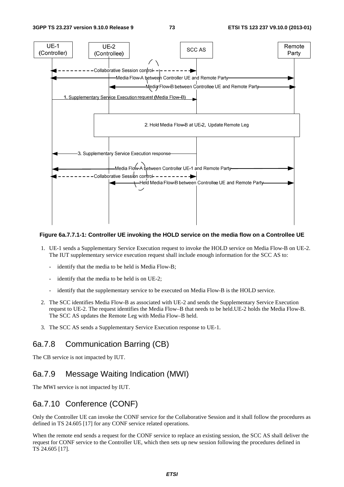

#### **Figure 6a.7.7.1-1: Controller UE invoking the HOLD service on the media flow on a Controllee UE**

- 1. UE-1 sends a Supplementary Service Execution request to invoke the HOLD service on Media Flow-B on UE-2. The IUT supplementary service execution request shall include enough information for the SCC AS to:
	- identify that the media to be held is Media Flow-B;
	- identify that the media to be held is on UE-2;
	- identify that the supplementary service to be executed on Media Flow-B is the HOLD service.
- 2. The SCC identifies Media Flow-B as associated with UE-2 and sends the Supplementary Service Execution request to UE-2. The request identifies the Media Flow–B that needs to be held.UE-2 holds the Media Flow-B. The SCC AS updates the Remote Leg with Media Flow–B held.
- 3. The SCC AS sends a Supplementary Service Execution response to UE-1.

#### 6a.7.8 Communication Barring (CB)

The CB service is not impacted by IUT.

### 6a.7.9 Message Waiting Indication (MWI)

The MWI service is not impacted by IUT.

### 6a.7.10 Conference (CONF)

Only the Controller UE can invoke the CONF service for the Collaborative Session and it shall follow the procedures as defined in TS 24.605 [17] for any CONF service related operations.

When the remote end sends a request for the CONF service to replace an existing session, the SCC AS shall deliver the request for CONF service to the Controller UE, which then sets up new session following the procedures defined in TS 24.605 [17].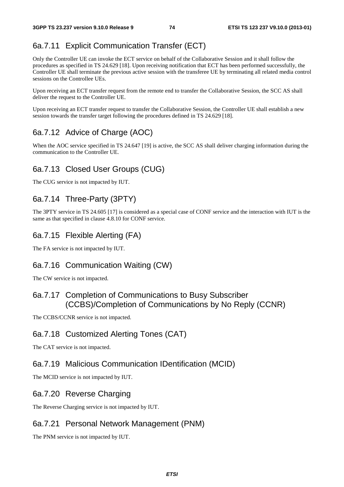### 6a.7.11 Explicit Communication Transfer (ECT)

Only the Controller UE can invoke the ECT service on behalf of the Collaborative Session and it shall follow the procedures as specified in TS 24.629 [18]. Upon receiving notification that ECT has been performed successfully, the Controller UE shall terminate the previous active session with the transferee UE by terminating all related media control sessions on the Controllee UEs.

Upon receiving an ECT transfer request from the remote end to transfer the Collaborative Session, the SCC AS shall deliver the request to the Controller UE.

Upon receiving an ECT transfer request to transfer the Collaborative Session, the Controller UE shall establish a new session towards the transfer target following the procedures defined in TS 24.629 [18].

### 6a.7.12 Advice of Charge (AOC)

When the AOC service specified in TS 24.647 [19] is active, the SCC AS shall deliver charging information during the communication to the Controller UE.

### 6a.7.13 Closed User Groups (CUG)

The CUG service is not impacted by IUT.

### 6a.7.14 Three-Party (3PTY)

The 3PTY service in TS 24.605 [17] is considered as a special case of CONF service and the interaction with IUT is the same as that specified in clause 4.8.10 for CONF service.

### 6a.7.15 Flexible Alerting (FA)

The FA service is not impacted by IUT.

#### 6a.7.16 Communication Waiting (CW)

The CW service is not impacted.

#### 6a.7.17 Completion of Communications to Busy Subscriber (CCBS)/Completion of Communications by No Reply (CCNR)

The CCBS/CCNR service is not impacted.

#### 6a.7.18 Customized Alerting Tones (CAT)

The CAT service is not impacted.

#### 6a.7.19 Malicious Communication IDentification (MCID)

The MCID service is not impacted by IUT.

#### 6a.7.20 Reverse Charging

The Reverse Charging service is not impacted by IUT.

#### 6a.7.21 Personal Network Management (PNM)

The PNM service is not impacted by IUT.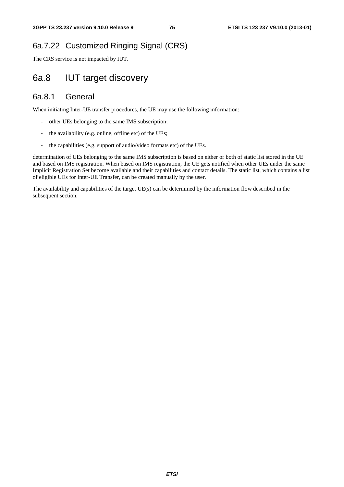## 6a.7.22 Customized Ringing Signal (CRS)

The CRS service is not impacted by IUT.

## 6a.8 IUT target discovery

### 6a.8.1 General

When initiating Inter-UE transfer procedures, the UE may use the following information:

- other UEs belonging to the same IMS subscription;
- the availability (e.g. online, offline etc) of the UEs;
- the capabilities (e.g. support of audio/video formats etc) of the UEs.

determination of UEs belonging to the same IMS subscription is based on either or both of static list stored in the UE and based on IMS registration. When based on IMS registration, the UE gets notified when other UEs under the same Implicit Registration Set become available and their capabilities and contact details. The static list, which contains a list of eligible UEs for Inter-UE Transfer, can be created manually by the user.

The availability and capabilities of the target UE(s) can be determined by the information flow described in the subsequent section.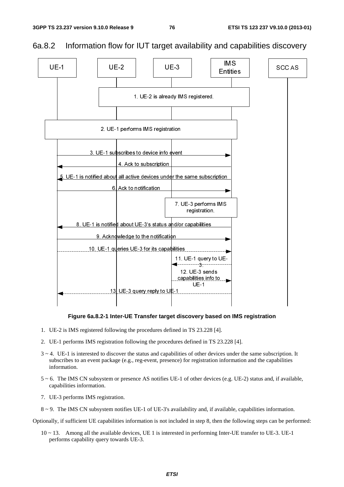

### 6a.8.2 Information flow for IUT target availability and capabilities discovery



- 1. UE-2 is IMS registered following the procedures defined in TS 23.228 [4].
- 2. UE-1 performs IMS registration following the procedures defined in TS 23.228 [4].
- $3 \sim 4$ . UE-1 is interested to discover the status and capabilities of other devices under the same subscription. It subscribes to an event package (e.g., reg-event, presence) for registration information and the capabilities information.
- 5 ~ 6. The IMS CN subsystem or presence AS notifies UE-1 of other devices (e.g. UE-2) status and, if available, capabilities information.
- 7. UE-3 performs IMS registration.
- 8 ~ 9. The IMS CN subsystem notifies UE-1 of UE-3's availability and, if available, capabilities information.

Optionally, if sufficient UE capabilities information is not included in step 8, then the following steps can be performed:

10 ~ 13. Among all the available devices, UE 1 is interested in performing Inter-UE transfer to UE-3. UE-1 performs capability query towards UE-3.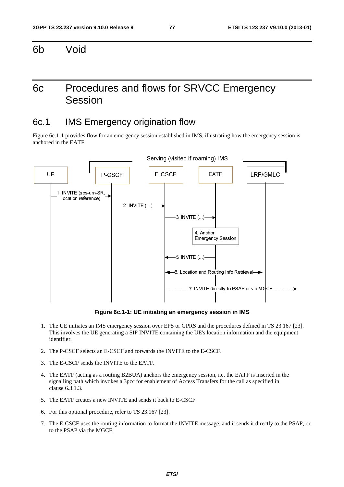6b Void

## 6c Procedures and flows for SRVCC Emergency Session

### 6c.1 IMS Emergency origination flow

Figure 6c.1-1 provides flow for an emergency session established in IMS, illustrating how the emergency session is anchored in the EATF.



**Figure 6c.1-1: UE initiating an emergency session in IMS** 

- 1. The UE initiates an IMS emergency session over EPS or GPRS and the procedures defined in TS 23.167 [23]. This involves the UE generating a SIP INVITE containing the UE's location information and the equipment identifier.
- 2. The P-CSCF selects an E-CSCF and forwards the INVITE to the E-CSCF.
- 3. The E-CSCF sends the INVITE to the EATF.
- 4. The EATF (acting as a routing B2BUA) anchors the emergency session, i.e. the EATF is inserted in the signalling path which invokes a 3pcc for enablement of Access Transfers for the call as specified in clause 6.3.1.3.
- 5. The EATF creates a new INVITE and sends it back to E-CSCF.
- 6. For this optional procedure, refer to TS 23.167 [23].
- 7. The E-CSCF uses the routing information to format the INVITE message, and it sends it directly to the PSAP, or to the PSAP via the MGCF.

*ETSI*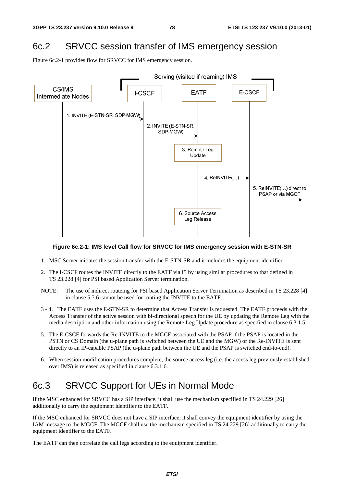## 6c.2 SRVCC session transfer of IMS emergency session

Figure 6c.2-1 provides flow for SRVCC for IMS emergency session.



#### **Figure 6c.2-1: IMS level Call flow for SRVCC for IMS emergency session with E-STN-SR**

- 1. MSC Server initiates the session transfer with the E-STN-SR and it includes the equipment identifier.
- 2. The I-CSCF routes the INVITE directly to the EATF via I5 by using similar procedures to that defined in TS 23.228 [4] for PSI based Application Server termination.
- NOTE: The use of indirect routeing for PSI based Application Server Termination as described in TS 23.228 [4] in clause 5.7.6 cannot be used for routing the INVITE to the EATF.
- 3 4. The EATF uses the E-STN-SR to determine that Access Transfer is requested. The EATF proceeds with the Access Transfer of the active session with bi-directional speech for the UE by updating the Remote Leg with the media description and other information using the Remote Leg Update procedure as specified in clause 6.3.1.5.
- 5. The E-CSCF forwards the Re-INVITE to the MGCF associated with the PSAP if the PSAP is located in the PSTN or CS Domain (the u-plane path is switched between the UE and the MGW) or the Re-INVITE is sent directly to an IP-capable PSAP (the u-plane path between the UE and the PSAP is switched end-to-end).
- 6. When session modification procedures complete, the source access leg (i.e. the access leg previously established over IMS) is released as specified in clause 6.3.1.6.

## 6c.3 SRVCC Support for UEs in Normal Mode

If the MSC enhanced for SRVCC has a SIP interface, it shall use the mechanism specified in TS 24.229 [26] additionally to carry the equipment identifier to the EATF.

If the MSC enhanced for SRVCC does not have a SIP interface, it shall convey the equipment identifier by using the IAM message to the MGCF. The MGCF shall use the mechanism specified in TS 24.229 [26] additionally to carry the equipment identifier to the EATF.

The EATF can then correlate the call legs according to the equipment identifier.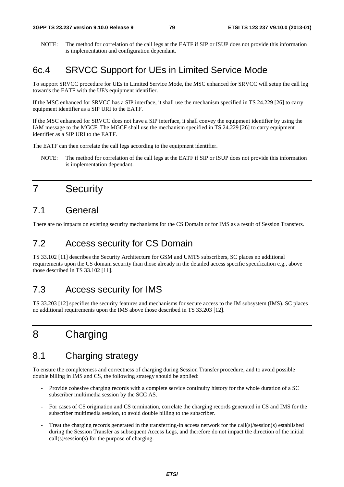NOTE: The method for correlation of the call legs at the EATF if SIP or ISUP does not provide this information is implementation and configuration dependant.

## 6c.4 SRVCC Support for UEs in Limited Service Mode

To support SRVCC procedure for UEs in Limited Service Mode, the MSC enhanced for SRVCC will setup the call leg towards the EATF with the UE's equipment identifier.

If the MSC enhanced for SRVCC has a SIP interface, it shall use the mechanism specified in TS 24.229 [26] to carry equipment identifier as a SIP URI to the EATF.

If the MSC enhanced for SRVCC does not have a SIP interface, it shall convey the equipment identifier by using the IAM message to the MGCF. The MGCF shall use the mechanism specified in TS 24.229 [26] to carry equipment identifier as a SIP URI to the EATF.

The EATF can then correlate the call legs according to the equipment identifier.

NOTE: The method for correlation of the call legs at the EATF if SIP or ISUP does not provide this information is implementation dependant.

## 7 Security

## 7.1 General

There are no impacts on existing security mechanisms for the CS Domain or for IMS as a result of Session Transfers.

### 7.2 Access security for CS Domain

TS 33.102 [11] describes the Security Architecture for GSM and UMTS subscribers, SC places no additional requirements upon the CS domain security than those already in the detailed access specific specification e.g., above those described in TS 33.102 [11].

## 7.3 Access security for IMS

TS 33.203 [12] specifies the security features and mechanisms for secure access to the IM subsystem (IMS). SC places no additional requirements upon the IMS above those described in TS 33.203 [12].

## 8 Charging

## 8.1 Charging strategy

To ensure the completeness and correctness of charging during Session Transfer procedure, and to avoid possible double billing in IMS and CS, the following strategy should be applied:

- Provide cohesive charging records with a complete service continuity history for the whole duration of a SC subscriber multimedia session by the SCC AS.
- For cases of CS origination and CS termination, correlate the charging records generated in CS and IMS for the subscriber multimedia session, to avoid double billing to the subscriber.
- Treat the charging records generated in the transferring-in access network for the call(s)/session(s) established during the Session Transfer as subsequent Access Legs, and therefore do not impact the direction of the initial call(s)/session(s) for the purpose of charging.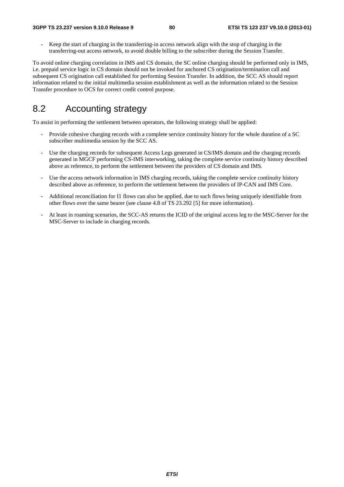- Keep the start of charging in the transferring-in access network align with the stop of charging in the transferring-out access network, to avoid double billing to the subscriber during the Session Transfer.

To avoid online charging correlation in IMS and CS domain, the SC online charging should be performed only in IMS, i.e. prepaid service logic in CS domain should not be invoked for anchored CS origination/termination call and subsequent CS origination call established for performing Session Transfer. In addition, the SCC AS should report information related to the initial multimedia session establishment as well as the information related to the Session Transfer procedure to OCS for correct credit control purpose.

## 8.2 Accounting strategy

To assist in performing the settlement between operators, the following strategy shall be applied:

- Provide cohesive charging records with a complete service continuity history for the whole duration of a SC subscriber multimedia session by the SCC AS.
- Use the charging records for subsequent Access Legs generated in CS/IMS domain and the charging records generated in MGCF performing CS-IMS interworking, taking the complete service continuity history described above as reference, to perform the settlement between the providers of CS domain and IMS.
- Use the access network information in IMS charging records, taking the complete service continuity history described above as reference, to perform the settlement between the providers of IP-CAN and IMS Core.
- Additional reconciliation for I1 flows can also be applied, due to such flows being uniquely identifiable from other flows over the same bearer (see clause 4.8 of TS 23.292 [5] for more information).
- At least in roaming scenarios, the SCC-AS returns the ICID of the original access leg to the MSC-Server for the MSC-Server to include in charging records.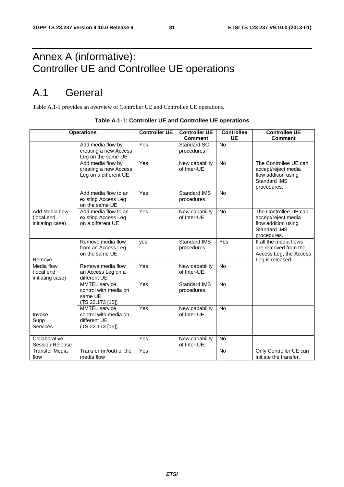## Annex A (informative): Controller UE and Controllee UE operations

## A.1 General

Table A.1-1 provides an overview of Controller UE and Controllee UE operations.

|                        | <b>Operations</b>                        | <b>Controller UE</b> | <b>Controller UE</b> | <b>Controllee</b> | <b>Controllee UE</b>                       |
|------------------------|------------------------------------------|----------------------|----------------------|-------------------|--------------------------------------------|
|                        |                                          |                      | <b>Comment</b>       | <b>UE</b>         | <b>Comment</b>                             |
|                        | Add media flow by                        | Yes                  | <b>Standard SC</b>   | No                |                                            |
|                        | creating a new Access                    |                      | procedures.          |                   |                                            |
|                        | Leg on the same UE                       |                      |                      |                   |                                            |
|                        | Add media flow by                        | Yes                  | New capability       | No                | The Controllee UE can                      |
|                        | creating a new Access                    |                      | of Inter-UE.         |                   | accept/reject media                        |
|                        | Leg on a different UE                    |                      |                      |                   | flow addition using<br><b>Standard IMS</b> |
|                        |                                          |                      |                      |                   | procedures.                                |
|                        | Add media flow to an                     | Yes                  | <b>Standard IMS</b>  | <b>No</b>         |                                            |
|                        | existing Access Leg                      |                      | procedures.          |                   |                                            |
|                        | on the same UE                           |                      |                      |                   |                                            |
| Add Media flow         | Add media flow to an                     | Yes                  | New capability       | $\overline{N}$    | The Controllee UE can                      |
| (local end             | existing Access Leg                      |                      | of Inter-UE.         |                   | accept/reject media                        |
| initiating case)       | on a different UE                        |                      |                      |                   | flow addition using                        |
|                        |                                          |                      |                      |                   | Standard IMS                               |
|                        |                                          |                      |                      |                   | procedures.                                |
|                        | Remove media flow                        | ves                  | Standard IMS         | Yes               | If all the media flows                     |
|                        | from an Access Leg                       |                      | procedures.          |                   | are removed from the                       |
|                        | on the same UE.                          |                      |                      |                   | Access Leg, the Access                     |
| Remove                 |                                          |                      |                      |                   | Leg is released.                           |
| Media flow             | Remove media flow                        | Yes                  | New capability       | <b>No</b>         |                                            |
| (local end             | an Access Leg on a                       |                      | of Inter-UE.         |                   |                                            |
| initiating case)       | different UE                             |                      |                      |                   |                                            |
|                        | <b>MMTEL</b> service                     | Yes                  | <b>Standard IMS</b>  | No                |                                            |
|                        | control with media on                    |                      | procedures.          |                   |                                            |
|                        | same UE                                  |                      |                      |                   |                                            |
|                        | (TS 22.173 [15])<br><b>MMTEL</b> service | Yes                  | New capability       | <b>No</b>         |                                            |
| Invoke                 | control with media on                    |                      | of Inter-UE.         |                   |                                            |
| Supp                   | different UE                             |                      |                      |                   |                                            |
| Services               | (TS 22.173 [15])                         |                      |                      |                   |                                            |
|                        |                                          |                      |                      |                   |                                            |
| Collaborative          |                                          | Yes                  | New capability       | <b>No</b>         |                                            |
| <b>Session Release</b> |                                          |                      | of Inter-UE.         |                   |                                            |
| <b>Transfer Media</b>  | Transfer (in/out) of the                 | Yes                  |                      | No                | Only Controller UE can                     |
| flow                   | media flow                               |                      |                      |                   | initiate the transfer.                     |

#### **Table A.1-1: Controller UE and Controllee UE operations**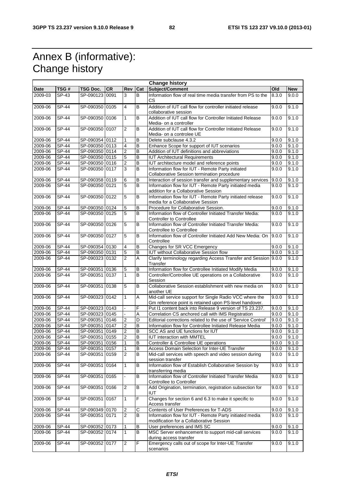## Annex B (informative): Change history

 $\mathsf{r}$ 

| <b>Change history</b> |                           |                |           |                         |                |                                                                                                                   |       |            |
|-----------------------|---------------------------|----------------|-----------|-------------------------|----------------|-------------------------------------------------------------------------------------------------------------------|-------|------------|
| <b>Date</b>           | TSG #                     | TSG Doc.       | <b>CR</b> | Rev                     | Cat            | Subject/Comment                                                                                                   | Old   | <b>New</b> |
| 2009-03               | SP-43                     | SP-090123 0091 |           | 3                       | B              | Information flow of real time media transfer from PS to the<br><b>CS</b>                                          | 8.3.0 | 9.0.0      |
| 2009-06               | SP-44                     | SP-090350 0105 |           | $\overline{4}$          | B              | Addition of IUT call flow for controller initiated release<br>9.0.0<br>collaborative session                      |       | 9.1.0      |
| 2009-06               | SP-44                     | SP-090350 0106 |           | $\mathbf{1}$            | B              | Addition of IUT call flow for Controller Initiated Release<br>9.0.0<br>Media- on a controller                     |       | 9.1.0      |
| 2009-06               | <b>SP-44</b>              | SP-090350 0107 |           | $\overline{2}$          | B              | Addition of IUT call flow for Controller Initiated Release<br>Media- on a controlee UE                            | 9.0.0 | 9.1.0      |
| 2009-06               | <b>SP-44</b>              | SP-090354 0112 |           | $\mathbf{1}$            | B              | Delete subclause 4.3.2                                                                                            | 9.0.0 | 9.1.0      |
| 2009-06               | SP-44                     | SP-090350 0113 |           | 4                       | B              | Enhance Scope for support of IUT scenarios                                                                        | 9.0.0 | 9.1.0      |
| 2009-06               | SP-44                     | SP-090350 0114 |           | $\overline{2}$          | B              | Addition of IUT definitions and abbreviations                                                                     | 9.0.0 | 9.1.0      |
| 2009-06               | SP-44                     | SP-090350 0115 |           | $\overline{5}$          | $\overline{B}$ | <b>IUT Architectural Requirements</b>                                                                             | 9.0.0 | 9.1.0      |
| 2009-06               | $\overline{SP-44}$        | SP-090350 0116 |           | 2                       | B              | IUT architecture model and reference points                                                                       | 9.0.0 | 9.1.0      |
| 2009-06               | SP-44                     | SP-090350 0117 |           | 3                       | B              | Information flow for IUT - Remote Party initiated<br>Collaborative Session termination procedure                  | 9.0.0 | 9.1.0      |
| 2009-06               | <b>SP-44</b>              | SP-090358 0119 |           | 6                       | B              | Interaction of session transfer and supplementary services                                                        | 9.0.0 | 9.1.0      |
| 2009-06               | <b>SP-44</b>              | SP-090350 0121 |           | 5                       | B              | Information flow for IUT - Remote Party initiated media<br>addition for a Collaborative Session                   | 9.0.0 | 9.1.0      |
| 2009-06               | SP-44                     | SP-090350 0122 |           | 5                       | B              | Information flow for IUT - Remote Party initiated release<br>media for a Collaborative Session                    | 9.0.0 | 9.1.0      |
| 2009-06               | SP-44                     | SP-090350 0124 |           | 5                       | B              | Procedure for Collaborative Session.                                                                              | 9.0.0 | 9.1.0      |
| 2009-06               | SP-44                     | SP-090350 0125 |           | $\overline{5}$          | $\overline{B}$ | Information flow of Controller Initiated Transfer Media:<br><b>Controller to Controllee</b>                       | 9.0.0 | 9.1.0      |
| 2009-06               | SP-44                     | SP-090350 0126 |           | 5                       | B              | Information flow of Controller Initiated Transfer Media:<br>Controllee to Controllee                              | 9.0.0 | 9.1.0      |
| 2009-06               | SP-44                     | SP-090350 0127 |           | 5                       | B              | Information flow of Controller Initiated Add New Media: On<br>Controllee                                          | 9.0.0 | 9.1.0      |
| 2009-06               | <b>SP-44</b>              | SP-090354 0130 |           | $\overline{4}$          | B              | Changes for SR VCC Emergency                                                                                      | 9.0.0 | 9.1.0      |
| 2009-06               | SP-44                     | SP-090350 0131 |           | 5                       | B              | <b>IUT without Collaborative Session flow</b><br>9.0.0                                                            |       | 9.1.0      |
| 2009-06               | SP-44                     | SP-090323 0132 |           | $\overline{2}$          | A              | Clarify terminology regarding Access Transfer and Session 9.0.0<br>Transfer                                       |       | 9.1.0      |
| 2009-06               | <b>SP-44</b>              | SP-090351 0136 |           | $\overline{5}$          | $\overline{B}$ | Information flow for Controllee Initiated Modify Media                                                            | 9.0.0 | 9.1.0      |
| 2009-06               | SP-44                     | SP-090351 0137 |           | $\mathbf{1}$            | B              | Controller/Controllee UE operations on a Collaborative<br>9.0.0<br>Session                                        |       | 9.1.0      |
| 2009-06               | <b>SP-44</b>              | SP-090351 0138 |           | $\overline{5}$          | B              | Collaborative Session establishment with new media on<br>another UE                                               | 9.0.0 | 9.1.0      |
| 2009-06               | SP-44                     | SP-090323 0142 |           | $\mathbf{1}$            | A              | Mid-call service support for Single Radio VCC where the<br>Gm reference point is retained upon PS-level handover. | 9.0.0 | 9.1.0      |
| 2009-06               | SP-44                     | SP-090323 0143 |           |                         | F              | Put I1 content back into Release 9 version of TS 23.237.                                                          | 9.0.0 | 9.1.0      |
| 2009-06               | SP-44                     | SP-090323 0145 |           |                         | Α              | Correlation CS anchored call with IMS Registration<br>9.0.0                                                       |       | 9.1.0      |
| 2009-06               | <b>SP-44</b>              | SP-090351 0146 |           | $\overline{2}$          | D              | Editorial corrections related to the use of 'Service Control'<br>9.0.0                                            |       | 9.1.0      |
| 2009-06               | SP-44                     | SP-090351 0147 |           | $\overline{\mathbf{c}}$ | $\overline{B}$ | Information flow for Controllee Initiated Release Media                                                           | 9.0.0 | 9.1.0      |
| 2009-06               | $\overline{\text{SP-44}}$ | SP-090351 0149 |           | $\overline{2}$          | B              | SCC AS and UE functions for IUT                                                                                   | 9.0.0 | 9.1.0      |
| 2009-06               | <b>SP-44</b>              | SP-090351 0155 |           | $\overline{2}$          | B              | <b>IUT interaction with MMTEL</b>                                                                                 | 9.0.0 | 9.1.0      |
| 2009-06               | SP-44                     | SP-090351 0156 |           | $\mathbf{1}$            | B              | Controller & Controllee UE operations                                                                             | 9.0.0 | 9.1.0      |
| 2009-06               | SP-44                     | SP-090351 0157 |           | 1                       | B              | Access Domain Selection for Inter-UE Transfer                                                                     | 9.0.0 | 9.1.0      |
| 2009-06               | SP-44                     | SP-090351 0159 |           | $\overline{2}$          | B              | Mid-call services with speech and video session during<br>session transfer                                        | 9.0.0 | 9.1.0      |
| 2009-06               | <b>SP-44</b>              | SP-090351 0164 |           | $\mathbf{1}$            | B              | Information flow of Establish Collaborative Session by<br>transferring media                                      | 9.0.0 | 9.1.0      |
| 2009-06               | <b>SP-44</b>              | SP-090351 0165 |           |                         | B              | Information flow of Controller Initiated Transfer Media<br>Controllee to Controller                               | 9.0.0 | 9.1.0      |
| 2009-06               | <b>SP-44</b>              | SP-090351 0166 |           | $\overline{2}$          | В              | Add Origination, termination, registration subsection for<br>IUT                                                  | 9.0.0 | 9.1.0      |
| 2009-06               | <b>SP-44</b>              | SP-090351 0167 |           | 1                       | F              | Changes for section 6 and 6.3 to make it specific to<br>Access transfer                                           | 9.0.0 | 9.1.0      |
| 2009-06               | SP-44                     | SP-090349 0170 |           | $\overline{2}$          | С              | Contents of User Preferences for T-ADS                                                                            | 9.0.0 | 9.1.0      |
| 2009-06               | <b>SP-44</b>              | SP-090351 0171 |           | $\overline{2}$          | B              | Information flow for IUT - Remote Party initiated media<br>modification for a Collaborative Session               | 9.0.0 | 9.1.0      |
| 2009-06               | SP-44                     | SP-090352 0173 |           | 1                       | B              | User preferences and IMS SC                                                                                       | 9.0.0 | 9.1.0      |
| 2009-06               | SP-44                     | SP-090352 0174 |           | 1                       | B              | MSC Server enhancement to support mid-call services                                                               | 9.0.0 | 9.1.0      |
| 2009-06               | SP-44                     | SP-090352 0177 |           | $\overline{2}$          | F              | during access transfer<br>Emergency calls out of scope for Inter-UE Transfer<br>scenarios                         | 9.0.0 | 9.1.0      |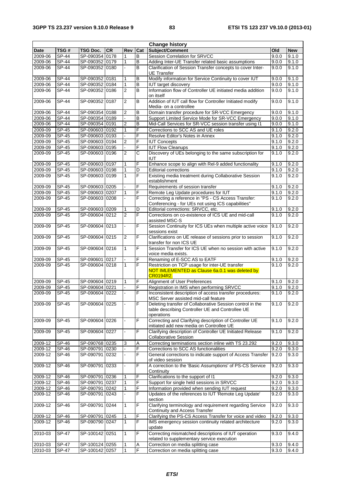| <b>Change history</b> |              |                |           |                          |     |                                                                                                                             |       |            |
|-----------------------|--------------|----------------|-----------|--------------------------|-----|-----------------------------------------------------------------------------------------------------------------------------|-------|------------|
| <b>Date</b>           | TSG#         | TSG Doc.       | <b>CR</b> | Rev                      | Cat | Subject/Comment                                                                                                             | Old   | <b>New</b> |
| 2009-06               | <b>SP-44</b> | SP-090354 0178 |           | 1                        | B   | Session Correlation for SRVCC                                                                                               | 9.0.0 | 9.1.0      |
| 2009-06               | SP-44        | SP-090352 0179 |           | $\mathbf{1}$             | B   | Adding Inter-UE Transfer related basic assumptions                                                                          | 9.0.0 | 9.1.0      |
| 2009-06               | SP-44        | SP-090352 0180 |           |                          | B   | Clarification of Session Transfer concepts to cover Inter-<br>9.0.0<br>9.1.0<br><b>UE</b> Transfer                          |       |            |
| 2009-06               | <b>SP-44</b> | SP-090352 0181 |           | $\mathbf{1}$             | B   | Modify information for Service Continuity to cover IUT<br>9.0.0                                                             |       | 9.1.0      |
| 2009-06               | <b>SP-44</b> | SP-090352 0184 |           | 1                        | B   | <b>IUT</b> target discovery                                                                                                 | 9.0.0 | 9.1.0      |
| 2009-06               | <b>SP-44</b> | SP-090352 0186 |           | $\overline{2}$           | B   | Information flow of Controller UE initiated media addition<br>9.0.0<br>on itself                                            |       | 9.1.0      |
| 2009-06               | $SP-44$      | SP-090352 0187 |           | $\overline{2}$           | B   | Addition of IUT call flow for Controller Initiated modify<br>Media- on a controllee                                         | 9.0.0 | 9.1.0      |
| 2009-06               | <b>SP-44</b> | SP-090354 0188 |           | 2                        | В   | Domain transfer procedure for SR-VCC Emergency                                                                              | 9.0.0 | 9.1.0      |
| 2009-06               | <b>SP-44</b> | SP-090354 0189 |           |                          | B   | Support Limited Service Mode for SR-VCC Emergency                                                                           | 9.0.0 | 9.1.0      |
| 2009-06               | <b>SP-44</b> | SP-090354 0191 |           | $\overline{2}$           | B   | Mid-Call Services for SR-VCC session transfer using I1                                                                      | 9.0.0 | 9.1.0      |
| $2009 - 09$           | <b>SP-45</b> | SP-090603 0192 |           | 1                        | F   | Corrections to SCC AS and UE roles                                                                                          | 9.1.0 | 9.2.0      |
| 2009-09               | $SP-45$      | SP-090603 0193 |           |                          | F   | Resolve Editor's Notes in Annex                                                                                             | 9.1.0 | 9.2.0      |
| 2009-09               | <b>SP-45</b> | SP-090603 0194 |           | 2                        | F   | <b>IUT Concepts</b>                                                                                                         | 9.1.0 | 9.2.0      |
| 2009-09               | <b>SP-45</b> | SP-090603 0195 |           | $\overline{\phantom{a}}$ | F   | <b>IUT Flow Cleanups</b>                                                                                                    | 9.1.0 | 9.2.0      |
| 2009-09               | <b>SP-45</b> | SP-090603 0196 |           | $\overline{2}$           | C   | Discovery of UEs belonging to the same subscription for<br>IUT                                                              | 9.1.0 | 9.2.0      |
| 2009-09               | <b>SP-45</b> | SP-090603 0197 |           | 1                        | F   | Enhance scope to align with Rel-9 added functionality                                                                       | 9.1.0 | 9.2.0      |
| 2009-09               | SP-45        | SP-090603 0198 |           | $\mathbf{1}$             | D   | <b>Editorial corrections</b>                                                                                                | 9.1.0 | 9.2.0      |
| 2009-09               | SP-45        | SP-090603 0199 |           | $\mathbf{1}$             | F   | Existing media treatment during Collaborative Session<br>establishment                                                      | 9.1.0 | 9.2.0      |
| 2009-09               | <b>SP-45</b> | SP-090603 0205 |           |                          | F   | Requirements of session transfer                                                                                            | 9.1.0 | 9.2.0      |
| 2009-09               | <b>SP-45</b> | SP-090603 0207 |           | $\mathbf{1}$             | F   | Remote Leg Update procedures for IUT                                                                                        | 9.1.0 | 9.2.0      |
| 2009-09               | SP-45        | SP-090603 0208 |           |                          | F   | Correcting a reference in "PS - CS Access Transfer:<br>Conferencing - for UEs not using ICS capabilities"                   | 9.1.0 | 9.2.0      |
| 2009-09               | $SP-45$      | SP-090603 0209 |           | 1                        | D   | Editorial corrections: SRVCC, etc.                                                                                          | 9.1.0 | 9.2.0      |
| 2009-09               | <b>SP-45</b> | SP-090604 0212 |           | $\overline{2}$           | F   | Corrections on co-existence of ICS UE and mid-call<br>assisted MSC-S                                                        | 9.1.0 | 9.2.0      |
| 2009-09               | SP-45        | SP-090604 0213 |           |                          | F   | Session Continuity for ICS UEs when multiple active voice<br>sessions exist                                                 | 9.1.0 | 9.2.0      |
| 2009-09               | SP-45        | SP-090604 0215 |           | $\overline{2}$           | F   | Clarifications on UE release of sessions prior to session<br>transfer for non ICS UE                                        | 9.1.0 | 9.2.0      |
| 2009-09               | $SP-45$      | SP-090604 0216 |           | $\mathbf{1}$             | F   | Session Transfer for ICS UE when no session with active<br>voice media exists.                                              | 9.1.0 | 9.2.0      |
| 2009-09               | SP-45        | SP-090601 0217 |           |                          | F   | Renaming of E-SCC AS to EATF                                                                                                | 9.1.0 | 9.2.0      |
| 2009-09               | SP-45        | SP-090604 0218 |           | $\mathbf{1}$             | F   | Restriction on TCP usage for inter-UE transfer<br>NOT IMLEMENTED as Clause 6a.0.1 was deleted by<br>CR0194R2.               | 9.1.0 | 9.2.0      |
| 2009-09               | <b>SP-45</b> | SP-090604 0219 |           | 1                        | F   | Alignment of User Preferences                                                                                               | 9.1.0 | 9.2.0      |
| 2009-09               | SP-45        | SP-090604 0221 |           |                          | F   | Registration in IMS when performing SRVCC                                                                                   | 9.1.0 | 9.2.0      |
| 2009-09               | SP-45        | SP-090604 0222 |           |                          | F   | Inconsistent description of access transfer procedures:<br>9.1.0<br>MSC Server assisted mid-call feature                    |       | 9.2.0      |
| 2009-09               | SP-45        | SP-090604 0225 |           |                          | F   | Deleting transfer of Collaborative Session control in the<br>table describing Controller UE and Controllee UE<br>operations | 9.1.0 | 9.2.0      |
| 2009-09               | SP-45        | SP-090604 0226 |           |                          | F   | Correcting and Clarifying description of Controller UE<br>initiated add new media on Controllee UE                          | 9.1.0 | 9.2.0      |
| 2009-09               | $SP-45$      | SP-090604 0227 |           |                          | F   | Clarifying description of Controller UE Initiated Release<br><b>Collaborative Session</b>                                   | 9.1.0 | 9.2.0      |
| 2009-12               | SP-46        | SP-090768 0235 |           | 3                        | Α   | Correcting terminations section inline with TS 23.292                                                                       | 9.2.0 | 9.3.0      |
| 2009-12               | SP-46        | SP-090791 0230 |           |                          | F   | Corrections to SCC AS functionalities                                                                                       | 9.2.0 | 9.3.0      |
| 2009-12               | SP-46        | SP-090791 0232 |           |                          | F   | General corrections to indicate support of Access Transfer<br>of video session                                              | 9.2.0 | 9.3.0      |
| 2009-12               | SP-46        | SP-090791 0233 |           | ÷.                       | F   | A correction to the 'Basic Assumptions' of PS-CS Service<br>Continuity                                                      | 9.2.0 | 9.3.0      |
| 2009-12               | SP-46        | SP-090791 0236 |           | 1                        | F   | Clarifications to the support of I1                                                                                         | 9.2.0 | 9.3.0      |
| 2009-12               | $SP-46$      | SP-090791 0237 |           | $\mathbf{1}$             | F   | Support for single held sessions in SRVCC                                                                                   | 9.2.0 | 9.3.0      |
| 2009-12               | SP-46        | SP-090791 0242 |           | 1                        | F   | Information provided when sending IUT request                                                                               | 9.2.0 | 9.3.0      |
| 2009-12               | SP-46        | SP-090791 0243 |           |                          | F   | Updates of the references to IUT 'Remote Leg Update'<br>section                                                             | 9.2.0 | 9.3.0      |
| 2009-12               | SP-46        | SP-090791 0244 |           | 1                        | F   | Clarifying terminology and requirement regarding Service<br>Continuity and Access Transfer                                  | 9.2.0 | 9.3.0      |
| 2009-12               | SP-46        | SP-090791 0245 |           | 1                        | F   | Clarifying the PS-CS Access Transfer for voice and video                                                                    | 9.2.0 | 9.3.0      |
| 2009-12               | SP-46        | SP-090790 0247 |           | $\mathbf{1}$             | F   | IMS emergency session continuity related architecture<br>update                                                             | 9.2.0 | 9.3.0      |
| 2010-03               | SP-47        | SP-100142 0251 |           | $\mathbf{1}$             | F   | Correcting mismatched descriptions of IUT operation<br>related to supplementary service execution                           | 9.3.0 | 9.4.0      |
| 2010-03               | SP-47        | SP-100124 0255 |           | 1                        | Α   | Correction on media splitting case                                                                                          | 9.3.0 | 9.4.0      |
| 2010-03               | SP-47        | SP-100142 0257 |           | 1                        | F   | Correction on media splitting case                                                                                          | 9.3.0 | 9.4.0      |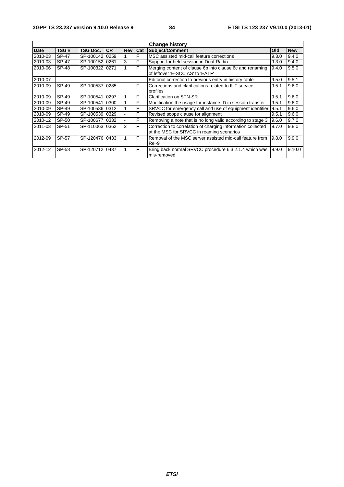| <b>Change history</b> |              |                 |           |            |     |                                                                                                          |       |            |
|-----------------------|--------------|-----------------|-----------|------------|-----|----------------------------------------------------------------------------------------------------------|-------|------------|
| <b>Date</b>           | TSG#         | <b>TSG Doc.</b> | <b>CR</b> | <b>Rev</b> | Cat | Subject/Comment                                                                                          | Old   | <b>New</b> |
| 2010-03               | <b>SP-47</b> | SP-100142 0259  |           |            | F   | MSC assisted mid-call feature corrections                                                                | 9.3.0 | 9.4.0      |
| 2010-03               | SP-47        | SP-100152 0261  |           | 3          | F   | Support for held session in Dual-Radio                                                                   | 9.3.0 | 9.4.0      |
| 2010-06               | SP-48        | SP-100322 0271  |           |            | F   | Merging content of clause 6b into clause 6c and renaming<br>of leftover 'E-SCC AS' to 'EATF'             | 9.4.0 | 9.5.0      |
| 2010-07               |              |                 |           |            |     | Editorial correction to previous entry in history table                                                  | 9.5.0 | 9.5.1      |
| 2010-09               | SP-49        | SP-10053710285  |           |            | F   | Corrections and clarifications related to IUT service<br>profiles                                        | 9.5.1 | 9.6.0      |
| 2010-09               | SP-49        | SP-100541 0297  |           |            | F   | <b>Clarification on STN-SR</b>                                                                           | 9.5.1 | 9.6.0      |
| 2010-09               | SP-49        | SP-100541 0300  |           |            | F   | Modification the usage for instance ID in session transfer                                               | 9.5.1 | 9.6.0      |
| 2010-09               | SP-49        | SP-100536 0312  |           |            | F   | SRVCC for emergency call and use of equipment identifier                                                 | 9.5.1 | 9.6.0      |
| 2010-09               | SP-49        | SP-100539 0329  |           |            | F   | Revised scope clause for alignment                                                                       | 9.5.1 | 9.6.0      |
| 2010-12               | SP-50        | SP-100677 0332  |           |            | F   | Removing a note that is no long valid according to stage 3                                               | 9.6.0 | 9.7.0      |
| 2011-03               | SP-51        | SP-110063 0362  |           | 2          | F   | Correction to correlation of charging information collected<br>at the MSC for SRVCC in roaming scenarios | 9.7.0 | 9.8.0      |
| 2012-09               | SP-57        | SP-120476 0433  |           |            | F   | Removal of the MSC server assisted mid-call feature from<br>Rel-9                                        | 9.8.0 | 9.9.0      |
| 2012-12               | SP-58        | SP-120712 0437  |           |            | F   | Bring back normal SRVCC procedure 6.3.2.1.4 which was<br>mis-removed                                     | 9.9.0 | 9.10.0     |